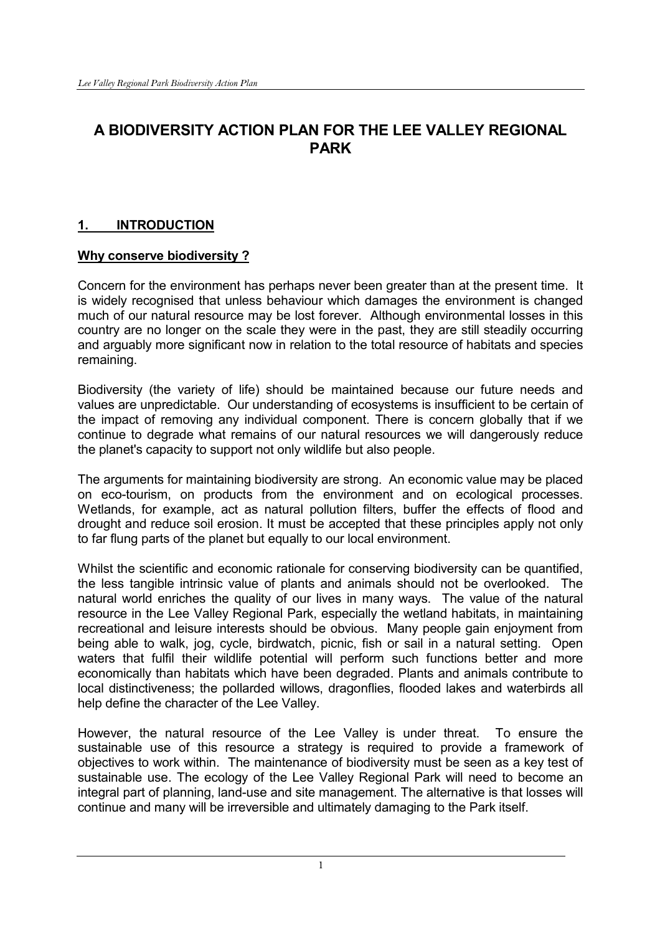# A BIODIVERSITY ACTION PLAN FOR THE LEE VALLEY REGIONAL PARK

### 1. INTRODUCTION

### Why conserve biodiversity ?

Concern for the environment has perhaps never been greater than at the present time. It is widely recognised that unless behaviour which damages the environment is changed much of our natural resource may be lost forever. Although environmental losses in this country are no longer on the scale they were in the past, they are still steadily occurring and arguably more significant now in relation to the total resource of habitats and species remaining.

Biodiversity (the variety of life) should be maintained because our future needs and values are unpredictable. Our understanding of ecosystems is insufficient to be certain of the impact of removing any individual component. There is concern globally that if we continue to degrade what remains of our natural resources we will dangerously reduce the planet's capacity to support not only wildlife but also people.

The arguments for maintaining biodiversity are strong. An economic value may be placed on eco-tourism, on products from the environment and on ecological processes. Wetlands, for example, act as natural pollution filters, buffer the effects of flood and drought and reduce soil erosion. It must be accepted that these principles apply not only to far flung parts of the planet but equally to our local environment.

Whilst the scientific and economic rationale for conserving biodiversity can be quantified, the less tangible intrinsic value of plants and animals should not be overlooked. The natural world enriches the quality of our lives in many ways. The value of the natural resource in the Lee Valley Regional Park, especially the wetland habitats, in maintaining recreational and leisure interests should be obvious. Many people gain enjoyment from being able to walk, jog, cycle, birdwatch, picnic, fish or sail in a natural setting. Open waters that fulfil their wildlife potential will perform such functions better and more economically than habitats which have been degraded. Plants and animals contribute to local distinctiveness; the pollarded willows, dragonflies, flooded lakes and waterbirds all help define the character of the Lee Valley.

However, the natural resource of the Lee Valley is under threat. To ensure the sustainable use of this resource a strategy is required to provide a framework of objectives to work within. The maintenance of biodiversity must be seen as a key test of sustainable use. The ecology of the Lee Valley Regional Park will need to become an integral part of planning, land-use and site management. The alternative is that losses will continue and many will be irreversible and ultimately damaging to the Park itself.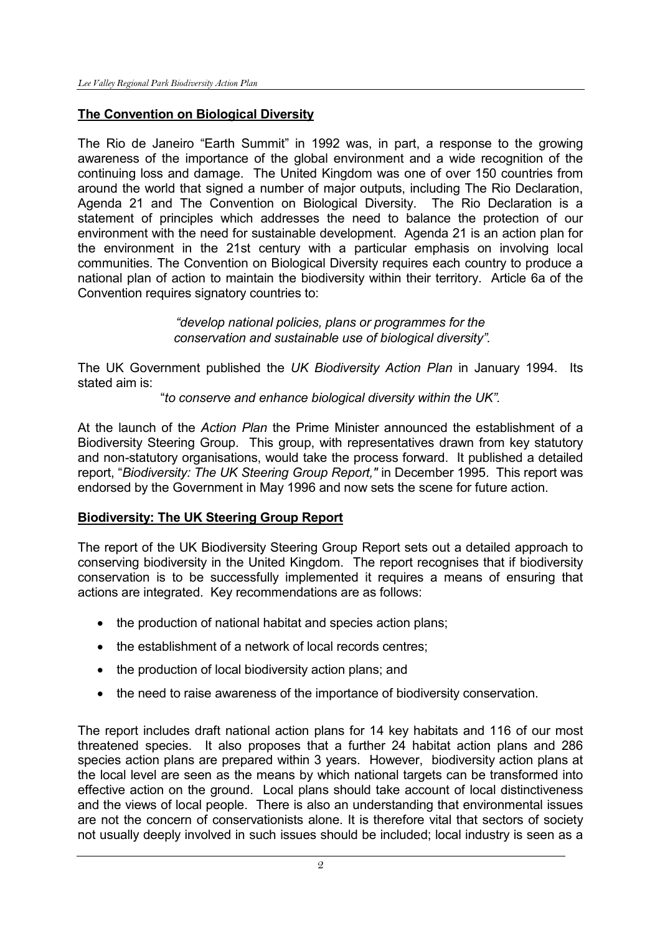### The Convention on Biological Diversity

The Rio de Janeiro "Earth Summit" in 1992 was, in part, a response to the growing awareness of the importance of the global environment and a wide recognition of the continuing loss and damage. The United Kingdom was one of over 150 countries from around the world that signed a number of major outputs, including The Rio Declaration, Agenda 21 and The Convention on Biological Diversity. The Rio Declaration is a statement of principles which addresses the need to balance the protection of our environment with the need for sustainable development. Agenda 21 is an action plan for the environment in the 21st century with a particular emphasis on involving local communities. The Convention on Biological Diversity requires each country to produce a national plan of action to maintain the biodiversity within their territory. Article 6a of the Convention requires signatory countries to:

> "develop national policies, plans or programmes for the conservation and sustainable use of biological diversity".

The UK Government published the UK Biodiversity Action Plan in January 1994. Its stated aim is:

"to conserve and enhance biological diversity within the UK".

At the launch of the Action Plan the Prime Minister announced the establishment of a Biodiversity Steering Group. This group, with representatives drawn from key statutory and non-statutory organisations, would take the process forward. It published a detailed report, "Biodiversity: The UK Steering Group Report," in December 1995. This report was endorsed by the Government in May 1996 and now sets the scene for future action.

### Biodiversity: The UK Steering Group Report

The report of the UK Biodiversity Steering Group Report sets out a detailed approach to conserving biodiversity in the United Kingdom. The report recognises that if biodiversity conservation is to be successfully implemented it requires a means of ensuring that actions are integrated. Key recommendations are as follows:

- the production of national habitat and species action plans;
- the establishment of a network of local records centres:
- the production of local biodiversity action plans; and
- the need to raise awareness of the importance of biodiversity conservation.

The report includes draft national action plans for 14 key habitats and 116 of our most threatened species. It also proposes that a further 24 habitat action plans and 286 species action plans are prepared within 3 years. However, biodiversity action plans at the local level are seen as the means by which national targets can be transformed into effective action on the ground. Local plans should take account of local distinctiveness and the views of local people. There is also an understanding that environmental issues are not the concern of conservationists alone. It is therefore vital that sectors of society not usually deeply involved in such issues should be included; local industry is seen as a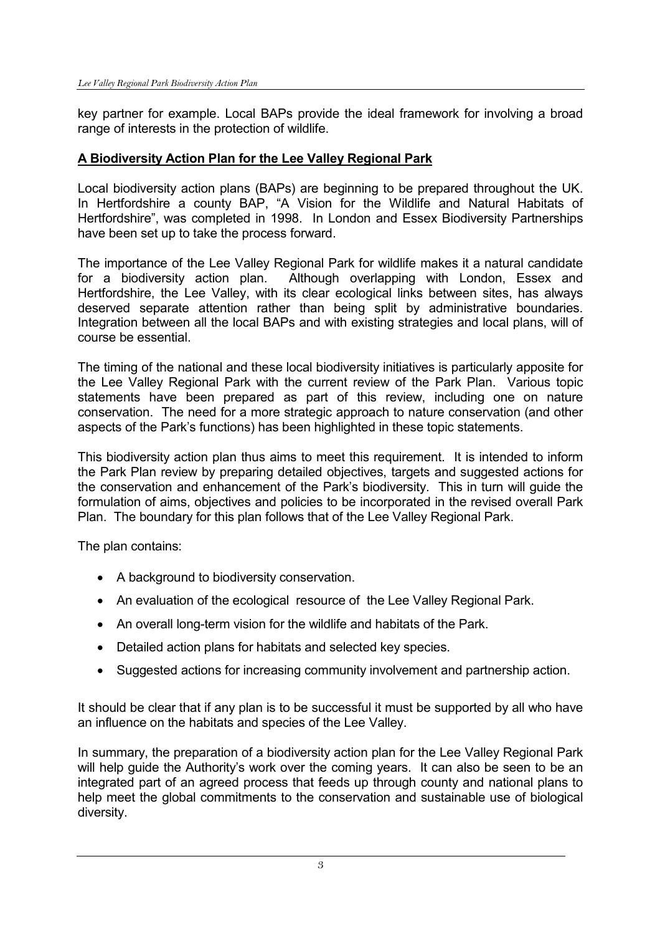key partner for example. Local BAPs provide the ideal framework for involving a broad range of interests in the protection of wildlife.

### A Biodiversity Action Plan for the Lee Valley Regional Park

Local biodiversity action plans (BAPs) are beginning to be prepared throughout the UK. In Hertfordshire a county BAP, "A Vision for the Wildlife and Natural Habitats of Hertfordshire", was completed in 1998. In London and Essex Biodiversity Partnerships have been set up to take the process forward.

The importance of the Lee Valley Regional Park for wildlife makes it a natural candidate for a biodiversity action plan. Although overlapping with London, Essex and Hertfordshire, the Lee Valley, with its clear ecological links between sites, has always deserved separate attention rather than being split by administrative boundaries. Integration between all the local BAPs and with existing strategies and local plans, will of course be essential.

The timing of the national and these local biodiversity initiatives is particularly apposite for the Lee Valley Regional Park with the current review of the Park Plan. Various topic statements have been prepared as part of this review, including one on nature conservation. The need for a more strategic approach to nature conservation (and other aspects of the Park's functions) has been highlighted in these topic statements.

This biodiversity action plan thus aims to meet this requirement. It is intended to inform the Park Plan review by preparing detailed objectives, targets and suggested actions for the conservation and enhancement of the Park's biodiversity. This in turn will guide the formulation of aims, objectives and policies to be incorporated in the revised overall Park Plan. The boundary for this plan follows that of the Lee Valley Regional Park.

The plan contains:

- A background to biodiversity conservation.
- An evaluation of the ecological resource of the Lee Valley Regional Park.
- An overall long-term vision for the wildlife and habitats of the Park.
- Detailed action plans for habitats and selected key species.
- Suggested actions for increasing community involvement and partnership action.

It should be clear that if any plan is to be successful it must be supported by all who have an influence on the habitats and species of the Lee Valley.

In summary, the preparation of a biodiversity action plan for the Lee Valley Regional Park will help guide the Authority's work over the coming years. It can also be seen to be an integrated part of an agreed process that feeds up through county and national plans to help meet the global commitments to the conservation and sustainable use of biological diversity.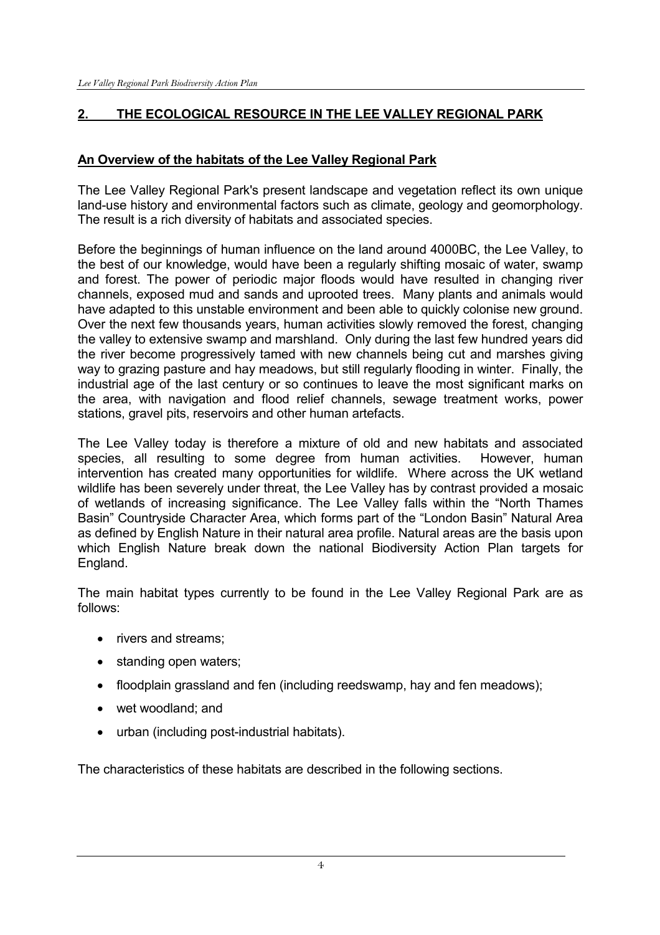# 2. THE ECOLOGICAL RESOURCE IN THE LEE VALLEY REGIONAL PARK

# An Overview of the habitats of the Lee Valley Regional Park

The Lee Valley Regional Park's present landscape and vegetation reflect its own unique land-use history and environmental factors such as climate, geology and geomorphology. The result is a rich diversity of habitats and associated species.

Before the beginnings of human influence on the land around 4000BC, the Lee Valley, to the best of our knowledge, would have been a regularly shifting mosaic of water, swamp and forest. The power of periodic major floods would have resulted in changing river channels, exposed mud and sands and uprooted trees. Many plants and animals would have adapted to this unstable environment and been able to quickly colonise new ground. Over the next few thousands years, human activities slowly removed the forest, changing the valley to extensive swamp and marshland. Only during the last few hundred years did the river become progressively tamed with new channels being cut and marshes giving way to grazing pasture and hay meadows, but still regularly flooding in winter. Finally, the industrial age of the last century or so continues to leave the most significant marks on the area, with navigation and flood relief channels, sewage treatment works, power stations, gravel pits, reservoirs and other human artefacts.

The Lee Valley today is therefore a mixture of old and new habitats and associated species, all resulting to some degree from human activities. However, human intervention has created many opportunities for wildlife. Where across the UK wetland wildlife has been severely under threat, the Lee Valley has by contrast provided a mosaic of wetlands of increasing significance. The Lee Valley falls within the "North Thames Basin" Countryside Character Area, which forms part of the "London Basin" Natural Area as defined by English Nature in their natural area profile. Natural areas are the basis upon which English Nature break down the national Biodiversity Action Plan targets for England.

The main habitat types currently to be found in the Lee Valley Regional Park are as follows:

- rivers and streams:
- standing open waters;
- floodplain grassland and fen (including reedswamp, hay and fen meadows);
- wet woodland; and
- urban (including post-industrial habitats).

The characteristics of these habitats are described in the following sections.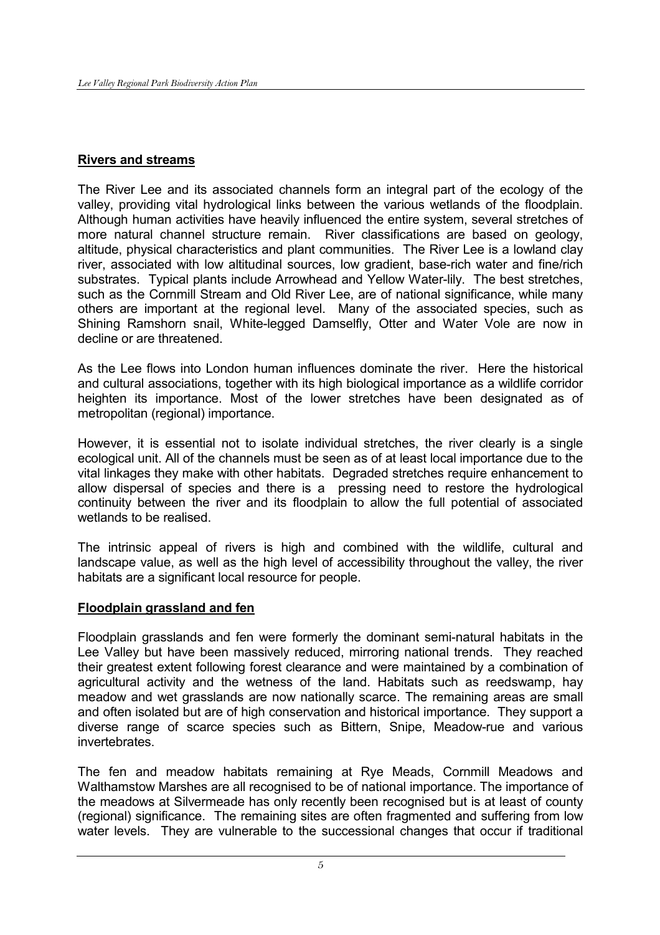# Rivers and streams

The River Lee and its associated channels form an integral part of the ecology of the valley, providing vital hydrological links between the various wetlands of the floodplain. Although human activities have heavily influenced the entire system, several stretches of more natural channel structure remain. River classifications are based on geology, altitude, physical characteristics and plant communities. The River Lee is a lowland clay river, associated with low altitudinal sources, low gradient, base-rich water and fine/rich substrates. Typical plants include Arrowhead and Yellow Water-lily. The best stretches, such as the Cornmill Stream and Old River Lee, are of national significance, while many others are important at the regional level. Many of the associated species, such as Shining Ramshorn snail, White-legged Damselfly, Otter and Water Vole are now in decline or are threatened.

As the Lee flows into London human influences dominate the river. Here the historical and cultural associations, together with its high biological importance as a wildlife corridor heighten its importance. Most of the lower stretches have been designated as of metropolitan (regional) importance.

However, it is essential not to isolate individual stretches, the river clearly is a single ecological unit. All of the channels must be seen as of at least local importance due to the vital linkages they make with other habitats. Degraded stretches require enhancement to allow dispersal of species and there is a pressing need to restore the hydrological continuity between the river and its floodplain to allow the full potential of associated wetlands to be realised.

The intrinsic appeal of rivers is high and combined with the wildlife, cultural and landscape value, as well as the high level of accessibility throughout the valley, the river habitats are a significant local resource for people.

# Floodplain grassland and fen

Floodplain grasslands and fen were formerly the dominant semi-natural habitats in the Lee Valley but have been massively reduced, mirroring national trends. They reached their greatest extent following forest clearance and were maintained by a combination of agricultural activity and the wetness of the land. Habitats such as reedswamp, hay meadow and wet grasslands are now nationally scarce. The remaining areas are small and often isolated but are of high conservation and historical importance. They support a diverse range of scarce species such as Bittern, Snipe, Meadow-rue and various invertebrates.

The fen and meadow habitats remaining at Rye Meads, Cornmill Meadows and Walthamstow Marshes are all recognised to be of national importance. The importance of the meadows at Silvermeade has only recently been recognised but is at least of county (regional) significance. The remaining sites are often fragmented and suffering from low water levels. They are vulnerable to the successional changes that occur if traditional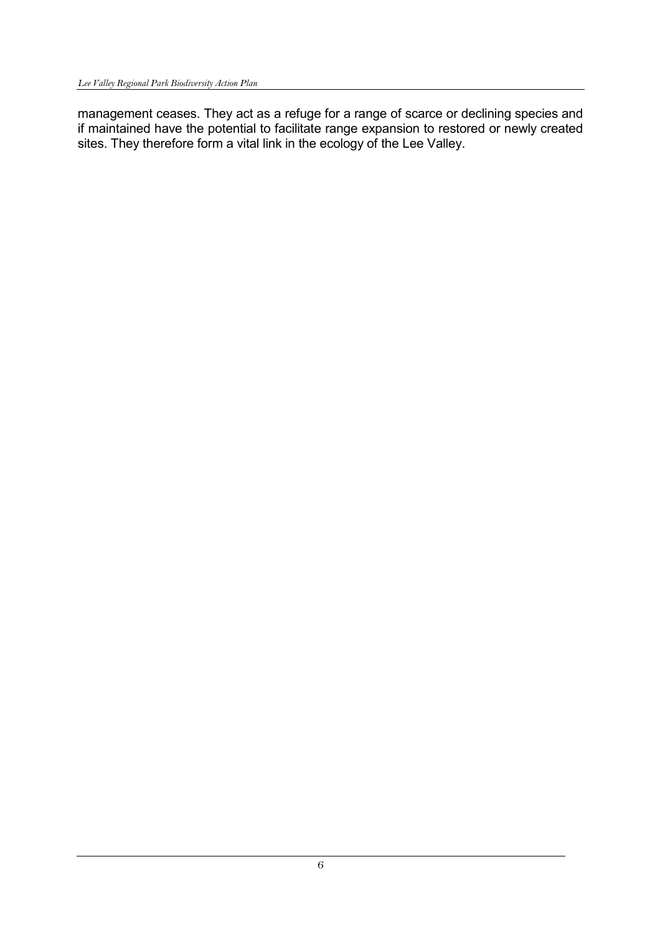management ceases. They act as a refuge for a range of scarce or declining species and if maintained have the potential to facilitate range expansion to restored or newly created sites. They therefore form a vital link in the ecology of the Lee Valley.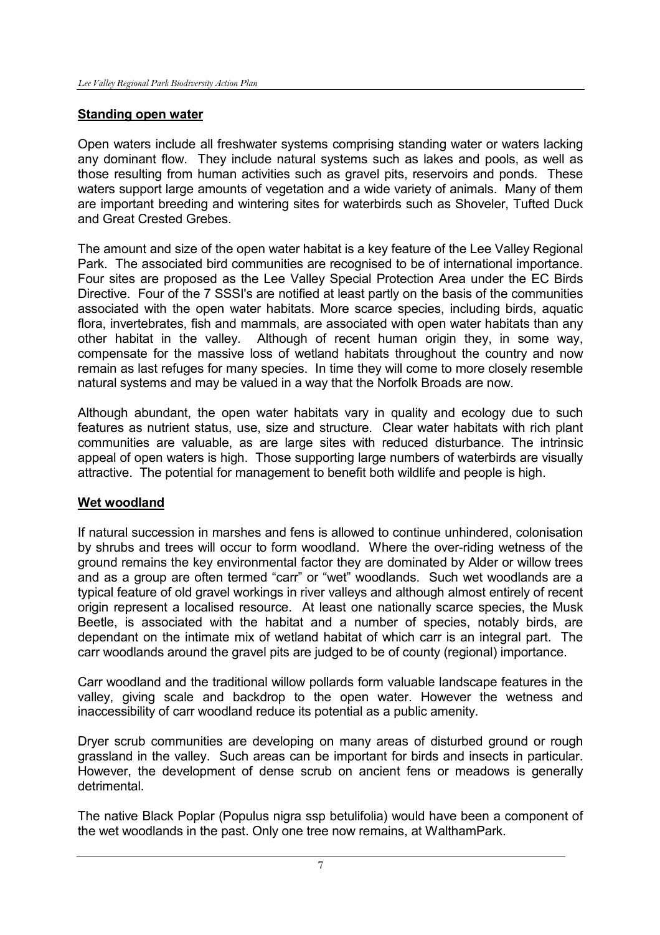### Standing open water

Open waters include all freshwater systems comprising standing water or waters lacking any dominant flow. They include natural systems such as lakes and pools, as well as those resulting from human activities such as gravel pits, reservoirs and ponds. These waters support large amounts of vegetation and a wide variety of animals. Many of them are important breeding and wintering sites for waterbirds such as Shoveler, Tufted Duck and Great Crested Grebes.

The amount and size of the open water habitat is a key feature of the Lee Valley Regional Park. The associated bird communities are recognised to be of international importance. Four sites are proposed as the Lee Valley Special Protection Area under the EC Birds Directive. Four of the 7 SSSI's are notified at least partly on the basis of the communities associated with the open water habitats. More scarce species, including birds, aquatic flora, invertebrates, fish and mammals, are associated with open water habitats than any other habitat in the valley. Although of recent human origin they, in some way, compensate for the massive loss of wetland habitats throughout the country and now remain as last refuges for many species. In time they will come to more closely resemble natural systems and may be valued in a way that the Norfolk Broads are now.

Although abundant, the open water habitats vary in quality and ecology due to such features as nutrient status, use, size and structure. Clear water habitats with rich plant communities are valuable, as are large sites with reduced disturbance. The intrinsic appeal of open waters is high. Those supporting large numbers of waterbirds are visually attractive. The potential for management to benefit both wildlife and people is high.

# Wet woodland

If natural succession in marshes and fens is allowed to continue unhindered, colonisation by shrubs and trees will occur to form woodland. Where the over-riding wetness of the ground remains the key environmental factor they are dominated by Alder or willow trees and as a group are often termed "carr" or "wet" woodlands. Such wet woodlands are a typical feature of old gravel workings in river valleys and although almost entirely of recent origin represent a localised resource. At least one nationally scarce species, the Musk Beetle, is associated with the habitat and a number of species, notably birds, are dependant on the intimate mix of wetland habitat of which carr is an integral part. The carr woodlands around the gravel pits are judged to be of county (regional) importance.

Carr woodland and the traditional willow pollards form valuable landscape features in the valley, giving scale and backdrop to the open water. However the wetness and inaccessibility of carr woodland reduce its potential as a public amenity.

Dryer scrub communities are developing on many areas of disturbed ground or rough grassland in the valley. Such areas can be important for birds and insects in particular. However, the development of dense scrub on ancient fens or meadows is generally detrimental.

The native Black Poplar (Populus nigra ssp betulifolia) would have been a component of the wet woodlands in the past. Only one tree now remains, at WalthamPark.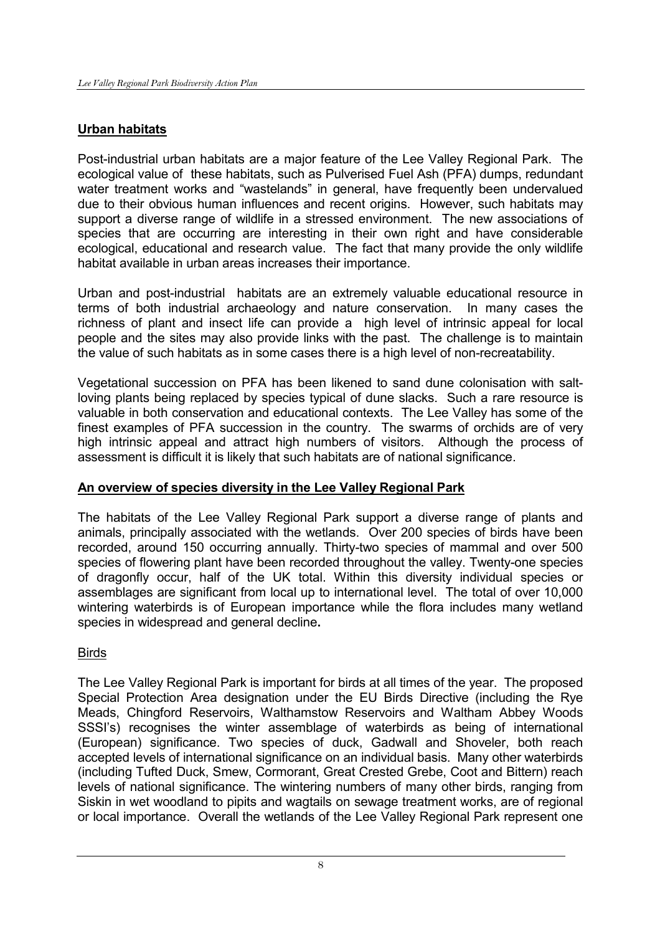# Urban habitats

Post-industrial urban habitats are a major feature of the Lee Valley Regional Park. The ecological value of these habitats, such as Pulverised Fuel Ash (PFA) dumps, redundant water treatment works and "wastelands" in general, have frequently been undervalued due to their obvious human influences and recent origins. However, such habitats may support a diverse range of wildlife in a stressed environment. The new associations of species that are occurring are interesting in their own right and have considerable ecological, educational and research value. The fact that many provide the only wildlife habitat available in urban areas increases their importance.

Urban and post-industrial habitats are an extremely valuable educational resource in terms of both industrial archaeology and nature conservation. In many cases the richness of plant and insect life can provide a high level of intrinsic appeal for local people and the sites may also provide links with the past. The challenge is to maintain the value of such habitats as in some cases there is a high level of non-recreatability.

Vegetational succession on PFA has been likened to sand dune colonisation with saltloving plants being replaced by species typical of dune slacks. Such a rare resource is valuable in both conservation and educational contexts. The Lee Valley has some of the finest examples of PFA succession in the country. The swarms of orchids are of very high intrinsic appeal and attract high numbers of visitors. Although the process of assessment is difficult it is likely that such habitats are of national significance.

# An overview of species diversity in the Lee Valley Regional Park

The habitats of the Lee Valley Regional Park support a diverse range of plants and animals, principally associated with the wetlands. Over 200 species of birds have been recorded, around 150 occurring annually. Thirty-two species of mammal and over 500 species of flowering plant have been recorded throughout the valley. Twenty-one species of dragonfly occur, half of the UK total. Within this diversity individual species or assemblages are significant from local up to international level. The total of over 10,000 wintering waterbirds is of European importance while the flora includes many wetland species in widespread and general decline.

# Birds

The Lee Valley Regional Park is important for birds at all times of the year. The proposed Special Protection Area designation under the EU Birds Directive (including the Rye Meads, Chingford Reservoirs, Walthamstow Reservoirs and Waltham Abbey Woods SSSI's) recognises the winter assemblage of waterbirds as being of international (European) significance. Two species of duck, Gadwall and Shoveler, both reach accepted levels of international significance on an individual basis. Many other waterbirds (including Tufted Duck, Smew, Cormorant, Great Crested Grebe, Coot and Bittern) reach levels of national significance. The wintering numbers of many other birds, ranging from Siskin in wet woodland to pipits and wagtails on sewage treatment works, are of regional or local importance. Overall the wetlands of the Lee Valley Regional Park represent one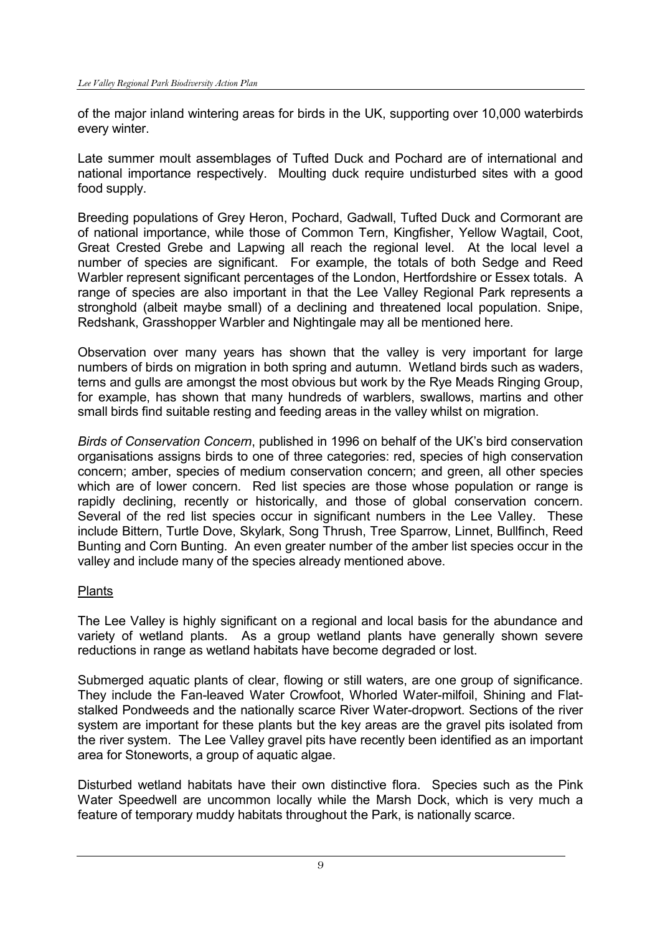of the major inland wintering areas for birds in the UK, supporting over 10,000 waterbirds every winter.

Late summer moult assemblages of Tufted Duck and Pochard are of international and national importance respectively. Moulting duck require undisturbed sites with a good food supply.

Breeding populations of Grey Heron, Pochard, Gadwall, Tufted Duck and Cormorant are of national importance, while those of Common Tern, Kingfisher, Yellow Wagtail, Coot, Great Crested Grebe and Lapwing all reach the regional level. At the local level a number of species are significant. For example, the totals of both Sedge and Reed Warbler represent significant percentages of the London, Hertfordshire or Essex totals. A range of species are also important in that the Lee Valley Regional Park represents a stronghold (albeit maybe small) of a declining and threatened local population. Snipe, Redshank, Grasshopper Warbler and Nightingale may all be mentioned here.

Observation over many years has shown that the valley is very important for large numbers of birds on migration in both spring and autumn. Wetland birds such as waders, terns and gulls are amongst the most obvious but work by the Rye Meads Ringing Group, for example, has shown that many hundreds of warblers, swallows, martins and other small birds find suitable resting and feeding areas in the valley whilst on migration.

Birds of Conservation Concern, published in 1996 on behalf of the UK's bird conservation organisations assigns birds to one of three categories: red, species of high conservation concern; amber, species of medium conservation concern; and green, all other species which are of lower concern. Red list species are those whose population or range is rapidly declining, recently or historically, and those of global conservation concern. Several of the red list species occur in significant numbers in the Lee Valley. These include Bittern, Turtle Dove, Skylark, Song Thrush, Tree Sparrow, Linnet, Bullfinch, Reed Bunting and Corn Bunting. An even greater number of the amber list species occur in the valley and include many of the species already mentioned above.

# Plants

The Lee Valley is highly significant on a regional and local basis for the abundance and variety of wetland plants. As a group wetland plants have generally shown severe reductions in range as wetland habitats have become degraded or lost.

Submerged aquatic plants of clear, flowing or still waters, are one group of significance. They include the Fan-leaved Water Crowfoot, Whorled Water-milfoil, Shining and Flatstalked Pondweeds and the nationally scarce River Water-dropwort. Sections of the river system are important for these plants but the key areas are the gravel pits isolated from the river system. The Lee Valley gravel pits have recently been identified as an important area for Stoneworts, a group of aquatic algae.

Disturbed wetland habitats have their own distinctive flora. Species such as the Pink Water Speedwell are uncommon locally while the Marsh Dock, which is very much a feature of temporary muddy habitats throughout the Park, is nationally scarce.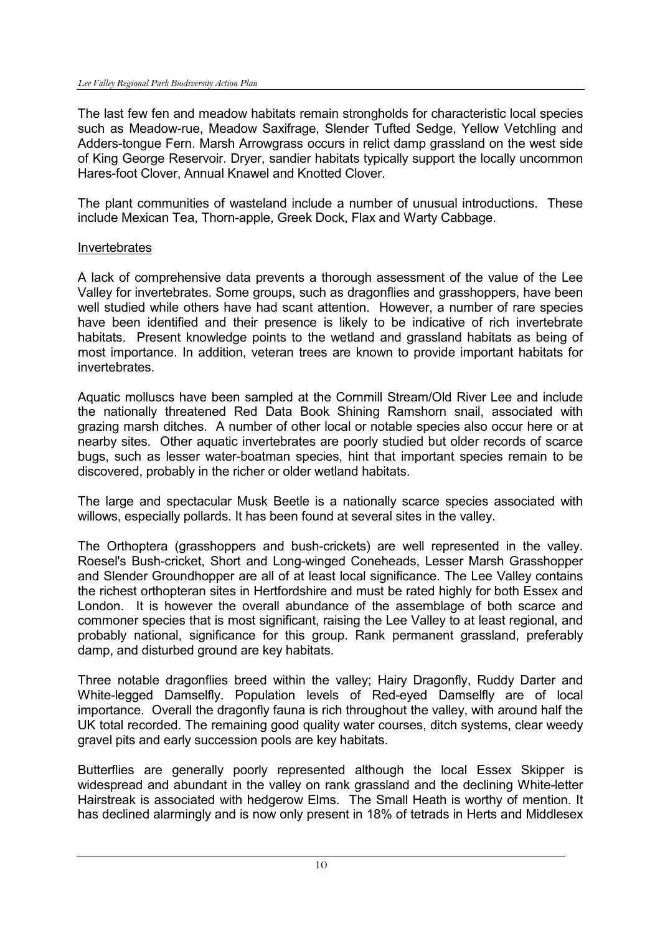The last few fen and meadow habitats remain strongholds for characteristic local species such as Meadow-rue, Meadow Saxifrage, Slender Tufted Sedge, Yellow Vetchling and Adders-tongue Fern. Marsh Arrowgrass occurs in relict damp grassland on the west side of King George Reservoir. Dryer, sandier habitats typically support the locally uncommon Hares-foot Clover, Annual Knawel and Knotted Clover.

The plant communities of wasteland include a number of unusual introductions. These include Mexican Tea, Thorn-apple, Greek Dock, Flax and Warty Cabbage.

### Invertebrates

A lack of comprehensive data prevents a thorough assessment of the value of the Lee Valley for invertebrates. Some groups, such as dragonflies and grasshoppers, have been well studied while others have had scant attention. However, a number of rare species have been identified and their presence is likely to be indicative of rich invertebrate habitats. Present knowledge points to the wetland and grassland habitats as being of most importance. In addition, veteran trees are known to provide important habitats for invertebrates.

Aquatic molluscs have been sampled at the Cornmill Stream/Old River Lee and include the nationally threatened Red Data Book Shining Ramshorn snail, associated with grazing marsh ditches. A number of other local or notable species also occur here or at nearby sites. Other aquatic invertebrates are poorly studied but older records of scarce bugs, such as lesser water-boatman species, hint that important species remain to be discovered, probably in the richer or older wetland habitats.

The large and spectacular Musk Beetle is a nationally scarce species associated with willows, especially pollards. It has been found at several sites in the valley.

The Orthoptera (grasshoppers and bush-crickets) are well represented in the valley. Roesel's Bush-cricket, Short and Long-winged Coneheads, Lesser Marsh Grasshopper and Slender Groundhopper are all of at least local significance. The Lee Valley contains the richest orthopteran sites in Hertfordshire and must be rated highly for both Essex and London. It is however the overall abundance of the assemblage of both scarce and commoner species that is most significant, raising the Lee Valley to at least regional, and probably national, significance for this group. Rank permanent grassland, preferably damp, and disturbed ground are key habitats.

Three notable dragonflies breed within the valley; Hairy Dragonfly, Ruddy Darter and White-legged Damselfly. Population levels of Red-eyed Damselfly are of local importance. Overall the dragonfly fauna is rich throughout the valley, with around half the UK total recorded. The remaining good quality water courses, ditch systems, clear weedy gravel pits and early succession pools are key habitats.

Butterflies are generally poorly represented although the local Essex Skipper is widespread and abundant in the valley on rank grassland and the declining White-letter Hairstreak is associated with hedgerow Elms. The Small Heath is worthy of mention. It has declined alarmingly and is now only present in 18% of tetrads in Herts and Middlesex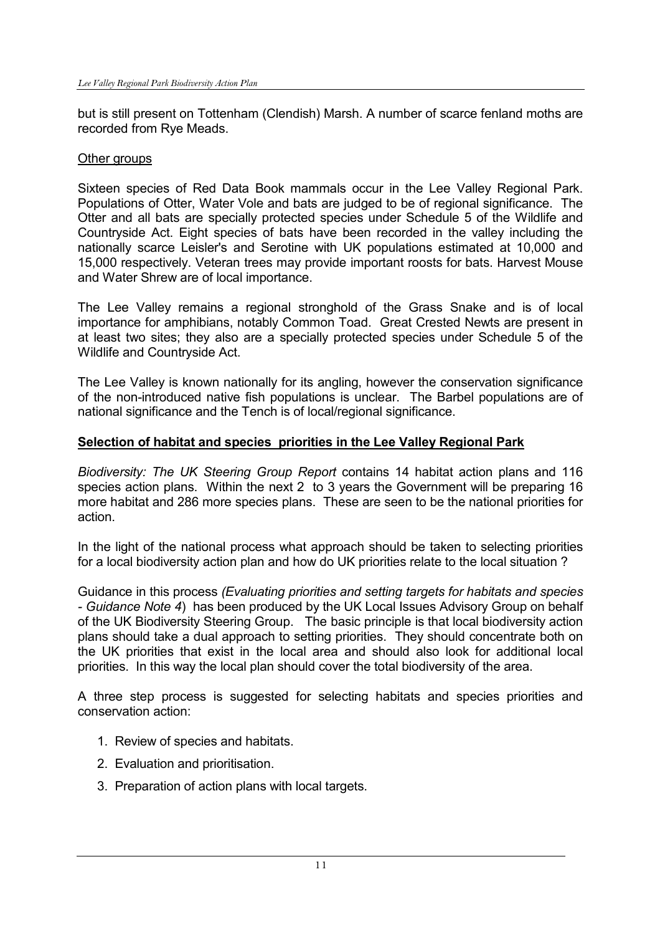but is still present on Tottenham (Clendish) Marsh. A number of scarce fenland moths are recorded from Rye Meads.

### Other groups

Sixteen species of Red Data Book mammals occur in the Lee Valley Regional Park. Populations of Otter, Water Vole and bats are judged to be of regional significance. The Otter and all bats are specially protected species under Schedule 5 of the Wildlife and Countryside Act. Eight species of bats have been recorded in the valley including the nationally scarce Leisler's and Serotine with UK populations estimated at 10,000 and 15,000 respectively. Veteran trees may provide important roosts for bats. Harvest Mouse and Water Shrew are of local importance.

The Lee Valley remains a regional stronghold of the Grass Snake and is of local importance for amphibians, notably Common Toad. Great Crested Newts are present in at least two sites; they also are a specially protected species under Schedule 5 of the Wildlife and Countryside Act.

The Lee Valley is known nationally for its angling, however the conservation significance of the non-introduced native fish populations is unclear. The Barbel populations are of national significance and the Tench is of local/regional significance.

### Selection of habitat and species priorities in the Lee Valley Regional Park

Biodiversity: The UK Steering Group Report contains 14 habitat action plans and 116 species action plans. Within the next 2 to 3 years the Government will be preparing 16 more habitat and 286 more species plans. These are seen to be the national priorities for action.

In the light of the national process what approach should be taken to selecting priorities for a local biodiversity action plan and how do UK priorities relate to the local situation ?

Guidance in this process (Evaluating priorities and setting targets for habitats and species - Guidance Note 4) has been produced by the UK Local Issues Advisory Group on behalf of the UK Biodiversity Steering Group. The basic principle is that local biodiversity action plans should take a dual approach to setting priorities. They should concentrate both on the UK priorities that exist in the local area and should also look for additional local priorities. In this way the local plan should cover the total biodiversity of the area.

A three step process is suggested for selecting habitats and species priorities and conservation action:

- 1. Review of species and habitats.
- 2. Evaluation and prioritisation.
- 3. Preparation of action plans with local targets.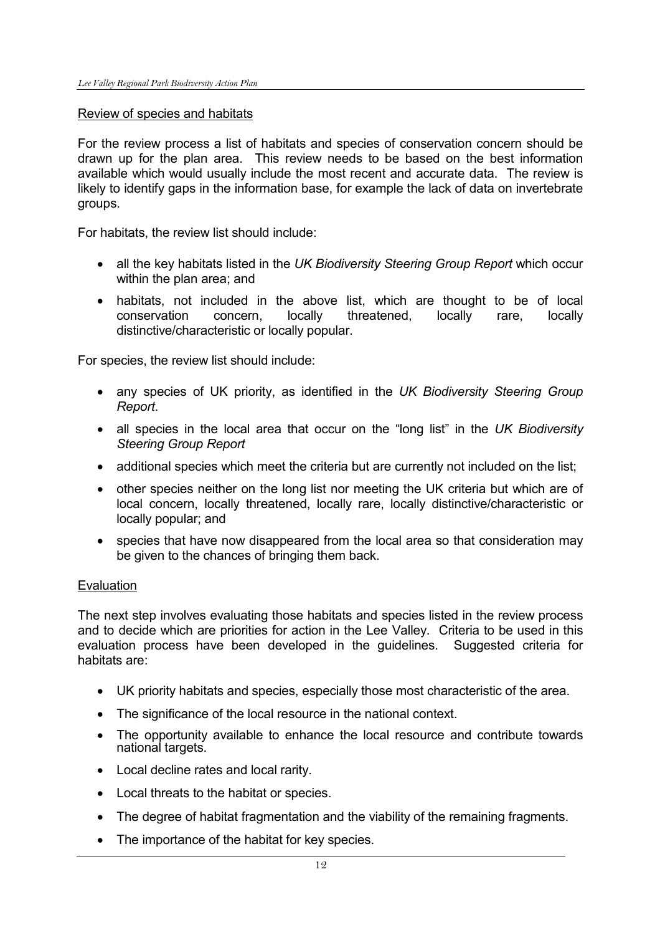### Review of species and habitats

For the review process a list of habitats and species of conservation concern should be drawn up for the plan area. This review needs to be based on the best information available which would usually include the most recent and accurate data. The review is likely to identify gaps in the information base, for example the lack of data on invertebrate groups.

For habitats, the review list should include:

- all the key habitats listed in the UK Biodiversity Steering Group Report which occur within the plan area; and
- habitats, not included in the above list, which are thought to be of local conservation concern, locally threatened, locally rare, locally distinctive/characteristic or locally popular.

For species, the review list should include:

- any species of UK priority, as identified in the UK Biodiversity Steering Group Report.
- all species in the local area that occur on the "long list" in the UK Biodiversity Steering Group Report
- additional species which meet the criteria but are currently not included on the list;
- other species neither on the long list nor meeting the UK criteria but which are of local concern, locally threatened, locally rare, locally distinctive/characteristic or locally popular; and
- species that have now disappeared from the local area so that consideration may be given to the chances of bringing them back.

### **Evaluation**

The next step involves evaluating those habitats and species listed in the review process and to decide which are priorities for action in the Lee Valley. Criteria to be used in this evaluation process have been developed in the guidelines. Suggested criteria for habitats are:

- UK priority habitats and species, especially those most characteristic of the area.
- The significance of the local resource in the national context.
- The opportunity available to enhance the local resource and contribute towards national targets.
- Local decline rates and local rarity.
- Local threats to the habitat or species.
- The degree of habitat fragmentation and the viability of the remaining fragments.
- The importance of the habitat for key species.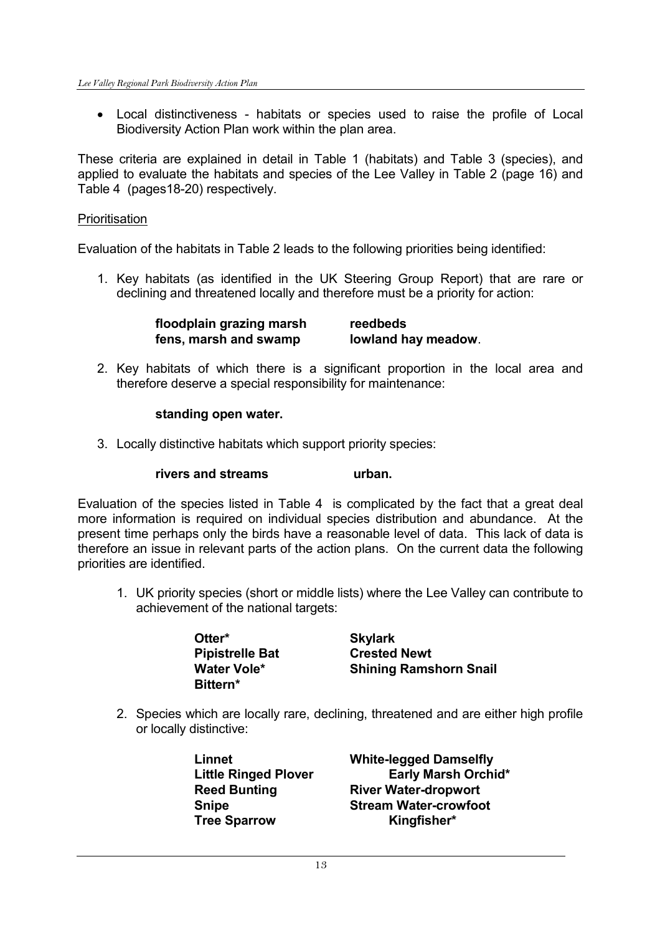• Local distinctiveness - habitats or species used to raise the profile of Local Biodiversity Action Plan work within the plan area.

These criteria are explained in detail in Table 1 (habitats) and Table 3 (species), and applied to evaluate the habitats and species of the Lee Valley in Table 2 (page 16) and Table 4 (pages18-20) respectively.

### **Prioritisation**

Evaluation of the habitats in Table 2 leads to the following priorities being identified:

1. Key habitats (as identified in the UK Steering Group Report) that are rare or declining and threatened locally and therefore must be a priority for action:

| floodplain grazing marsh | reedbeds            |
|--------------------------|---------------------|
| fens, marsh and swamp    | lowland hay meadow. |

2. Key habitats of which there is a significant proportion in the local area and therefore deserve a special responsibility for maintenance:

### standing open water.

3. Locally distinctive habitats which support priority species:

### rivers and streams urban.

Evaluation of the species listed in Table 4 is complicated by the fact that a great deal more information is required on individual species distribution and abundance. At the present time perhaps only the birds have a reasonable level of data. This lack of data is therefore an issue in relevant parts of the action plans. On the current data the following priorities are identified.

1. UK priority species (short or middle lists) where the Lee Valley can contribute to achievement of the national targets:

> Otter\* Skylark Pipistrelle Bat Crested Newt Bittern\*

Water Vole\* Shining Ramshorn Snail

2. Species which are locally rare, declining, threatened and are either high profile or locally distinctive:

| Linnet                      | White        |
|-----------------------------|--------------|
| <b>Little Ringed Plover</b> |              |
| <b>Reed Bunting</b>         | <b>River</b> |
| <b>Snipe</b>                | <b>Strea</b> |
| <b>Tree Sparrow</b>         |              |

e-legged Damselfly Early Marsh Orchid\* Water-dropwort m Water-crowfoot Kingfisher\*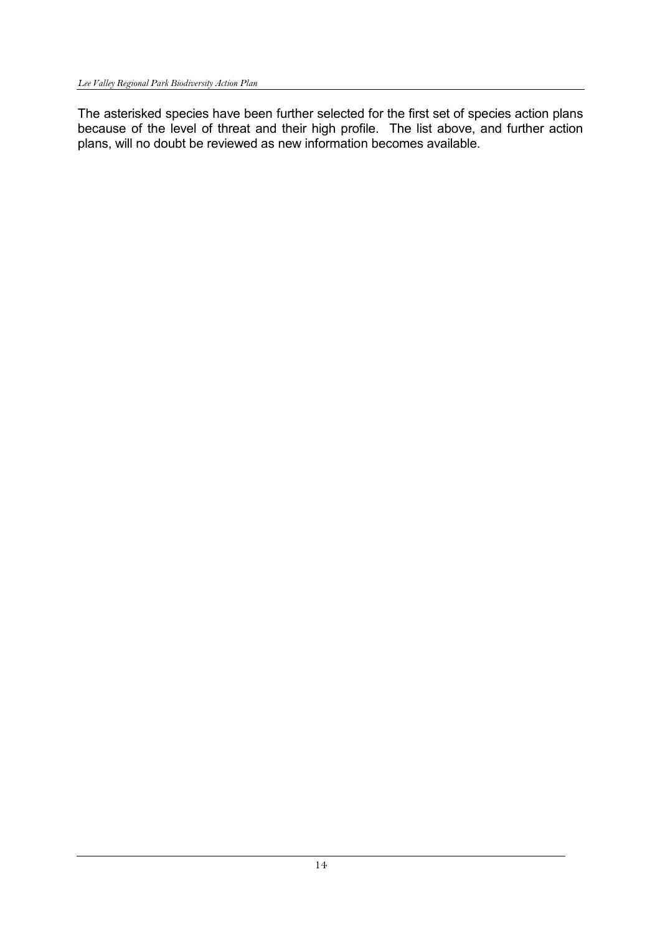The asterisked species have been further selected for the first set of species action plans because of the level of threat and their high profile. The list above, and further action plans, will no doubt be reviewed as new information becomes available.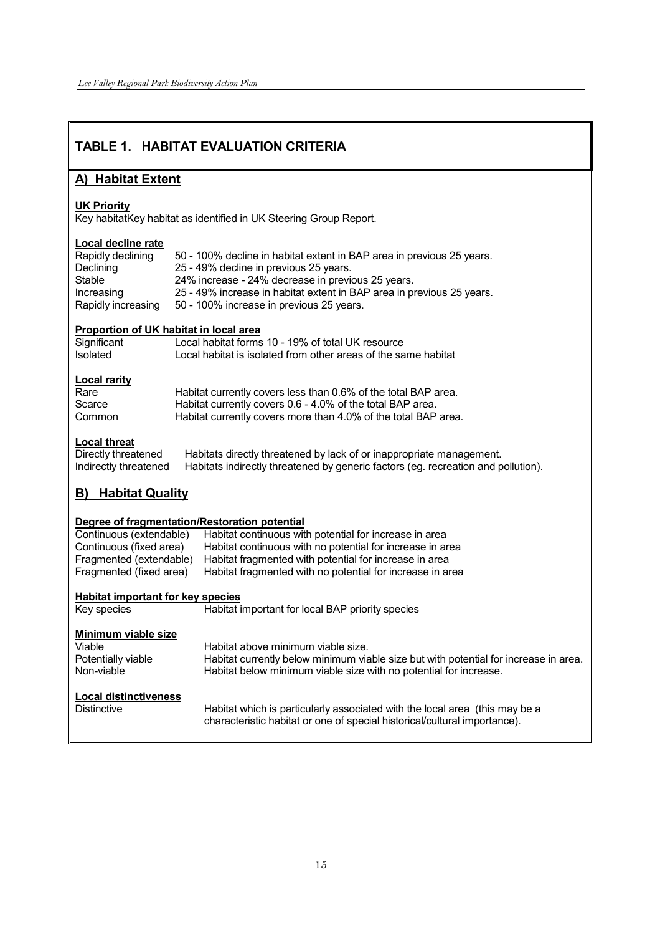# TABLE 1. HABITAT EVALUATION CRITERIA

### A) Habitat Extent

#### UK Priority

Key habitatKey habitat as identified in UK Steering Group Report.

#### Local decline rate

| Rapidly declining  | 50 - 100% decline in habitat extent in BAP area in previous 25 years. |
|--------------------|-----------------------------------------------------------------------|
| Declining          | 25 - 49% decline in previous 25 years.                                |
| Stable             | 24% increase - 24% decrease in previous 25 years.                     |
| Increasing         | 25 - 49% increase in habitat extent in BAP area in previous 25 years. |
| Rapidly increasing | 50 - 100% increase in previous 25 years.                              |
|                    |                                                                       |

#### Proportion of UK habitat in local area

| Significant     | Local habitat forms 10 - 19% of total UK resource              |
|-----------------|----------------------------------------------------------------|
| <b>Isolated</b> | Local habitat is isolated from other areas of the same habitat |

#### Local rarity

| Rare   | Habitat currently covers less than 0.6% of the total BAP area. |
|--------|----------------------------------------------------------------|
| Scarce | Habitat currently covers 0.6 - 4.0% of the total BAP area.     |
| Common | Habitat currently covers more than 4.0% of the total BAP area. |

#### Local threat

| Directly threatened   | Habitats directly threatened by lack of or inappropriate management.              |
|-----------------------|-----------------------------------------------------------------------------------|
| Indirectly threatened | Habitats indirectly threatened by generic factors (eg. recreation and pollution). |

# **B)** Habitat Quality

#### Degree of fragmentation/Restoration potential

| <b>Local distinctiveness</b><br><b>Distinctive</b> | Habitat which is particularly associated with the local area (this may be a          |
|----------------------------------------------------|--------------------------------------------------------------------------------------|
| Non-viable                                         | Habitat below minimum viable size with no potential for increase.                    |
| Potentially viable                                 | Habitat currently below minimum viable size but with potential for increase in area. |
| Viable                                             | Habitat above minimum viable size.                                                   |
| Minimum viable size                                |                                                                                      |
| Key species                                        | Habitat important for local BAP priority species                                     |
| Habitat important for key species                  |                                                                                      |
|                                                    |                                                                                      |
| Fragmented (fixed area)                            | Habitat fragmented with no potential for increase in area                            |
| Fragmented (extendable)                            | Habitat fragmented with potential for increase in area                               |
| Continuous (fixed area)                            | Habitat continuous with no potential for increase in area                            |
| Continuous (extendable)                            | Habitat continuous with potential for increase in area                               |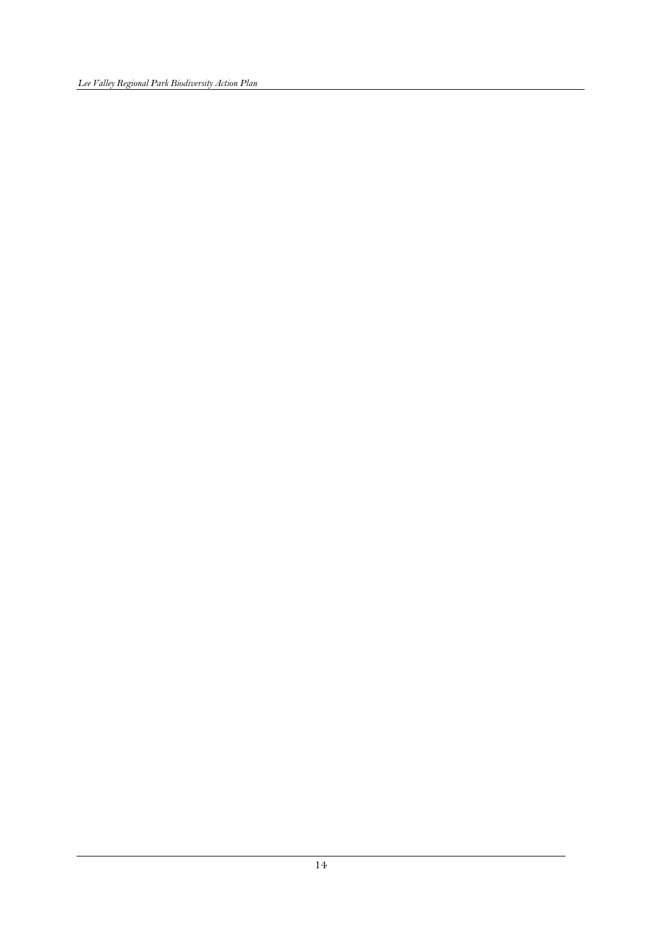Lee Valley Regional Park Biodiversity Action Plan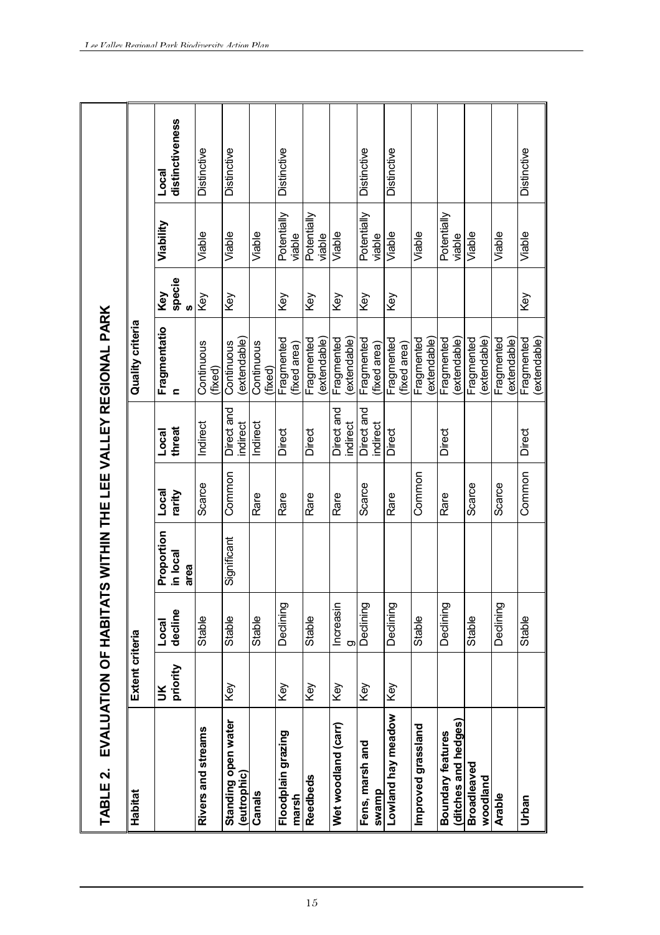| TABLE 2. EVALUATION OF HABITA             |                    |                  |                                |                 |                        | <b>TS WITHIN THE LEE VALLEY REGIONAL PARK</b> |                           |                       |                         |
|-------------------------------------------|--------------------|------------------|--------------------------------|-----------------|------------------------|-----------------------------------------------|---------------------------|-----------------------|-------------------------|
| Habitat                                   | Extent criteria    |                  |                                |                 |                        | Quality criteria                              |                           |                       |                         |
|                                           | priority<br>$\leq$ | decline<br>Local | Proportion<br>in local<br>area | Local<br>rarity | threat<br>Loca         | Fragmentatio<br>$\mathbf{C}$                  | specie<br>Key<br><b>S</b> | Viability             | distinctiveness<br>Loca |
| Rivers and streams                        |                    | Stable           |                                | Scarce          | Indirect               | Continuous<br>(fixed)                         | Key                       | Viable                | Distinctive             |
| Standing open water<br>(eutrophic)        | Key                | Stable           | Significant                    | Common          | Direct and<br>indirect | extendable)<br>Continuous                     | Key                       | Viable                | Distinctive             |
| Canals                                    |                    | Stable           |                                | Rare            | Indirect               | Continuous<br>(fixed)                         |                           | Viable                |                         |
| Floodplain grazing<br>marsh               | Key                | Declining        |                                | Rare            | Direct                 | Fragmented<br>(fixed area)                    | Key                       | Potentially<br>viable | Distinctive             |
| Reedbeds                                  | Key                | Stable           |                                | Rare            | Direct                 | Fragmented<br>(extendable)                    | Key                       | Potentially<br>viable |                         |
| Wet woodland (carr)                       | Key                | Increasin<br>O)  |                                | Rare            | Direct and<br>indirect | extendable)<br>Fragmented                     | Key                       | Viable                |                         |
| Fens, marsh and<br>swamp                  | Key                | Declining        |                                | Scarce          | Direct and<br>indirect | Fragmented<br>(fixed area)                    | Key                       | Potentially<br>viable | Distinctive             |
| Lowland hay meadow                        | Key                | Declining        |                                | Rare            | Direct                 | Fragmented<br>fixed area)                     | Key                       | Viable                | Distinctive             |
| Improved grassland                        |                    | Stable           |                                | Common          |                        | Fragmented<br>extendable)                     |                           | Viable                |                         |
| (ditches and hedges)<br>Boundary features |                    | Declining        |                                | Rare            | Direct                 | Fragmented<br>extendable)                     |                           | Potentially<br>viable |                         |
| <b>Broadleaved</b><br>woodland            |                    | Stable           |                                | Scarce          |                        | extendable)<br>Fragmented                     |                           | Viable                |                         |
| <b>Arable</b>                             |                    | Declining        |                                | Scarce          |                        | extendable)<br>Fragmented                     |                           | Viable                |                         |
| Urban                                     |                    | Stable           |                                | Common          | Direct                 | Fragmented<br>(extendable)                    | Key                       | Viable                | Distinctive             |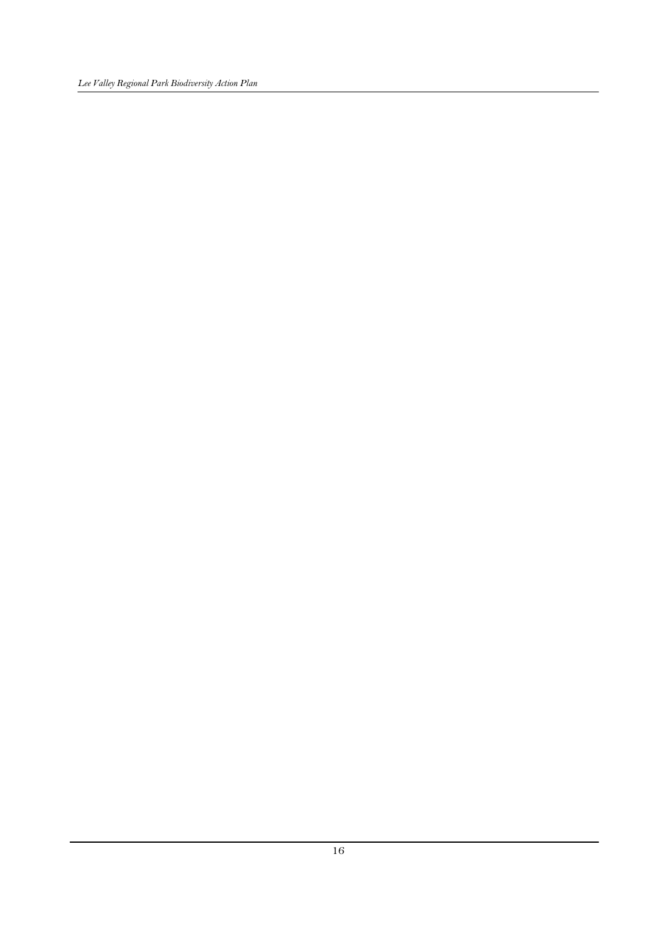Lee Valley Regional Park Biodiversity Action Plan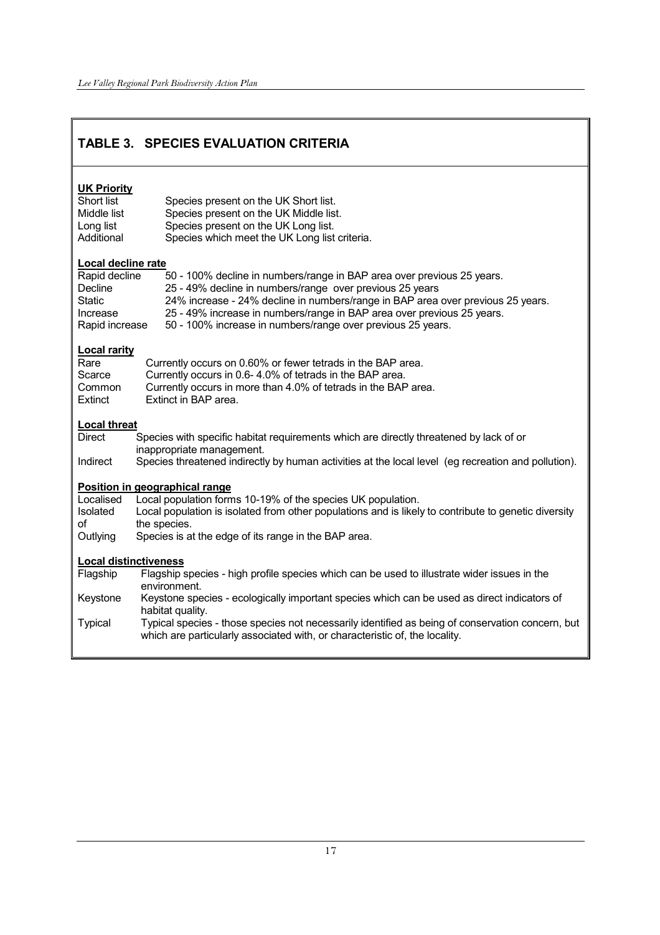# TABLE 3. SPECIES EVALUATION CRITERIA

| <b>UK Priority</b><br>Short list<br>Middle list<br>Long list<br>Additional | Species present on the UK Short list.<br>Species present on the UK Middle list.<br>Species present on the UK Long list.<br>Species which meet the UK Long list criteria.                                                                                                                                                                                       |
|----------------------------------------------------------------------------|----------------------------------------------------------------------------------------------------------------------------------------------------------------------------------------------------------------------------------------------------------------------------------------------------------------------------------------------------------------|
| Local decline rate                                                         |                                                                                                                                                                                                                                                                                                                                                                |
| Rapid decline<br>Decline<br><b>Static</b><br>Increase<br>Rapid increase    | 50 - 100% decline in numbers/range in BAP area over previous 25 years.<br>25 - 49% decline in numbers/range over previous 25 years<br>24% increase - 24% decline in numbers/range in BAP area over previous 25 years.<br>25 - 49% increase in numbers/range in BAP area over previous 25 years.<br>50 - 100% increase in numbers/range over previous 25 years. |
| <b>Local rarity</b><br>Rare<br>Scarce<br>Common<br>Extinct                 | Currently occurs on 0.60% or fewer tetrads in the BAP area.<br>Currently occurs in 0.6-4.0% of tetrads in the BAP area.<br>Currently occurs in more than 4.0% of tetrads in the BAP area.<br>Extinct in BAP area.                                                                                                                                              |
| <b>Local threat</b><br><b>Direct</b>                                       | Species with specific habitat requirements which are directly threatened by lack of or                                                                                                                                                                                                                                                                         |
| Indirect                                                                   | inappropriate management.<br>Species threatened indirectly by human activities at the local level (eg recreation and pollution).                                                                                                                                                                                                                               |
| Localised<br>Isolated<br>of<br>Outlying                                    | Position in geographical range<br>Local population forms 10-19% of the species UK population.<br>Local population is isolated from other populations and is likely to contribute to genetic diversity<br>the species.<br>Species is at the edge of its range in the BAP area.                                                                                  |
| <b>Local distinctiveness</b>                                               |                                                                                                                                                                                                                                                                                                                                                                |
| Flagship                                                                   | Flagship species - high profile species which can be used to illustrate wider issues in the<br>environment.                                                                                                                                                                                                                                                    |
| Keystone                                                                   | Keystone species - ecologically important species which can be used as direct indicators of<br>habitat quality.                                                                                                                                                                                                                                                |
| Typical                                                                    | Typical species - those species not necessarily identified as being of conservation concern, but<br>which are particularly associated with, or characteristic of, the locality.                                                                                                                                                                                |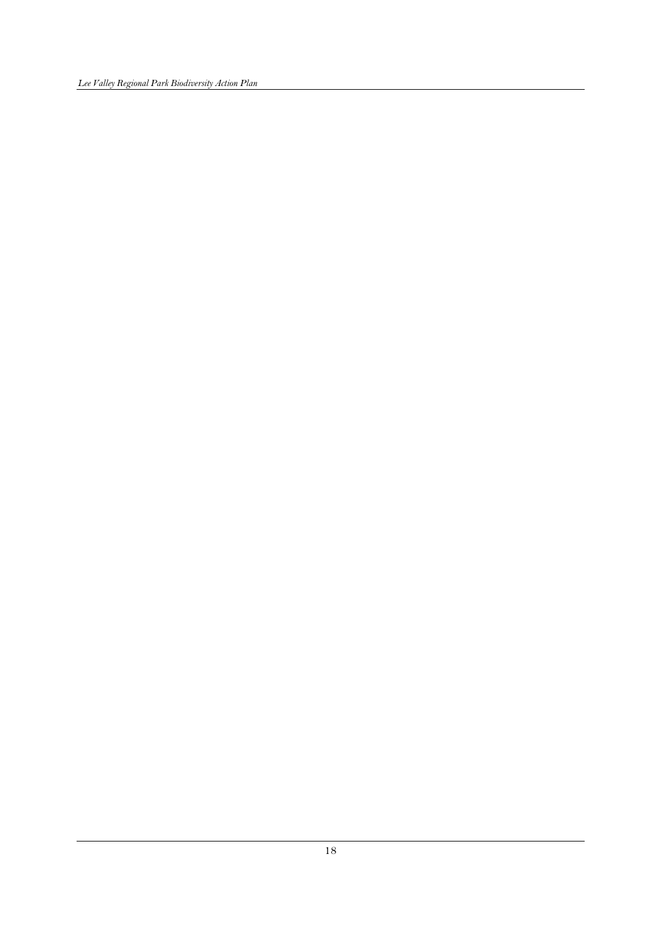Lee Valley Regional Park Biodiversity Action Plan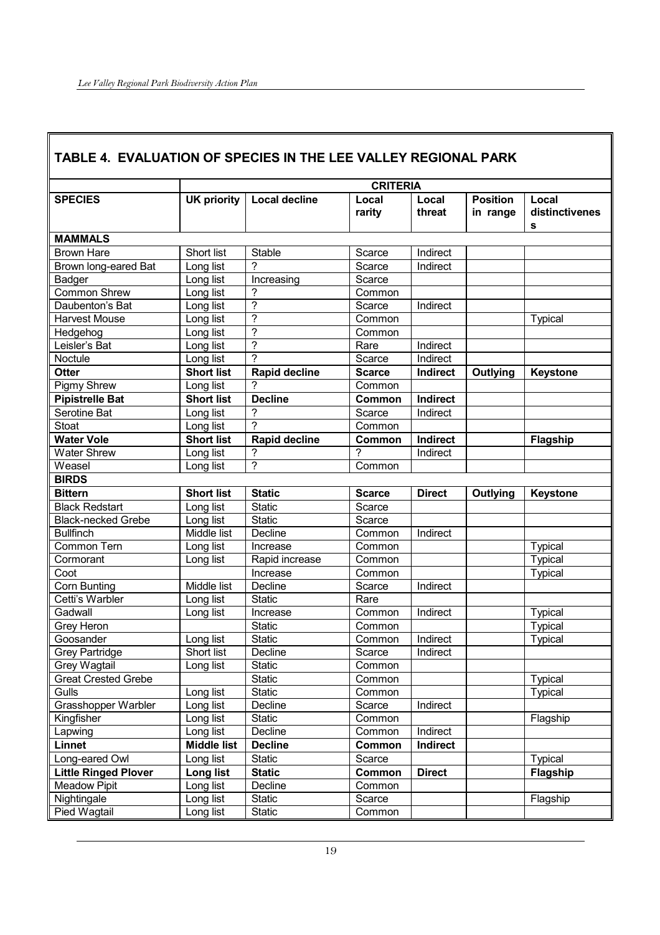| TABLE 4. EVALUATION OF SPECIES IN THE LEE VALLEY REGIONAL PARK |                    |                          |                 |                 |                             |                              |
|----------------------------------------------------------------|--------------------|--------------------------|-----------------|-----------------|-----------------------------|------------------------------|
|                                                                | <b>CRITERIA</b>    |                          |                 |                 |                             |                              |
| <b>SPECIES</b>                                                 | <b>UK priority</b> | <b>Local decline</b>     | Local<br>rarity | Local<br>threat | <b>Position</b><br>in range | Local<br>distinctivenes<br>s |
| <b>MAMMALS</b>                                                 |                    |                          |                 |                 |                             |                              |
| <b>Brown Hare</b>                                              | <b>Short list</b>  | Stable                   | Scarce          | Indirect        |                             |                              |
| Brown long-eared Bat                                           | Long list          | ?                        | Scarce          | Indirect        |                             |                              |
| Badger                                                         | Long list          | Increasing               | Scarce          |                 |                             |                              |
| <b>Common Shrew</b>                                            | Long list          | ?                        | Common          |                 |                             |                              |
| Daubenton's Bat                                                | Long list          | $\overline{?}$           | Scarce          | Indirect        |                             |                              |
| <b>Harvest Mouse</b>                                           | Long list          | $\overline{\phantom{0}}$ | Common          |                 |                             | <b>Typical</b>               |
| Hedgehog                                                       | Long list          | $\overline{\mathcal{E}}$ | Common          |                 |                             |                              |
| Leisler's Bat                                                  | Long list          | $\overline{\phantom{0}}$ | Rare            | Indirect        |                             |                              |
| Noctule                                                        | Long list          | ?                        | Scarce          | <b>Indirect</b> |                             |                              |
| <b>Otter</b>                                                   | <b>Short list</b>  | <b>Rapid decline</b>     | <b>Scarce</b>   | Indirect        | Outlying                    | <b>Keystone</b>              |
| <b>Pigmy Shrew</b>                                             | Long list          |                          | Common          |                 |                             |                              |
| <b>Pipistrelle Bat</b>                                         | <b>Short list</b>  | <b>Decline</b>           | Common          | <b>Indirect</b> |                             |                              |
| Serotine Bat                                                   | Long list          | ?                        | Scarce          | Indirect        |                             |                              |
| Stoat                                                          | Long list          | 2                        | Common          |                 |                             |                              |
| <b>Water Vole</b>                                              | <b>Short list</b>  | <b>Rapid decline</b>     | Common          | Indirect        |                             | Flagship                     |
| <b>Water Shrew</b>                                             | Long list          | ?                        | ?               | Indirect        |                             |                              |
| Weasel                                                         | Long list          | $\overline{\phantom{0}}$ | Common          |                 |                             |                              |
| <b>BIRDS</b>                                                   |                    |                          |                 |                 |                             |                              |
| <b>Bittern</b>                                                 | <b>Short list</b>  | <b>Static</b>            | <b>Scarce</b>   | <b>Direct</b>   | Outlying                    | <b>Keystone</b>              |
| <b>Black Redstart</b>                                          | Long list          | <b>Static</b>            | Scarce          |                 |                             |                              |
| <b>Black-necked Grebe</b>                                      | Long list          | Static                   | Scarce          |                 |                             |                              |
| <b>Bullfinch</b>                                               | Middle list        | Decline                  | Common          | Indirect        |                             |                              |
| Common Tern                                                    | Long list          | Increase                 | Common          |                 |                             | <b>Typical</b>               |
| Cormorant                                                      | Long list          | Rapid increase           | Common          |                 |                             | <b>Typical</b>               |
| Coot                                                           |                    | Increase                 | Common          |                 |                             | Typical                      |
| Corn Bunting                                                   | <b>Middle list</b> | Decline                  | Scarce          | Indirect        |                             |                              |
| Cetti's Warbler                                                | Long list          | <b>Static</b>            | Rare            |                 |                             |                              |
| Gadwall                                                        | Long list          | Increase                 | Common          | Indirect        |                             | <b>Typical</b>               |
| Grey Heron                                                     |                    | <b>Static</b>            | Common          |                 |                             | Typical                      |
| Goosander                                                      | Long list          | <b>Static</b>            | Common          | Indirect        |                             | Typical                      |
| <b>Grey Partridge</b>                                          | Short list         | Decline                  | Scarce          | Indirect        |                             |                              |
| <b>Grey Wagtail</b>                                            | Long list          | Static                   | Common          |                 |                             |                              |
| <b>Great Crested Grebe</b>                                     |                    | <b>Static</b>            | Common          |                 |                             | <b>Typical</b>               |
| Gulls                                                          | Long list          | Static                   | Common          |                 |                             | Typical                      |
| Grasshopper Warbler                                            | Long list          | Decline                  | Scarce          | Indirect        |                             |                              |
| Kingfisher                                                     | Long list          | Static                   | Common          |                 |                             | Flagship                     |
| Lapwing                                                        | Long list          | Decline                  | Common          | Indirect        |                             |                              |
| <b>Linnet</b>                                                  | <b>Middle list</b> | <b>Decline</b>           | Common          | Indirect        |                             |                              |
| Long-eared Owl                                                 | Long list          | <b>Static</b>            | Scarce          |                 |                             | <b>Typical</b>               |
| <b>Little Ringed Plover</b>                                    | <b>Long list</b>   | <b>Static</b>            | Common          | <b>Direct</b>   |                             | <b>Flagship</b>              |
| <b>Meadow Pipit</b>                                            | Long list          | Decline                  | Common          |                 |                             |                              |
| Nightingale                                                    | Long list          | <b>Static</b>            | Scarce          |                 |                             | Flagship                     |
| Pied Wagtail                                                   | Long list          | <b>Static</b>            | Common          |                 |                             |                              |

#### 19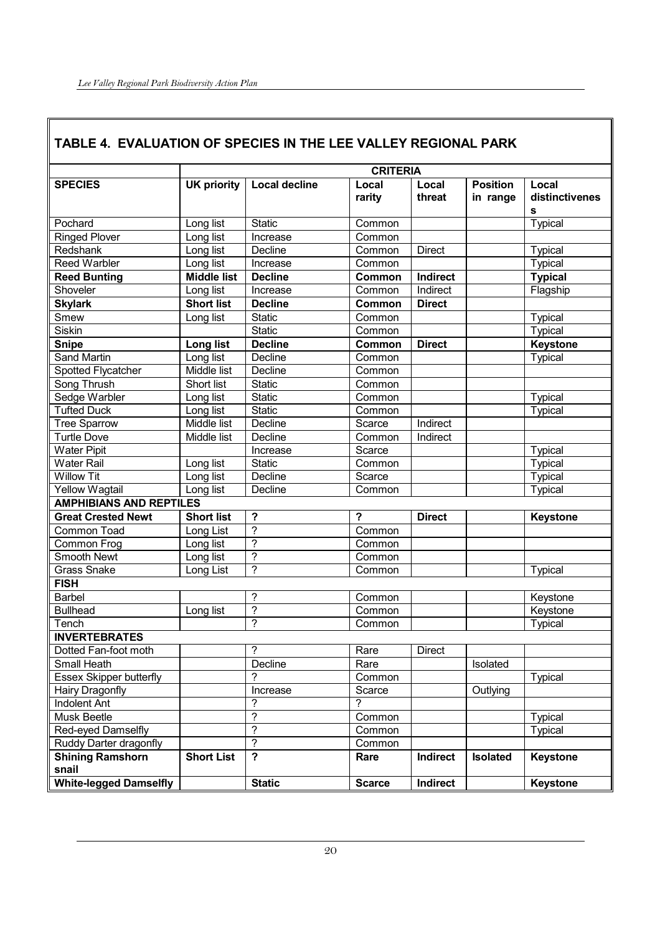#### TABLE 4. EVALUATION OF SPECIES IN THE LEE VALLEY REGIONAL PARK **CRITERIA** SPECIES UK priority Local decline Local rarity Local threat **Position** in range Local distinctivenes s Pochard | Long list | Static | Common | | Typical Ringed Plover Long list Increase Common<br>
Redshank Long list Decline Common Redshank Long list Decline Common Direct Typical Reed Warbler Long list Increase Common Typical Reed Bunting Middle list Decline | Common | Indirect | Typical Shoveler **Long list Increase** Common Indirect **Common Indirect** Flagship Skylark | Short list | Decline | Common | Direct Smew | Long list | Static | Common | | Typical Siskin | | Static | Common | | | Typical Snipe | Long list | Decline | Common | Direct | | Keystone Sand Martin 
Long list Decline Common | Typical Spotted Flycatcher Middle list Decline Common Song Thrush Short list Static Common Sedge Warbler Long list Static Common Typical Tufted Duck Long list Static Common Typical Tree Sparrow | Middle list | Decline | Scarce | Indirect Turtle Dove | Middle list | Decline | Common | Indirect Water Pipit Increase Scarce | Typical Water Rail | Long list | Static | Common | | Typical Willow Tit Long list Decline Scarce Typical Yellow Wagtail Long list Decline Common Typical AMPHIBIANS AND REPTILES Great Crested Newt Short list ? ? Direct Keystone Common Toad Long List ? Common<br>
Common Frog Long list ? Common Common Frog Long list ?<br>
Smooth Newt Long list ? Common Smooth Newt Long list 2<br>
Grass Snake Long List 2<br>
Common Grass Snake Long List ? Common Common Typical **FISH** Barbel ? Common Keystone Bullhead | Long list | ? | Common | | | Keystone Tench | |? | Common | | | Typical INVERTEBRATES Dotted Fan-foot moth 2 are Rare Direct Small Heath **Decline** Rare **Rare** Isolated Essex Skipper butterfly ? Common Typical Hairy Dragonfly<br>
Increase Scarce Outlying<br>
12<br>
2<br>
2<br>
2 Problem Ant and the common wave of the common and the common of the common of the common of the common of the common of the common of the common of the common of the common of the common of the common of the common of the Musk Beetle | |? | Common | | | Typical Red-eyed Damselfly 2<br>
Ruddy Darter dragonfly 2<br>
2<br>
Common Common Common Typical Ruddy Darter dragonfly and research in the common common common common common common common common common common common common common common common common common common common common common common common common common comm Shining Ramshorn snail Short List | ? The Rare | Indirect | Isolated | Keystone White-legged Damselfly Static Scarce Indirect Keystone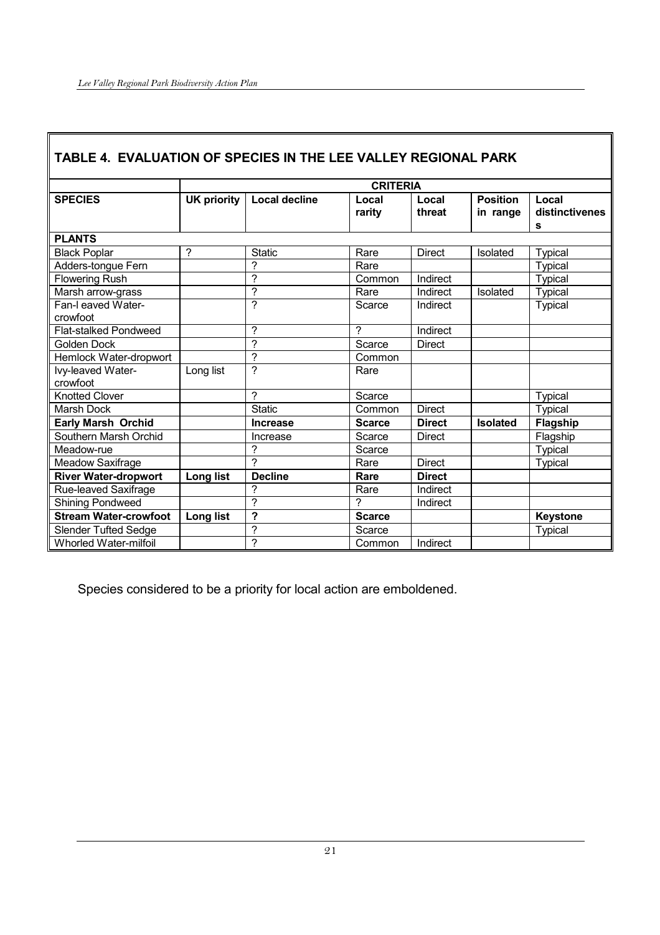| TABLE 4. EVALUATION OF SPECIES IN THE LEE VALLEY REGIONAL PARK |                    |                          |                                    |                 |                             |                              |  |
|----------------------------------------------------------------|--------------------|--------------------------|------------------------------------|-----------------|-----------------------------|------------------------------|--|
| <b>SPECIES</b>                                                 | <b>UK priority</b> | <b>Local decline</b>     | <b>CRITERIA</b><br>Local<br>rarity | Local<br>threat | <b>Position</b><br>in range | Local<br>distinctivenes<br>S |  |
| <b>PLANTS</b>                                                  |                    |                          |                                    |                 |                             |                              |  |
| <b>Black Poplar</b>                                            | ?                  | <b>Static</b>            | Rare                               | <b>Direct</b>   | Isolated                    | Typical                      |  |
| Adders-tongue Fern                                             |                    | ?                        | Rare                               |                 |                             | Typical                      |  |
| <b>Flowering Rush</b>                                          |                    | ?                        | Common                             | Indirect        |                             | Typical                      |  |
| Marsh arrow-grass                                              |                    | $\overline{\phantom{a}}$ | Rare                               | Indirect        | Isolated                    | <b>Typical</b>               |  |
| Fan-I eaved Water-<br>crowfoot                                 |                    | ?                        | Scarce                             | Indirect        |                             | Typical                      |  |
| <b>Flat-stalked Pondweed</b>                                   |                    | ?                        | ?                                  | Indirect        |                             |                              |  |
| Golden Dock                                                    |                    | ?                        | Scarce                             | <b>Direct</b>   |                             |                              |  |
| Hemlock Water-dropwort                                         |                    | $\overline{?}$           | Common                             |                 |                             |                              |  |
| Ivy-leaved Water-<br>crowfoot                                  | Long list          | ?                        | Rare                               |                 |                             |                              |  |
| <b>Knotted Clover</b>                                          |                    | 2                        | Scarce                             |                 |                             | <b>Typical</b>               |  |
| Marsh Dock                                                     |                    | <b>Static</b>            | Common                             | <b>Direct</b>   |                             | <b>Typical</b>               |  |
| Early Marsh Orchid                                             |                    | <b>Increase</b>          | <b>Scarce</b>                      | <b>Direct</b>   | <b>Isolated</b>             | Flagship                     |  |
| Southern Marsh Orchid                                          |                    | Increase                 | Scarce                             | <b>Direct</b>   |                             | Flagship                     |  |
| Meadow-rue                                                     |                    | ?                        | Scarce                             |                 |                             | Typical                      |  |
| <b>Meadow Saxifrage</b>                                        |                    | $\gamma$                 | Rare                               | <b>Direct</b>   |                             | <b>Typical</b>               |  |
| <b>River Water-dropwort</b>                                    | <b>Long list</b>   | <b>Decline</b>           | Rare                               | <b>Direct</b>   |                             |                              |  |
| <b>Rue-leaved Saxifrage</b>                                    |                    | ?                        | Rare                               | Indirect        |                             |                              |  |
| <b>Shining Pondweed</b>                                        |                    | ?                        | ?                                  | Indirect        |                             |                              |  |
| <b>Stream Water-crowfoot</b>                                   | <b>Long list</b>   | ?                        | <b>Scarce</b>                      |                 |                             | <b>Keystone</b>              |  |
| <b>Slender Tufted Sedge</b>                                    |                    | ?                        | Scarce                             |                 |                             | Typical                      |  |
| <b>Whorled Water-milfoil</b>                                   |                    | ?                        | Common                             | Indirect        |                             |                              |  |

Species considered to be a priority for local action are emboldened.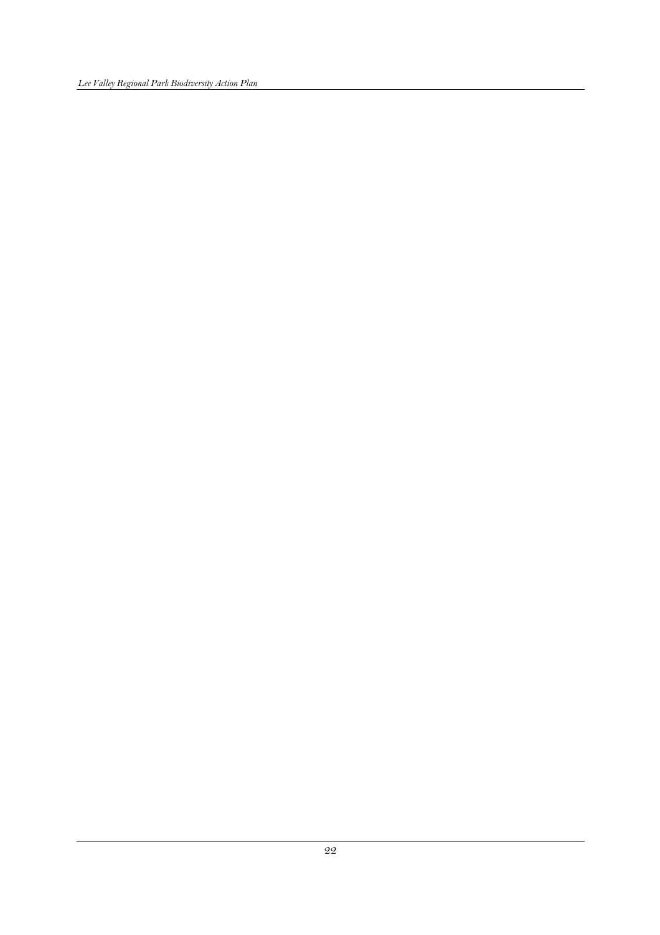Lee Valley Regional Park Biodiversity Action Plan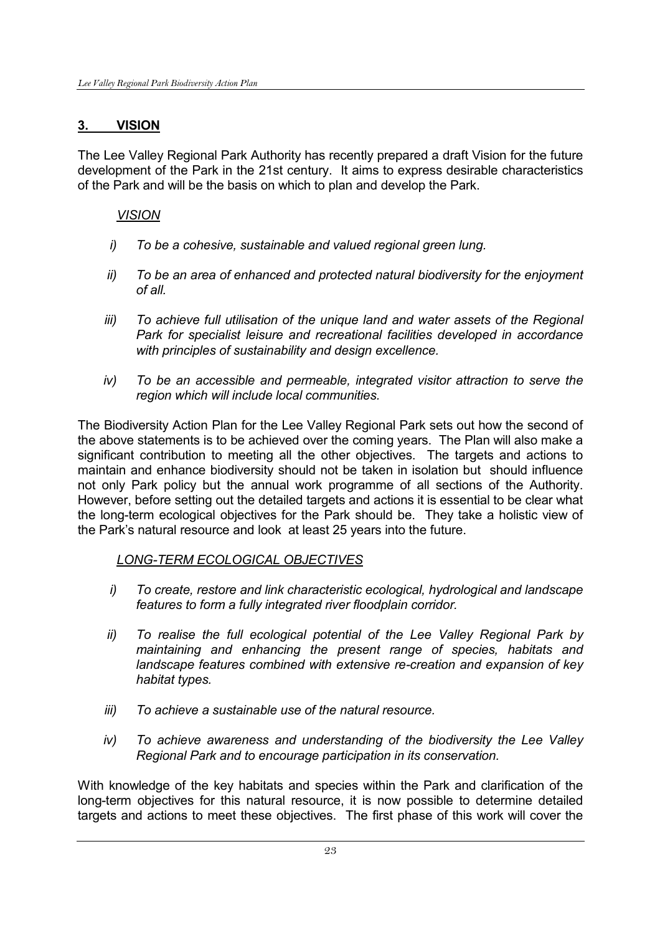# 3. VISION

The Lee Valley Regional Park Authority has recently prepared a draft Vision for the future development of the Park in the 21st century. It aims to express desirable characteristics of the Park and will be the basis on which to plan and develop the Park.

# **VISION**

- i) To be a cohesive, sustainable and valued regional green lung.
- ii) To be an area of enhanced and protected natural biodiversity for the enjoyment of all.
- iii) To achieve full utilisation of the unique land and water assets of the Regional Park for specialist leisure and recreational facilities developed in accordance with principles of sustainability and design excellence.
- iv) To be an accessible and permeable, integrated visitor attraction to serve the region which will include local communities.

The Biodiversity Action Plan for the Lee Valley Regional Park sets out how the second of the above statements is to be achieved over the coming years. The Plan will also make a significant contribution to meeting all the other objectives. The targets and actions to maintain and enhance biodiversity should not be taken in isolation but should influence not only Park policy but the annual work programme of all sections of the Authority. However, before setting out the detailed targets and actions it is essential to be clear what the long-term ecological objectives for the Park should be. They take a holistic view of the Park's natural resource and look at least 25 years into the future.

# LONG-TERM ECOLOGICAL OBJECTIVES

- i) To create, restore and link characteristic ecological, hydrological and landscape features to form a fully integrated river floodplain corridor.
- ii) To realise the full ecological potential of the Lee Valley Regional Park by maintaining and enhancing the present range of species, habitats and landscape features combined with extensive re-creation and expansion of key habitat types.
- iii) To achieve a sustainable use of the natural resource.
- iv) To achieve awareness and understanding of the biodiversity the Lee Valley Regional Park and to encourage participation in its conservation.

With knowledge of the key habitats and species within the Park and clarification of the long-term objectives for this natural resource, it is now possible to determine detailed targets and actions to meet these objectives. The first phase of this work will cover the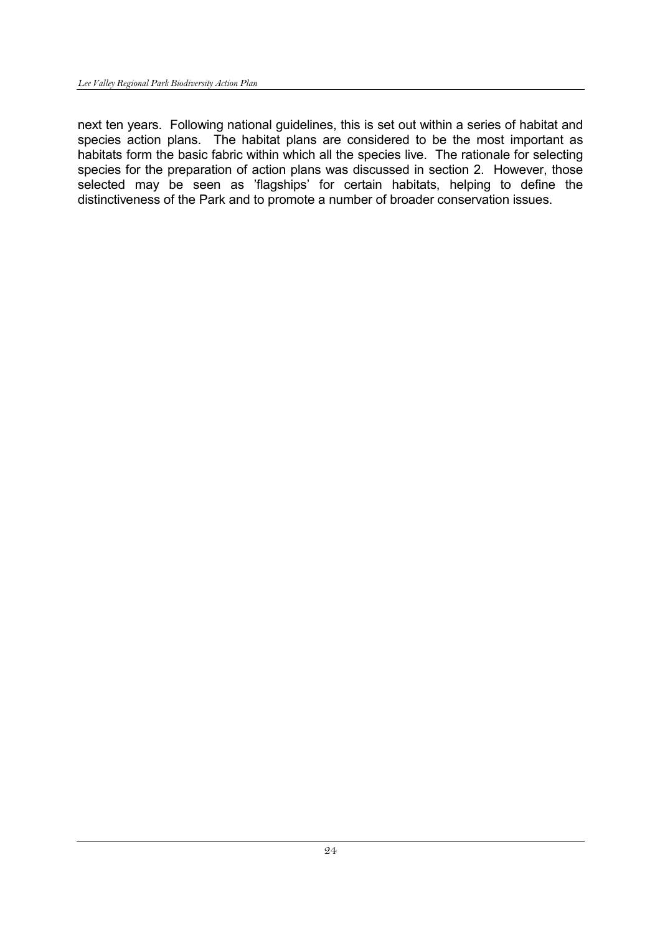next ten years. Following national guidelines, this is set out within a series of habitat and species action plans. The habitat plans are considered to be the most important as habitats form the basic fabric within which all the species live. The rationale for selecting species for the preparation of action plans was discussed in section 2. However, those selected may be seen as 'flagships' for certain habitats, helping to define the distinctiveness of the Park and to promote a number of broader conservation issues.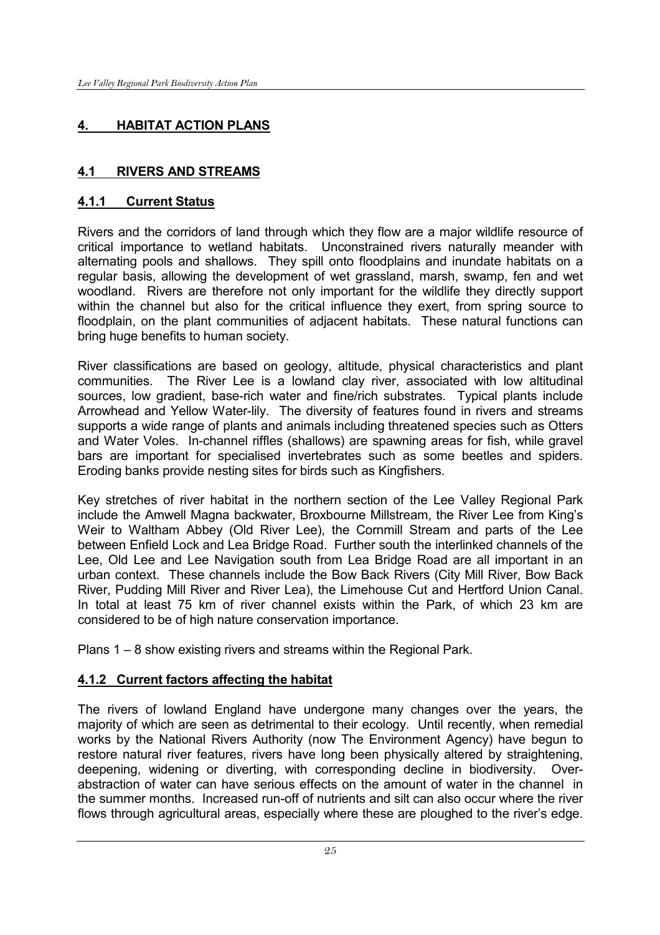# 4. HABITAT ACTION PLANS

# 4.1 RIVERS AND STREAMS

# 4.1.1 Current Status

Rivers and the corridors of land through which they flow are a major wildlife resource of critical importance to wetland habitats. Unconstrained rivers naturally meander with alternating pools and shallows. They spill onto floodplains and inundate habitats on a regular basis, allowing the development of wet grassland, marsh, swamp, fen and wet woodland. Rivers are therefore not only important for the wildlife they directly support within the channel but also for the critical influence they exert, from spring source to floodplain, on the plant communities of adjacent habitats. These natural functions can bring huge benefits to human society.

River classifications are based on geology, altitude, physical characteristics and plant communities. The River Lee is a lowland clay river, associated with low altitudinal sources, low gradient, base-rich water and fine/rich substrates. Typical plants include Arrowhead and Yellow Water-lily. The diversity of features found in rivers and streams supports a wide range of plants and animals including threatened species such as Otters and Water Voles. In-channel riffles (shallows) are spawning areas for fish, while gravel bars are important for specialised invertebrates such as some beetles and spiders. Eroding banks provide nesting sites for birds such as Kingfishers.

Key stretches of river habitat in the northern section of the Lee Valley Regional Park include the Amwell Magna backwater, Broxbourne Millstream, the River Lee from King's Weir to Waltham Abbey (Old River Lee), the Cornmill Stream and parts of the Lee between Enfield Lock and Lea Bridge Road. Further south the interlinked channels of the Lee, Old Lee and Lee Navigation south from Lea Bridge Road are all important in an urban context. These channels include the Bow Back Rivers (City Mill River, Bow Back River, Pudding Mill River and River Lea), the Limehouse Cut and Hertford Union Canal. In total at least 75 km of river channel exists within the Park, of which 23 km are considered to be of high nature conservation importance.

Plans 1 – 8 show existing rivers and streams within the Regional Park.

# 4.1.2 Current factors affecting the habitat

The rivers of lowland England have undergone many changes over the years, the majority of which are seen as detrimental to their ecology. Until recently, when remedial works by the National Rivers Authority (now The Environment Agency) have begun to restore natural river features, rivers have long been physically altered by straightening, deepening, widening or diverting, with corresponding decline in biodiversity. Overabstraction of water can have serious effects on the amount of water in the channel in the summer months. Increased run-off of nutrients and silt can also occur where the river flows through agricultural areas, especially where these are ploughed to the river's edge.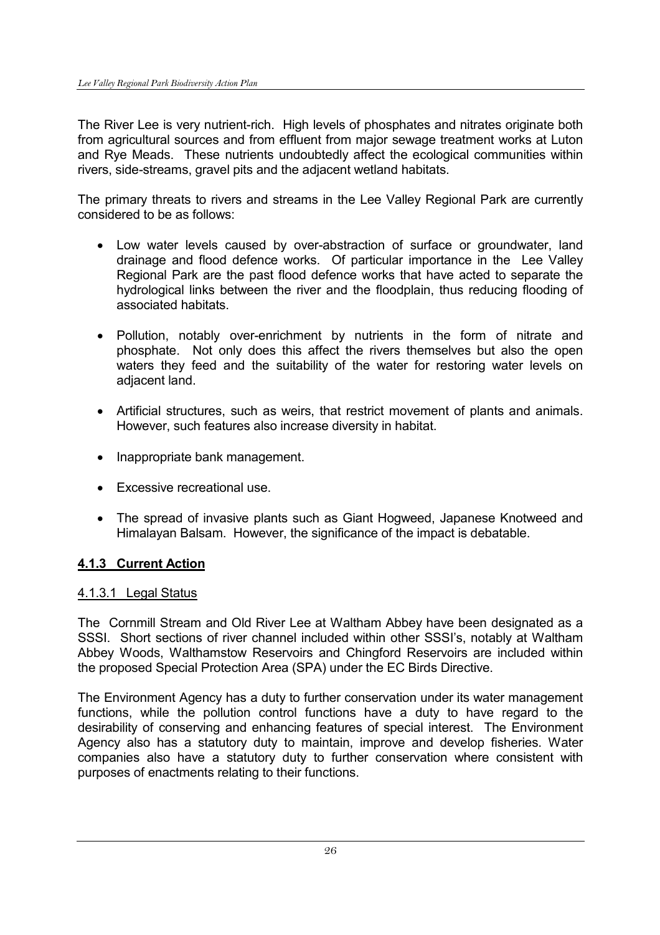The River Lee is very nutrient-rich. High levels of phosphates and nitrates originate both from agricultural sources and from effluent from major sewage treatment works at Luton and Rye Meads. These nutrients undoubtedly affect the ecological communities within rivers, side-streams, gravel pits and the adjacent wetland habitats.

The primary threats to rivers and streams in the Lee Valley Regional Park are currently considered to be as follows:

- Low water levels caused by over-abstraction of surface or groundwater, land drainage and flood defence works. Of particular importance in the Lee Valley Regional Park are the past flood defence works that have acted to separate the hydrological links between the river and the floodplain, thus reducing flooding of associated habitats.
- Pollution, notably over-enrichment by nutrients in the form of nitrate and phosphate. Not only does this affect the rivers themselves but also the open waters they feed and the suitability of the water for restoring water levels on adjacent land.
- Artificial structures, such as weirs, that restrict movement of plants and animals. However, such features also increase diversity in habitat.
- Inappropriate bank management.
- Excessive recreational use.
- The spread of invasive plants such as Giant Hogweed, Japanese Knotweed and Himalayan Balsam. However, the significance of the impact is debatable.

# 4.1.3 Current Action

# 4.1.3.1 Legal Status

The Cornmill Stream and Old River Lee at Waltham Abbey have been designated as a SSSI. Short sections of river channel included within other SSSI's, notably at Waltham Abbey Woods, Walthamstow Reservoirs and Chingford Reservoirs are included within the proposed Special Protection Area (SPA) under the EC Birds Directive.

The Environment Agency has a duty to further conservation under its water management functions, while the pollution control functions have a duty to have regard to the desirability of conserving and enhancing features of special interest. The Environment Agency also has a statutory duty to maintain, improve and develop fisheries. Water companies also have a statutory duty to further conservation where consistent with purposes of enactments relating to their functions.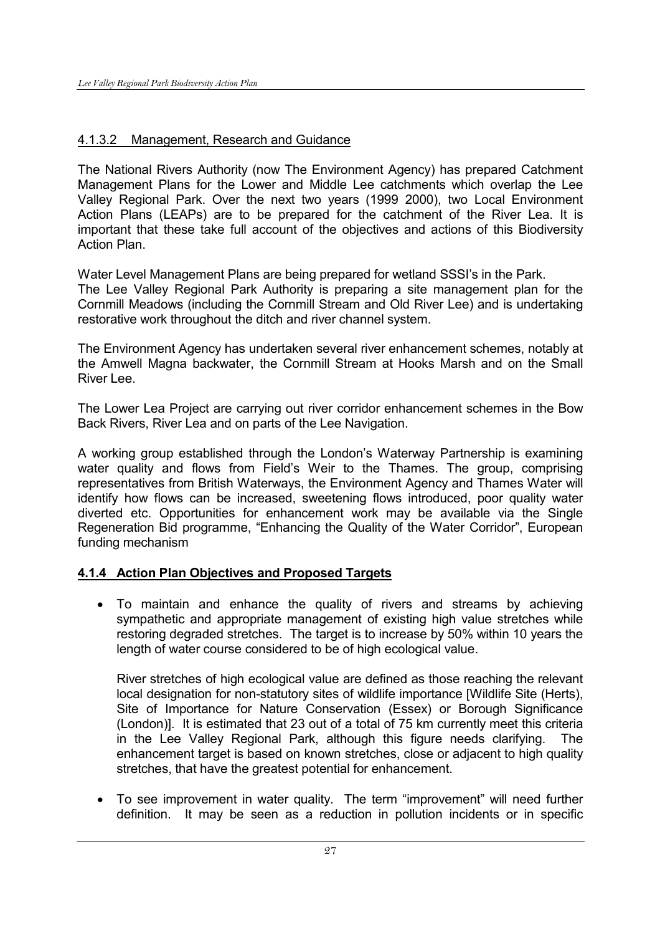# 4.1.3.2 Management, Research and Guidance

The National Rivers Authority (now The Environment Agency) has prepared Catchment Management Plans for the Lower and Middle Lee catchments which overlap the Lee Valley Regional Park. Over the next two years (1999 2000), two Local Environment Action Plans (LEAPs) are to be prepared for the catchment of the River Lea. It is important that these take full account of the objectives and actions of this Biodiversity Action Plan.

Water Level Management Plans are being prepared for wetland SSSI's in the Park.

The Lee Valley Regional Park Authority is preparing a site management plan for the Cornmill Meadows (including the Cornmill Stream and Old River Lee) and is undertaking restorative work throughout the ditch and river channel system.

The Environment Agency has undertaken several river enhancement schemes, notably at the Amwell Magna backwater, the Cornmill Stream at Hooks Marsh and on the Small River Lee.

The Lower Lea Project are carrying out river corridor enhancement schemes in the Bow Back Rivers, River Lea and on parts of the Lee Navigation.

A working group established through the London's Waterway Partnership is examining water quality and flows from Field's Weir to the Thames. The group, comprising representatives from British Waterways, the Environment Agency and Thames Water will identify how flows can be increased, sweetening flows introduced, poor quality water diverted etc. Opportunities for enhancement work may be available via the Single Regeneration Bid programme, "Enhancing the Quality of the Water Corridor", European funding mechanism

# 4.1.4 Action Plan Objectives and Proposed Targets

• To maintain and enhance the quality of rivers and streams by achieving sympathetic and appropriate management of existing high value stretches while restoring degraded stretches. The target is to increase by 50% within 10 years the length of water course considered to be of high ecological value.

River stretches of high ecological value are defined as those reaching the relevant local designation for non-statutory sites of wildlife importance [Wildlife Site (Herts), Site of Importance for Nature Conservation (Essex) or Borough Significance (London)]. It is estimated that 23 out of a total of 75 km currently meet this criteria in the Lee Valley Regional Park, although this figure needs clarifying. The enhancement target is based on known stretches, close or adjacent to high quality stretches, that have the greatest potential for enhancement.

• To see improvement in water quality. The term "improvement" will need further definition. It may be seen as a reduction in pollution incidents or in specific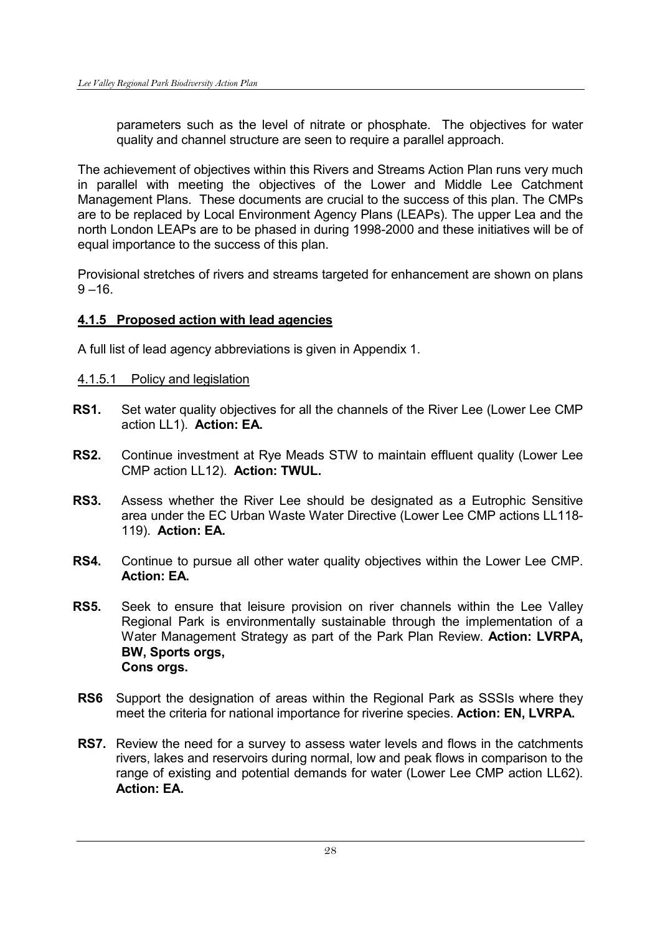parameters such as the level of nitrate or phosphate. The objectives for water quality and channel structure are seen to require a parallel approach.

The achievement of objectives within this Rivers and Streams Action Plan runs very much in parallel with meeting the objectives of the Lower and Middle Lee Catchment Management Plans. These documents are crucial to the success of this plan. The CMPs are to be replaced by Local Environment Agency Plans (LEAPs). The upper Lea and the north London LEAPs are to be phased in during 1998-2000 and these initiatives will be of equal importance to the success of this plan.

Provisional stretches of rivers and streams targeted for enhancement are shown on plans  $9 - 16$ .

### 4.1.5 Proposed action with lead agencies

A full list of lead agency abbreviations is given in Appendix 1.

### 4.1.5.1 Policy and legislation

- RS1. Set water quality objectives for all the channels of the River Lee (Lower Lee CMP action LL1). Action: EA.
- RS2. Continue investment at Rye Meads STW to maintain effluent quality (Lower Lee CMP action LL12). Action: TWUL.
- RS3. Assess whether the River Lee should be designated as a Eutrophic Sensitive area under the EC Urban Waste Water Directive (Lower Lee CMP actions LL118- 119). Action: EA.
- RS4. Continue to pursue all other water quality objectives within the Lower Lee CMP. Action: EA.
- RS5. Seek to ensure that leisure provision on river channels within the Lee Valley Regional Park is environmentally sustainable through the implementation of a Water Management Strategy as part of the Park Plan Review. Action: LVRPA, BW, Sports orgs, Cons orgs.
- RS6 Support the designation of areas within the Regional Park as SSSIs where they meet the criteria for national importance for riverine species. Action: EN, LVRPA.
- RS7. Review the need for a survey to assess water levels and flows in the catchments rivers, lakes and reservoirs during normal, low and peak flows in comparison to the range of existing and potential demands for water (Lower Lee CMP action LL62). Action: EA.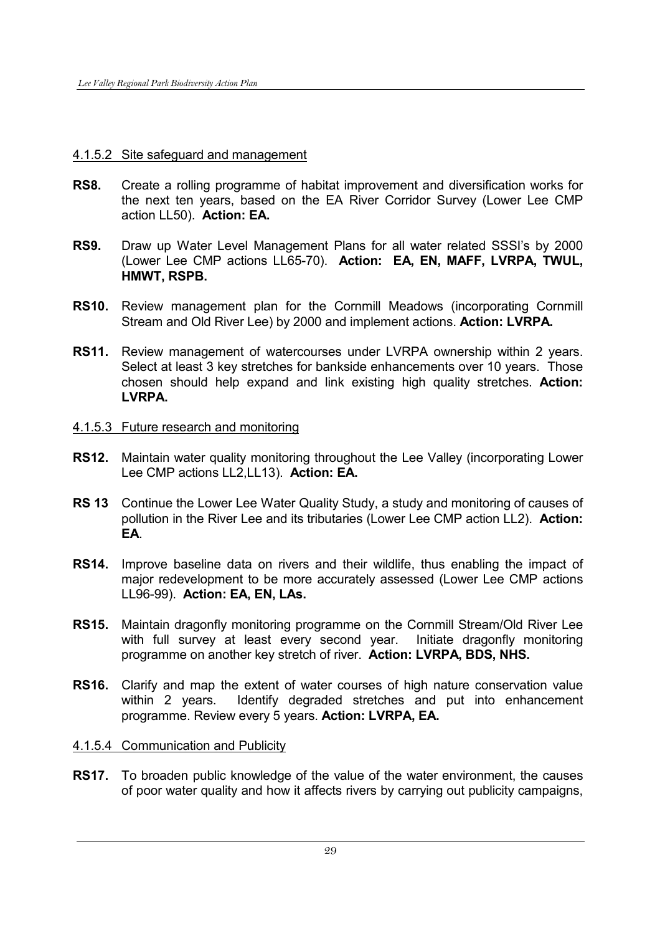### 4.1.5.2 Site safeguard and management

- RS8. Create a rolling programme of habitat improvement and diversification works for the next ten years, based on the EA River Corridor Survey (Lower Lee CMP action LL50). Action: EA.
- RS9. Draw up Water Level Management Plans for all water related SSSI's by 2000 (Lower Lee CMP actions LL65-70). Action: EA, EN, MAFF, LVRPA, TWUL, HMWT, RSPB.
- RS10. Review management plan for the Cornmill Meadows (incorporating Cornmill Stream and Old River Lee) by 2000 and implement actions. Action: LVRPA.
- RS11. Review management of watercourses under LVRPA ownership within 2 years. Select at least 3 key stretches for bankside enhancements over 10 years. Those chosen should help expand and link existing high quality stretches. Action: LVRPA.

### 4.1.5.3 Future research and monitoring

- RS12. Maintain water quality monitoring throughout the Lee Valley (incorporating Lower Lee CMP actions LL2, LL13). Action: EA.
- RS 13 Continue the Lower Lee Water Quality Study, a study and monitoring of causes of pollution in the River Lee and its tributaries (Lower Lee CMP action LL2). Action: EA.
- RS14. Improve baseline data on rivers and their wildlife, thus enabling the impact of major redevelopment to be more accurately assessed (Lower Lee CMP actions LL96-99). Action: EA, EN, LAs.
- RS15. Maintain dragonfly monitoring programme on the Cornmill Stream/Old River Lee with full survey at least every second year. Initiate dragonfly monitoring programme on another key stretch of river. Action: LVRPA, BDS, NHS.
- RS16. Clarify and map the extent of water courses of high nature conservation value within 2 years. Identify degraded stretches and put into enhancement programme. Review every 5 years. Action: LVRPA, EA.

### 4.1.5.4 Communication and Publicity

RS17. To broaden public knowledge of the value of the water environment, the causes of poor water quality and how it affects rivers by carrying out publicity campaigns,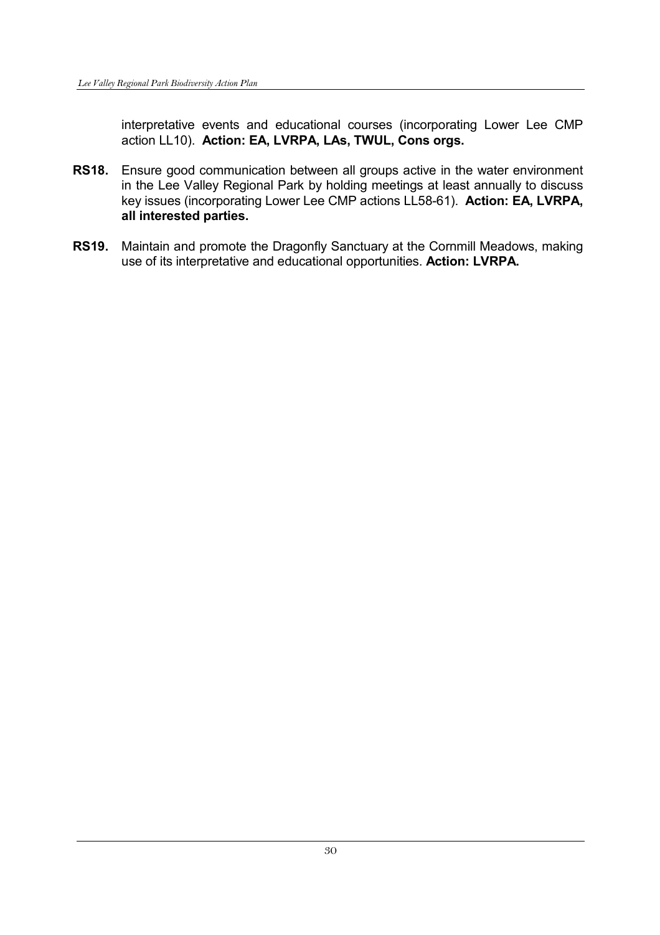interpretative events and educational courses (incorporating Lower Lee CMP action LL10). Action: EA, LVRPA, LAs, TWUL, Cons orgs.

- RS18. Ensure good communication between all groups active in the water environment in the Lee Valley Regional Park by holding meetings at least annually to discuss key issues (incorporating Lower Lee CMP actions LL58-61). Action: EA, LVRPA, all interested parties.
- RS19. Maintain and promote the Dragonfly Sanctuary at the Cornmill Meadows, making use of its interpretative and educational opportunities. Action: LVRPA.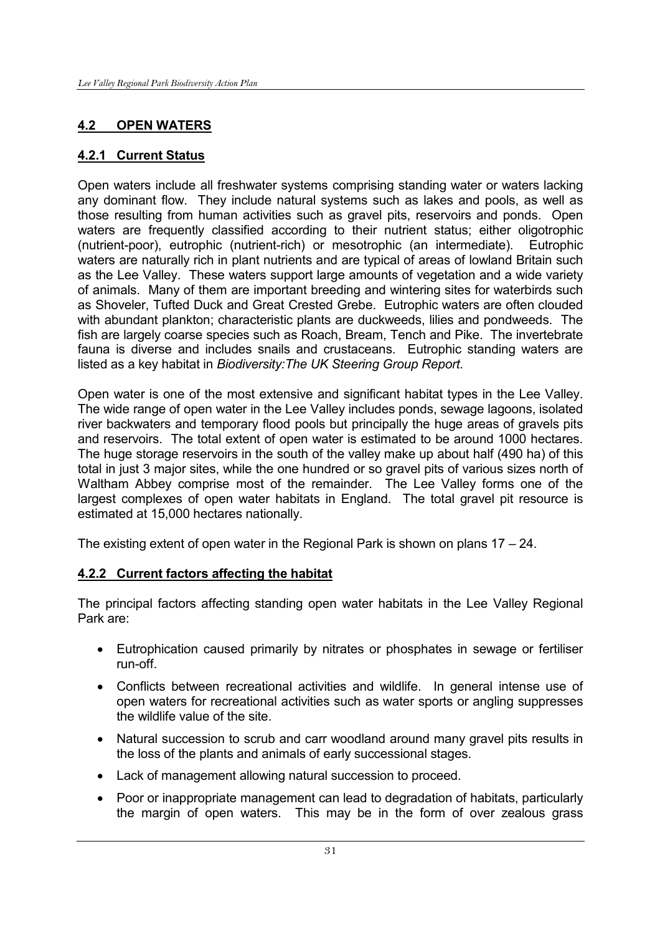# 4.2 OPEN WATERS

# 4.2.1 Current Status

Open waters include all freshwater systems comprising standing water or waters lacking any dominant flow. They include natural systems such as lakes and pools, as well as those resulting from human activities such as gravel pits, reservoirs and ponds. Open waters are frequently classified according to their nutrient status; either oligotrophic (nutrient-poor), eutrophic (nutrient-rich) or mesotrophic (an intermediate). Eutrophic waters are naturally rich in plant nutrients and are typical of areas of lowland Britain such as the Lee Valley. These waters support large amounts of vegetation and a wide variety of animals. Many of them are important breeding and wintering sites for waterbirds such as Shoveler, Tufted Duck and Great Crested Grebe. Eutrophic waters are often clouded with abundant plankton; characteristic plants are duckweeds, lilies and pondweeds. The fish are largely coarse species such as Roach, Bream, Tench and Pike. The invertebrate fauna is diverse and includes snails and crustaceans. Eutrophic standing waters are listed as a key habitat in Biodiversity:The UK Steering Group Report.

Open water is one of the most extensive and significant habitat types in the Lee Valley. The wide range of open water in the Lee Valley includes ponds, sewage lagoons, isolated river backwaters and temporary flood pools but principally the huge areas of gravels pits and reservoirs. The total extent of open water is estimated to be around 1000 hectares. The huge storage reservoirs in the south of the valley make up about half (490 ha) of this total in just 3 major sites, while the one hundred or so gravel pits of various sizes north of Waltham Abbey comprise most of the remainder. The Lee Valley forms one of the largest complexes of open water habitats in England. The total gravel pit resource is estimated at 15,000 hectares nationally.

The existing extent of open water in the Regional Park is shown on plans 17 – 24.

# 4.2.2 Current factors affecting the habitat

The principal factors affecting standing open water habitats in the Lee Valley Regional Park are:

- Eutrophication caused primarily by nitrates or phosphates in sewage or fertiliser run-off.
- Conflicts between recreational activities and wildlife. In general intense use of open waters for recreational activities such as water sports or angling suppresses the wildlife value of the site.
- Natural succession to scrub and carr woodland around many gravel pits results in the loss of the plants and animals of early successional stages.
- Lack of management allowing natural succession to proceed.
- Poor or inappropriate management can lead to degradation of habitats, particularly the margin of open waters. This may be in the form of over zealous grass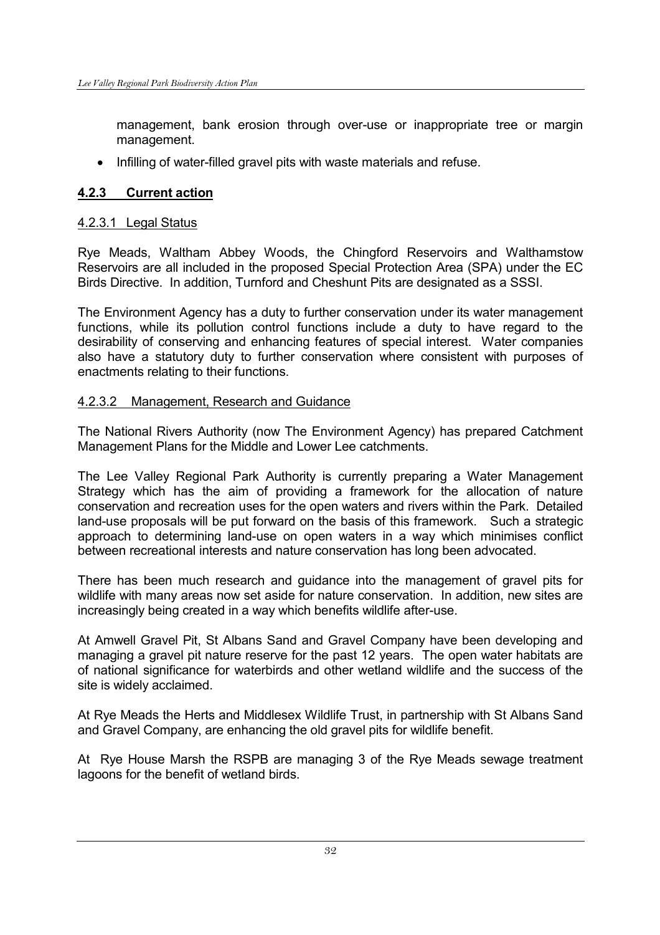management, bank erosion through over-use or inappropriate tree or margin management.

• Infilling of water-filled gravel pits with waste materials and refuse.

### 4.2.3 Current action

### 4.2.3.1 Legal Status

Rye Meads, Waltham Abbey Woods, the Chingford Reservoirs and Walthamstow Reservoirs are all included in the proposed Special Protection Area (SPA) under the EC Birds Directive. In addition, Turnford and Cheshunt Pits are designated as a SSSI.

The Environment Agency has a duty to further conservation under its water management functions, while its pollution control functions include a duty to have regard to the desirability of conserving and enhancing features of special interest. Water companies also have a statutory duty to further conservation where consistent with purposes of enactments relating to their functions.

### 4.2.3.2 Management, Research and Guidance

The National Rivers Authority (now The Environment Agency) has prepared Catchment Management Plans for the Middle and Lower Lee catchments.

The Lee Valley Regional Park Authority is currently preparing a Water Management Strategy which has the aim of providing a framework for the allocation of nature conservation and recreation uses for the open waters and rivers within the Park. Detailed land-use proposals will be put forward on the basis of this framework. Such a strategic approach to determining land-use on open waters in a way which minimises conflict between recreational interests and nature conservation has long been advocated.

There has been much research and guidance into the management of gravel pits for wildlife with many areas now set aside for nature conservation. In addition, new sites are increasingly being created in a way which benefits wildlife after-use.

At Amwell Gravel Pit, St Albans Sand and Gravel Company have been developing and managing a gravel pit nature reserve for the past 12 years. The open water habitats are of national significance for waterbirds and other wetland wildlife and the success of the site is widely acclaimed.

At Rye Meads the Herts and Middlesex Wildlife Trust, in partnership with St Albans Sand and Gravel Company, are enhancing the old gravel pits for wildlife benefit.

At Rye House Marsh the RSPB are managing 3 of the Rye Meads sewage treatment lagoons for the benefit of wetland birds.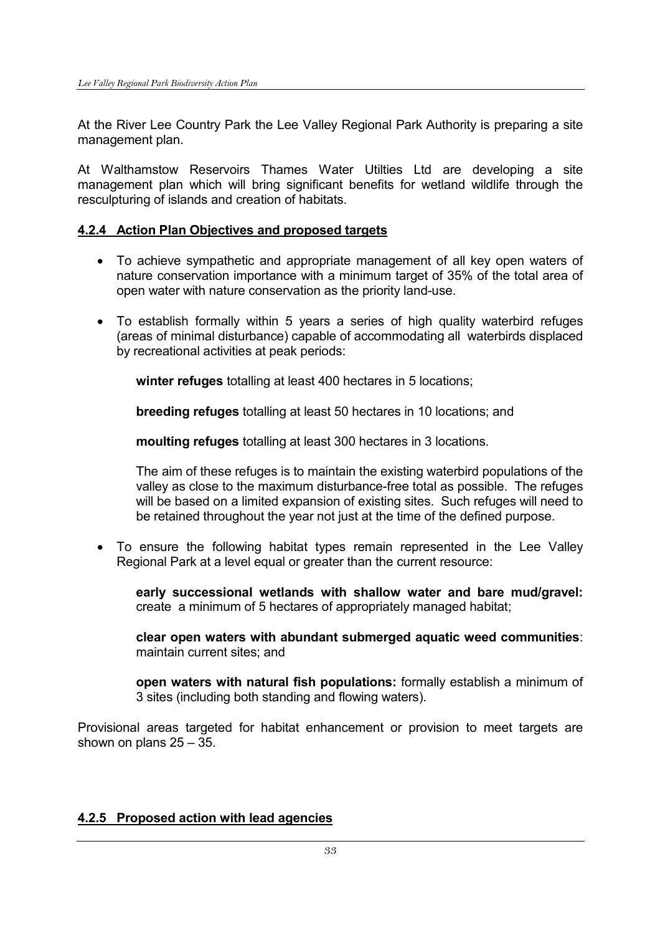At the River Lee Country Park the Lee Valley Regional Park Authority is preparing a site management plan.

At Walthamstow Reservoirs Thames Water Utilties Ltd are developing a site management plan which will bring significant benefits for wetland wildlife through the resculpturing of islands and creation of habitats.

### 4.2.4 Action Plan Objectives and proposed targets

- To achieve sympathetic and appropriate management of all key open waters of nature conservation importance with a minimum target of 35% of the total area of open water with nature conservation as the priority land-use.
- To establish formally within 5 years a series of high quality waterbird refuges (areas of minimal disturbance) capable of accommodating all waterbirds displaced by recreational activities at peak periods:

winter refuges totalling at least 400 hectares in 5 locations;

breeding refuges totalling at least 50 hectares in 10 locations; and

moulting refuges totalling at least 300 hectares in 3 locations.

The aim of these refuges is to maintain the existing waterbird populations of the valley as close to the maximum disturbance-free total as possible. The refuges will be based on a limited expansion of existing sites. Such refuges will need to be retained throughout the year not just at the time of the defined purpose.

• To ensure the following habitat types remain represented in the Lee Valley Regional Park at a level equal or greater than the current resource:

early successional wetlands with shallow water and bare mud/gravel: create a minimum of 5 hectares of appropriately managed habitat;

clear open waters with abundant submerged aquatic weed communities: maintain current sites; and

open waters with natural fish populations: formally establish a minimum of 3 sites (including both standing and flowing waters).

Provisional areas targeted for habitat enhancement or provision to meet targets are shown on plans  $25 - 35$ .

# 4.2.5 Proposed action with lead agencies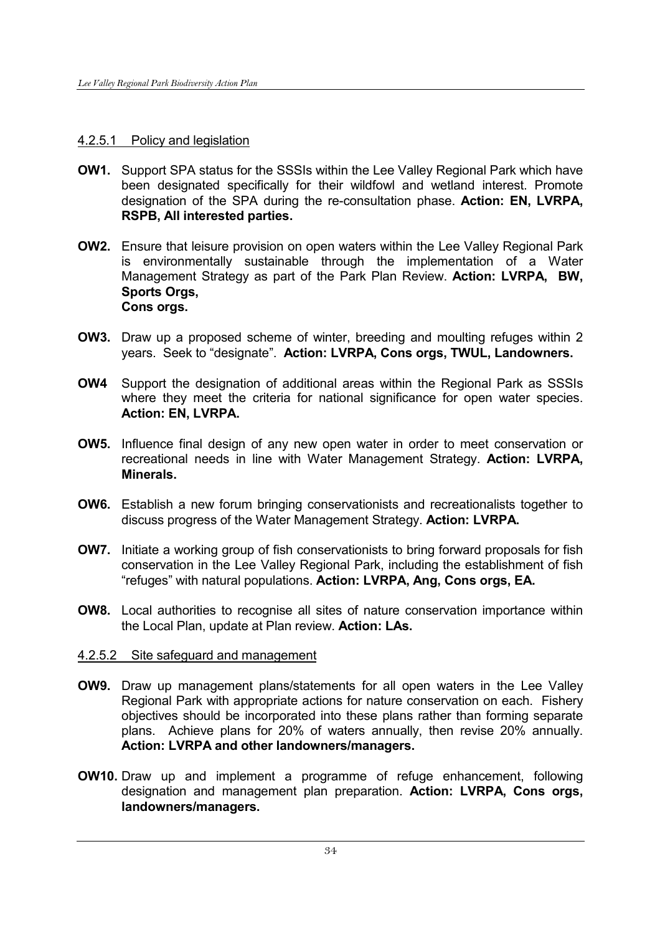#### 4.2.5.1 Policy and legislation

- OW1. Support SPA status for the SSSIs within the Lee Valley Regional Park which have been designated specifically for their wildfowl and wetland interest. Promote designation of the SPA during the re-consultation phase. Action: EN, LVRPA, RSPB, All interested parties.
- OW2. Ensure that leisure provision on open waters within the Lee Valley Regional Park is environmentally sustainable through the implementation of a Water Management Strategy as part of the Park Plan Review. Action: LVRPA, BW, Sports Orgs, Cons orgs.
- OW3. Draw up a proposed scheme of winter, breeding and moulting refuges within 2 years. Seek to "designate". Action: LVRPA, Cons orgs, TWUL, Landowners.
- OW4 Support the designation of additional areas within the Regional Park as SSSIs where they meet the criteria for national significance for open water species. Action: EN, LVRPA.
- OW5. Influence final design of any new open water in order to meet conservation or recreational needs in line with Water Management Strategy. Action: LVRPA, Minerals.
- OW6. Establish a new forum bringing conservationists and recreationalists together to discuss progress of the Water Management Strategy. Action: LVRPA.
- OW7. Initiate a working group of fish conservationists to bring forward proposals for fish conservation in the Lee Valley Regional Park, including the establishment of fish "refuges" with natural populations. Action: LVRPA, Ang, Cons orgs, EA.
- OW8. Local authorities to recognise all sites of nature conservation importance within the Local Plan, update at Plan review. Action: LAs.
- 4.2.5.2 Site safeguard and management
- OW9. Draw up management plans/statements for all open waters in the Lee Valley Regional Park with appropriate actions for nature conservation on each. Fishery objectives should be incorporated into these plans rather than forming separate plans. Achieve plans for 20% of waters annually, then revise 20% annually. Action: LVRPA and other landowners/managers.
- OW10. Draw up and implement a programme of refuge enhancement, following designation and management plan preparation. Action: LVRPA, Cons orgs, landowners/managers.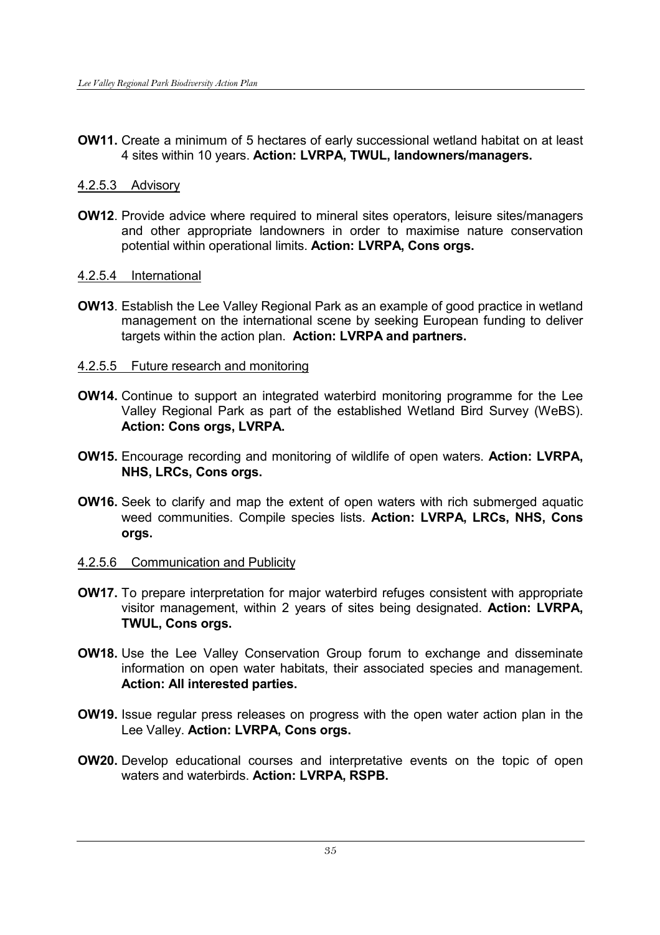OW11. Create a minimum of 5 hectares of early successional wetland habitat on at least 4 sites within 10 years. Action: LVRPA, TWUL, landowners/managers.

#### 4.2.5.3 Advisory

OW12. Provide advice where required to mineral sites operators, leisure sites/managers and other appropriate landowners in order to maximise nature conservation potential within operational limits. Action: LVRPA, Cons orgs.

#### 4.2.5.4 International

- OW13. Establish the Lee Valley Regional Park as an example of good practice in wetland management on the international scene by seeking European funding to deliver targets within the action plan. Action: LVRPA and partners.
- 4.2.5.5 Future research and monitoring
- OW14. Continue to support an integrated waterbird monitoring programme for the Lee Valley Regional Park as part of the established Wetland Bird Survey (WeBS). Action: Cons orgs, LVRPA.
- OW15. Encourage recording and monitoring of wildlife of open waters. Action: LVRPA, NHS, LRCs, Cons orgs.
- OW16. Seek to clarify and map the extent of open waters with rich submerged aquatic weed communities. Compile species lists. Action: LVRPA, LRCs, NHS, Cons orgs.

#### 4.2.5.6 Communication and Publicity

- OW17. To prepare interpretation for major waterbird refuges consistent with appropriate visitor management, within 2 years of sites being designated. Action: LVRPA, TWUL, Cons orgs.
- OW18. Use the Lee Valley Conservation Group forum to exchange and disseminate information on open water habitats, their associated species and management. Action: All interested parties.
- OW19. Issue regular press releases on progress with the open water action plan in the Lee Valley. Action: LVRPA, Cons orgs.
- OW20. Develop educational courses and interpretative events on the topic of open waters and waterbirds. Action: LVRPA, RSPB.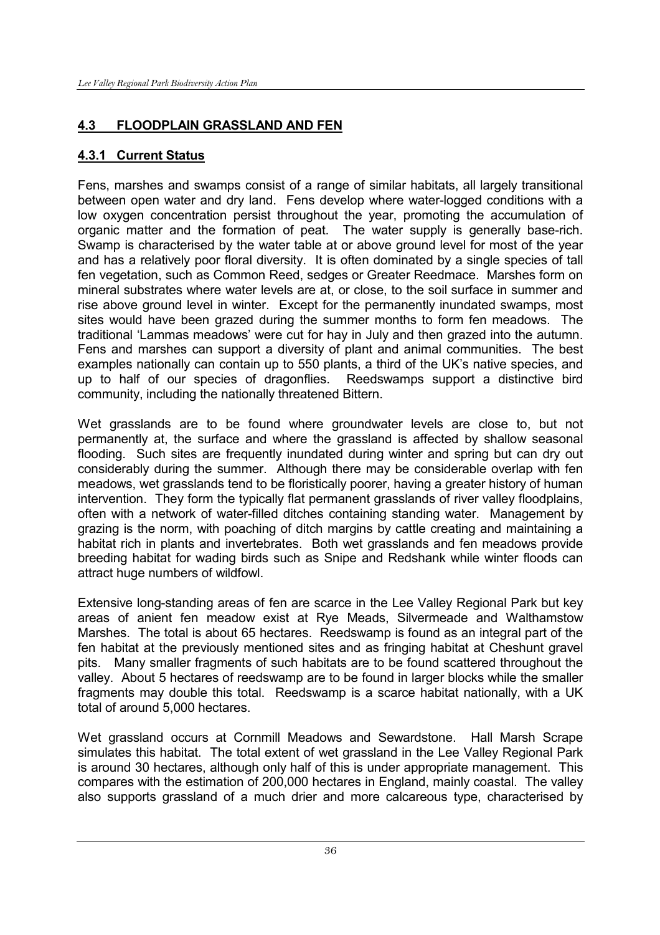# 4.3 FLOODPLAIN GRASSLAND AND FEN

# 4.3.1 Current Status

Fens, marshes and swamps consist of a range of similar habitats, all largely transitional between open water and dry land. Fens develop where water-logged conditions with a low oxygen concentration persist throughout the year, promoting the accumulation of organic matter and the formation of peat. The water supply is generally base-rich. Swamp is characterised by the water table at or above ground level for most of the year and has a relatively poor floral diversity. It is often dominated by a single species of tall fen vegetation, such as Common Reed, sedges or Greater Reedmace. Marshes form on mineral substrates where water levels are at, or close, to the soil surface in summer and rise above ground level in winter. Except for the permanently inundated swamps, most sites would have been grazed during the summer months to form fen meadows. The traditional 'Lammas meadows' were cut for hay in July and then grazed into the autumn. Fens and marshes can support a diversity of plant and animal communities. The best examples nationally can contain up to 550 plants, a third of the UK's native species, and up to half of our species of dragonflies. Reedswamps support a distinctive bird community, including the nationally threatened Bittern.

Wet grasslands are to be found where groundwater levels are close to, but not permanently at, the surface and where the grassland is affected by shallow seasonal flooding. Such sites are frequently inundated during winter and spring but can dry out considerably during the summer. Although there may be considerable overlap with fen meadows, wet grasslands tend to be floristically poorer, having a greater history of human intervention. They form the typically flat permanent grasslands of river valley floodplains, often with a network of water-filled ditches containing standing water. Management by grazing is the norm, with poaching of ditch margins by cattle creating and maintaining a habitat rich in plants and invertebrates. Both wet grasslands and fen meadows provide breeding habitat for wading birds such as Snipe and Redshank while winter floods can attract huge numbers of wildfowl.

Extensive long-standing areas of fen are scarce in the Lee Valley Regional Park but key areas of anient fen meadow exist at Rye Meads, Silvermeade and Walthamstow Marshes. The total is about 65 hectares. Reedswamp is found as an integral part of the fen habitat at the previously mentioned sites and as fringing habitat at Cheshunt gravel pits. Many smaller fragments of such habitats are to be found scattered throughout the valley. About 5 hectares of reedswamp are to be found in larger blocks while the smaller fragments may double this total. Reedswamp is a scarce habitat nationally, with a UK total of around 5,000 hectares.

Wet grassland occurs at Cornmill Meadows and Sewardstone. Hall Marsh Scrape simulates this habitat. The total extent of wet grassland in the Lee Valley Regional Park is around 30 hectares, although only half of this is under appropriate management. This compares with the estimation of 200,000 hectares in England, mainly coastal. The valley also supports grassland of a much drier and more calcareous type, characterised by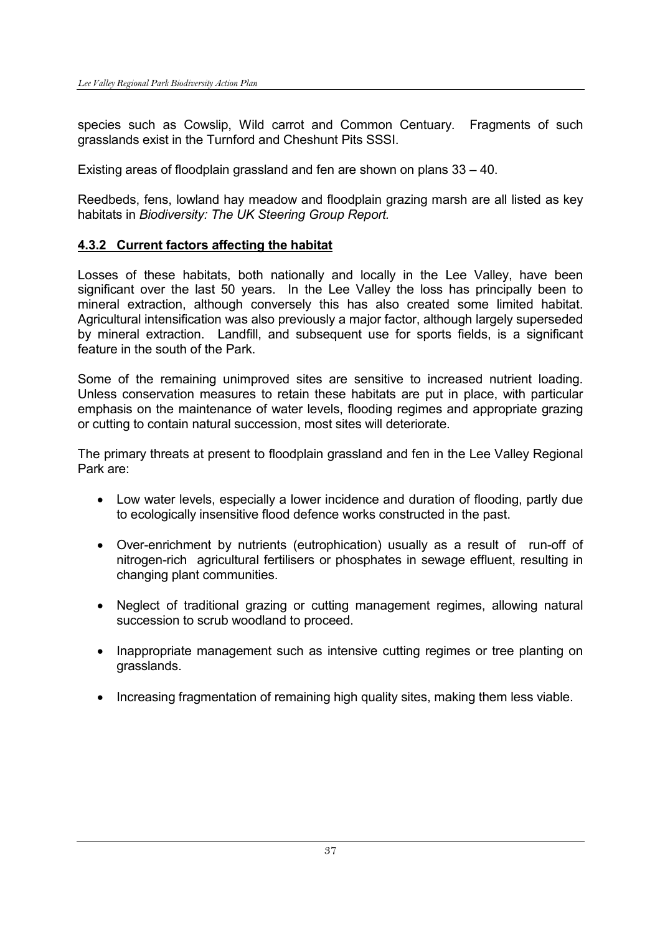species such as Cowslip, Wild carrot and Common Centuary. Fragments of such grasslands exist in the Turnford and Cheshunt Pits SSSI.

Existing areas of floodplain grassland and fen are shown on plans 33 – 40.

Reedbeds, fens, lowland hay meadow and floodplain grazing marsh are all listed as key habitats in Biodiversity: The UK Steering Group Report.

### 4.3.2 Current factors affecting the habitat

Losses of these habitats, both nationally and locally in the Lee Valley, have been significant over the last 50 years. In the Lee Valley the loss has principally been to mineral extraction, although conversely this has also created some limited habitat. Agricultural intensification was also previously a major factor, although largely superseded by mineral extraction. Landfill, and subsequent use for sports fields, is a significant feature in the south of the Park.

Some of the remaining unimproved sites are sensitive to increased nutrient loading. Unless conservation measures to retain these habitats are put in place, with particular emphasis on the maintenance of water levels, flooding regimes and appropriate grazing or cutting to contain natural succession, most sites will deteriorate.

The primary threats at present to floodplain grassland and fen in the Lee Valley Regional Park are:

- Low water levels, especially a lower incidence and duration of flooding, partly due to ecologically insensitive flood defence works constructed in the past.
- Over-enrichment by nutrients (eutrophication) usually as a result of run-off of nitrogen-rich agricultural fertilisers or phosphates in sewage effluent, resulting in changing plant communities.
- Neglect of traditional grazing or cutting management regimes, allowing natural succession to scrub woodland to proceed.
- Inappropriate management such as intensive cutting regimes or tree planting on grasslands.
- Increasing fragmentation of remaining high quality sites, making them less viable.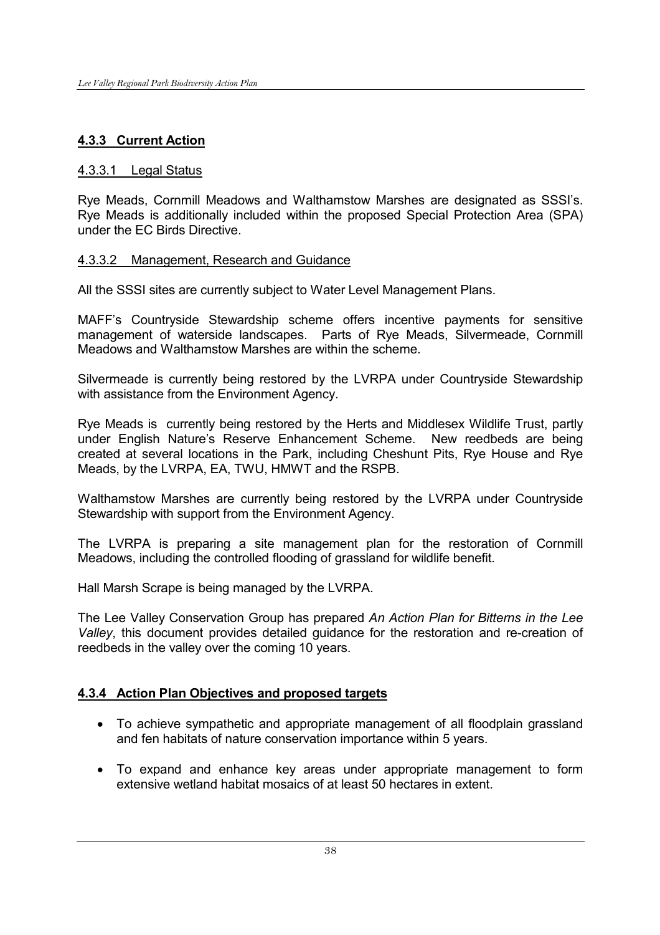# 4.3.3 Current Action

## 4.3.3.1 Legal Status

Rye Meads, Cornmill Meadows and Walthamstow Marshes are designated as SSSI's. Rye Meads is additionally included within the proposed Special Protection Area (SPA) under the EC Birds Directive.

### 4.3.3.2 Management, Research and Guidance

All the SSSI sites are currently subject to Water Level Management Plans.

MAFF's Countryside Stewardship scheme offers incentive payments for sensitive management of waterside landscapes. Parts of Rye Meads, Silvermeade, Cornmill Meadows and Walthamstow Marshes are within the scheme.

Silvermeade is currently being restored by the LVRPA under Countryside Stewardship with assistance from the Environment Agency.

Rye Meads is currently being restored by the Herts and Middlesex Wildlife Trust, partly under English Nature's Reserve Enhancement Scheme. New reedbeds are being created at several locations in the Park, including Cheshunt Pits, Rye House and Rye Meads, by the LVRPA, EA, TWU, HMWT and the RSPB.

Walthamstow Marshes are currently being restored by the LVRPA under Countryside Stewardship with support from the Environment Agency.

The LVRPA is preparing a site management plan for the restoration of Cornmill Meadows, including the controlled flooding of grassland for wildlife benefit.

Hall Marsh Scrape is being managed by the LVRPA.

The Lee Valley Conservation Group has prepared An Action Plan for Bitterns in the Lee Valley, this document provides detailed guidance for the restoration and re-creation of reedbeds in the valley over the coming 10 years.

# 4.3.4 Action Plan Objectives and proposed targets

- To achieve sympathetic and appropriate management of all floodplain grassland and fen habitats of nature conservation importance within 5 years.
- To expand and enhance key areas under appropriate management to form extensive wetland habitat mosaics of at least 50 hectares in extent.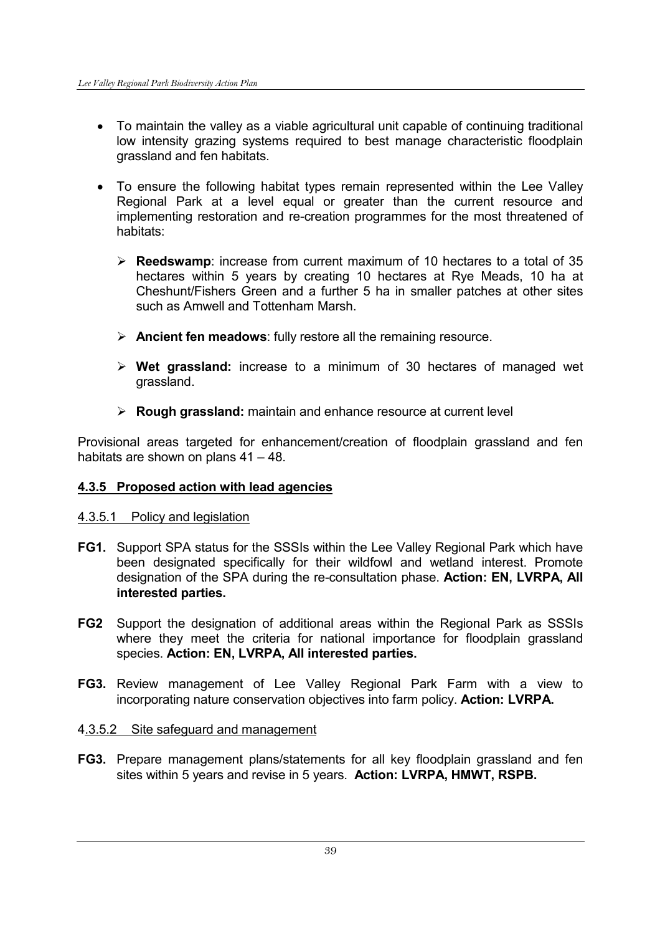- To maintain the valley as a viable agricultural unit capable of continuing traditional low intensity grazing systems required to best manage characteristic floodplain grassland and fen habitats.
- To ensure the following habitat types remain represented within the Lee Valley Regional Park at a level equal or greater than the current resource and implementing restoration and re-creation programmes for the most threatened of habitats:
	- $\triangleright$  Reedswamp: increase from current maximum of 10 hectares to a total of 35 hectares within 5 years by creating 10 hectares at Rye Meads, 10 ha at Cheshunt/Fishers Green and a further 5 ha in smaller patches at other sites such as Amwell and Tottenham Marsh.
	- $\triangleright$  Ancient fen meadows: fully restore all the remaining resource.
	- $\triangleright$  Wet grassland: increase to a minimum of 30 hectares of managed wet grassland.
	- $\triangleright$  Rough grassland: maintain and enhance resource at current level

Provisional areas targeted for enhancement/creation of floodplain grassland and fen habitats are shown on plans  $41 - 48$ .

### 4.3.5 Proposed action with lead agencies

### 4.3.5.1 Policy and legislation

- FG1. Support SPA status for the SSSIs within the Lee Valley Regional Park which have been designated specifically for their wildfowl and wetland interest. Promote designation of the SPA during the re-consultation phase. Action: EN, LVRPA, All interested parties.
- FG2 Support the designation of additional areas within the Regional Park as SSSIs where they meet the criteria for national importance for floodplain grassland species. Action: EN, LVRPA, All interested parties.
- FG3. Review management of Lee Valley Regional Park Farm with a view to incorporating nature conservation objectives into farm policy. Action: LVRPA.

### 4.3.5.2 Site safeguard and management

FG3. Prepare management plans/statements for all key floodplain grassland and fen sites within 5 years and revise in 5 years. Action: LVRPA, HMWT, RSPB.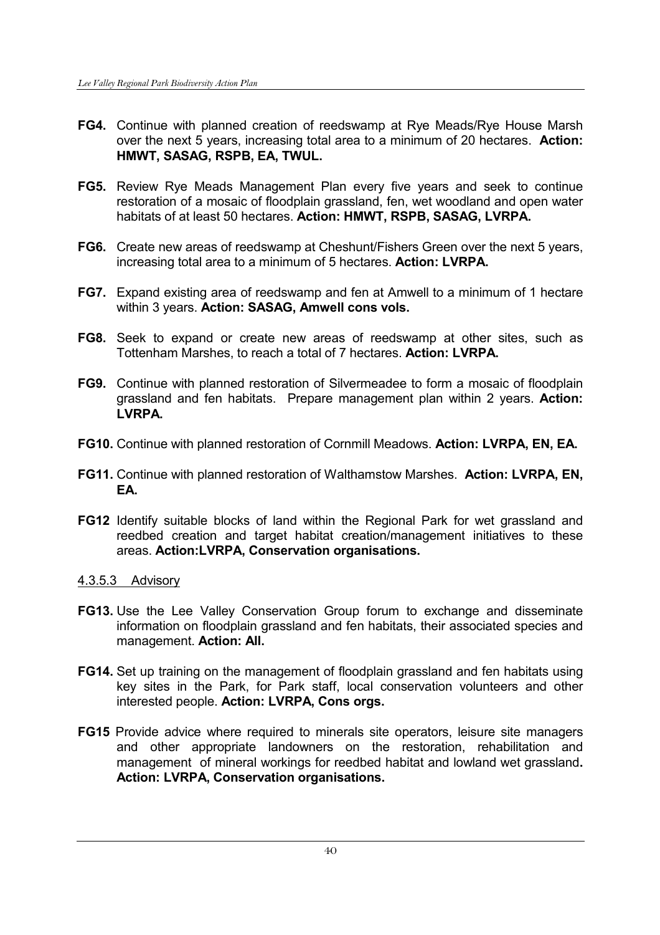- FG4. Continue with planned creation of reedswamp at Rye Meads/Rye House Marsh over the next 5 years, increasing total area to a minimum of 20 hectares. Action: HMWT, SASAG, RSPB, EA, TWUL.
- FG5. Review Rye Meads Management Plan every five years and seek to continue restoration of a mosaic of floodplain grassland, fen, wet woodland and open water habitats of at least 50 hectares. Action: HMWT, RSPB, SASAG, LVRPA.
- FG6. Create new areas of reedswamp at Cheshunt/Fishers Green over the next 5 years, increasing total area to a minimum of 5 hectares. Action: LVRPA.
- FG7. Expand existing area of reedswamp and fen at Amwell to a minimum of 1 hectare within 3 years. Action: SASAG, Amwell cons vols.
- FG8. Seek to expand or create new areas of reedswamp at other sites, such as Tottenham Marshes, to reach a total of 7 hectares. Action: LVRPA.
- FG9. Continue with planned restoration of Silvermeadee to form a mosaic of floodplain grassland and fen habitats. Prepare management plan within 2 years. Action: LVRPA.
- FG10. Continue with planned restoration of Cornmill Meadows. Action: LVRPA, EN, EA.
- FG11. Continue with planned restoration of Walthamstow Marshes. Action: LVRPA, EN, EA.
- FG12 Identify suitable blocks of land within the Regional Park for wet grassland and reedbed creation and target habitat creation/management initiatives to these areas. Action:LVRPA, Conservation organisations.

#### 4.3.5.3 Advisory

- FG13. Use the Lee Valley Conservation Group forum to exchange and disseminate information on floodplain grassland and fen habitats, their associated species and management. Action: All.
- FG14. Set up training on the management of floodplain grassland and fen habitats using key sites in the Park, for Park staff, local conservation volunteers and other interested people. Action: LVRPA, Cons orgs.
- FG15 Provide advice where required to minerals site operators, leisure site managers and other appropriate landowners on the restoration, rehabilitation and management of mineral workings for reedbed habitat and lowland wet grassland. Action: LVRPA, Conservation organisations.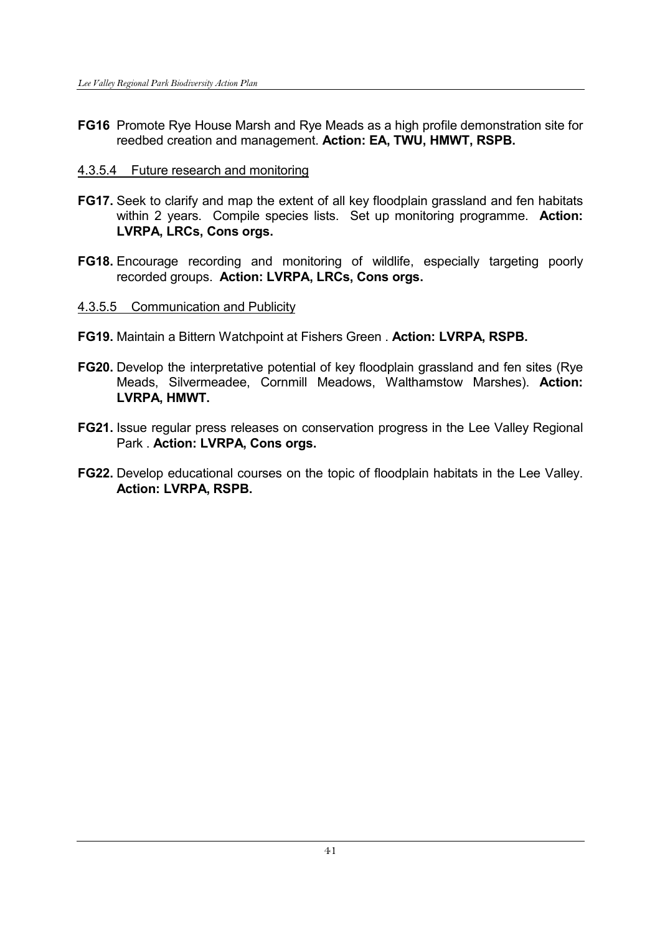FG16 Promote Rye House Marsh and Rye Meads as a high profile demonstration site for reedbed creation and management. Action: EA, TWU, HMWT, RSPB.

#### 4.3.5.4 Future research and monitoring

- FG17. Seek to clarify and map the extent of all key floodplain grassland and fen habitats within 2 years. Compile species lists. Set up monitoring programme. Action: LVRPA, LRCs, Cons orgs.
- FG18. Encourage recording and monitoring of wildlife, especially targeting poorly recorded groups. Action: LVRPA, LRCs, Cons orgs.
- 4.3.5.5 Communication and Publicity
- FG19. Maintain a Bittern Watchpoint at Fishers Green . Action: LVRPA, RSPB.
- FG20. Develop the interpretative potential of key floodplain grassland and fen sites (Rye Meads, Silvermeadee, Cornmill Meadows, Walthamstow Marshes). Action: LVRPA, HMWT.
- FG21. Issue regular press releases on conservation progress in the Lee Valley Regional Park . Action: LVRPA, Cons orgs.
- FG22. Develop educational courses on the topic of floodplain habitats in the Lee Valley. Action: LVRPA, RSPB.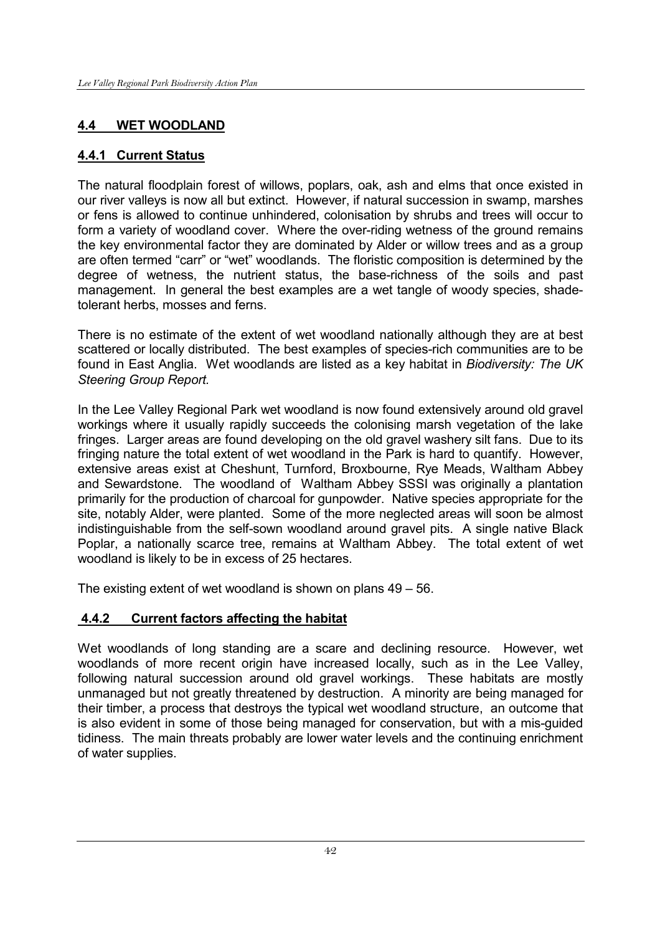# 4.4 WET WOODLAND

## 4.4.1 Current Status

The natural floodplain forest of willows, poplars, oak, ash and elms that once existed in our river valleys is now all but extinct. However, if natural succession in swamp, marshes or fens is allowed to continue unhindered, colonisation by shrubs and trees will occur to form a variety of woodland cover. Where the over-riding wetness of the ground remains the key environmental factor they are dominated by Alder or willow trees and as a group are often termed "carr" or "wet" woodlands. The floristic composition is determined by the degree of wetness, the nutrient status, the base-richness of the soils and past management. In general the best examples are a wet tangle of woody species, shadetolerant herbs, mosses and ferns.

There is no estimate of the extent of wet woodland nationally although they are at best scattered or locally distributed. The best examples of species-rich communities are to be found in East Anglia. Wet woodlands are listed as a key habitat in Biodiversity: The UK Steering Group Report.

In the Lee Valley Regional Park wet woodland is now found extensively around old gravel workings where it usually rapidly succeeds the colonising marsh vegetation of the lake fringes. Larger areas are found developing on the old gravel washery silt fans. Due to its fringing nature the total extent of wet woodland in the Park is hard to quantify. However, extensive areas exist at Cheshunt, Turnford, Broxbourne, Rye Meads, Waltham Abbey and Sewardstone. The woodland of Waltham Abbey SSSI was originally a plantation primarily for the production of charcoal for gunpowder. Native species appropriate for the site, notably Alder, were planted. Some of the more neglected areas will soon be almost indistinguishable from the self-sown woodland around gravel pits. A single native Black Poplar, a nationally scarce tree, remains at Waltham Abbey. The total extent of wet woodland is likely to be in excess of 25 hectares.

The existing extent of wet woodland is shown on plans 49 – 56.

# 4.4.2 Current factors affecting the habitat

Wet woodlands of long standing are a scare and declining resource. However, wet woodlands of more recent origin have increased locally, such as in the Lee Valley, following natural succession around old gravel workings. These habitats are mostly unmanaged but not greatly threatened by destruction. A minority are being managed for their timber, a process that destroys the typical wet woodland structure, an outcome that is also evident in some of those being managed for conservation, but with a mis-guided tidiness. The main threats probably are lower water levels and the continuing enrichment of water supplies.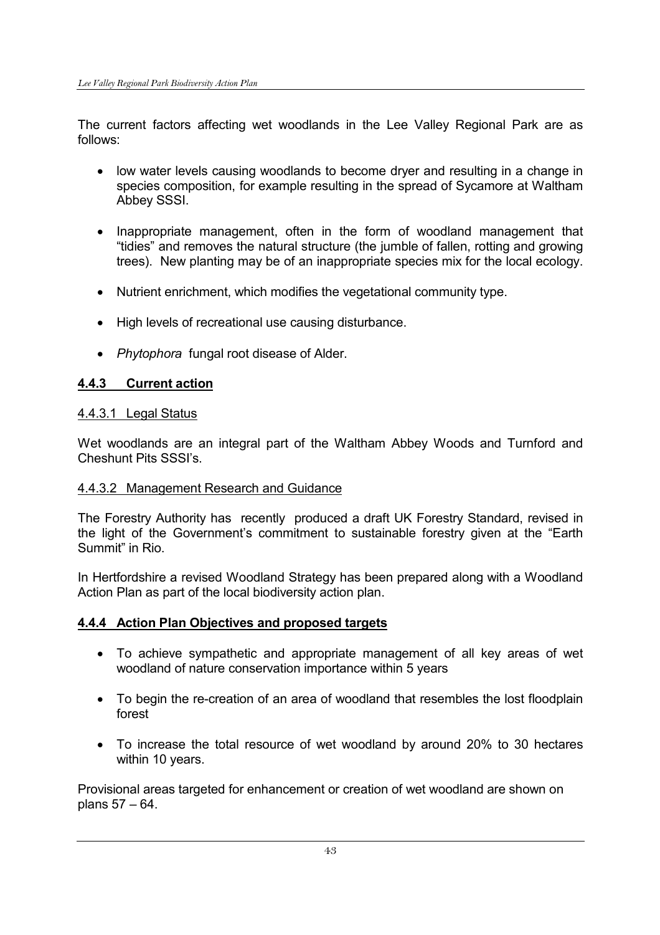The current factors affecting wet woodlands in the Lee Valley Regional Park are as follows:

- low water levels causing woodlands to become dryer and resulting in a change in species composition, for example resulting in the spread of Sycamore at Waltham Abbey SSSI.
- Inappropriate management, often in the form of woodland management that "tidies" and removes the natural structure (the jumble of fallen, rotting and growing trees). New planting may be of an inappropriate species mix for the local ecology.
- Nutrient enrichment, which modifies the vegetational community type.
- High levels of recreational use causing disturbance.
- Phytophora fungal root disease of Alder.

## 4.4.3 Current action

### 4.4.3.1 Legal Status

Wet woodlands are an integral part of the Waltham Abbey Woods and Turnford and Cheshunt Pits SSSI's.

### 4.4.3.2 Management Research and Guidance

The Forestry Authority has recently produced a draft UK Forestry Standard, revised in the light of the Government's commitment to sustainable forestry given at the "Earth Summit" in Rio.

In Hertfordshire a revised Woodland Strategy has been prepared along with a Woodland Action Plan as part of the local biodiversity action plan.

### 4.4.4 Action Plan Objectives and proposed targets

- To achieve sympathetic and appropriate management of all key areas of wet woodland of nature conservation importance within 5 years
- To begin the re-creation of an area of woodland that resembles the lost floodplain forest
- To increase the total resource of wet woodland by around 20% to 30 hectares within 10 years.

Provisional areas targeted for enhancement or creation of wet woodland are shown on plans 57 – 64.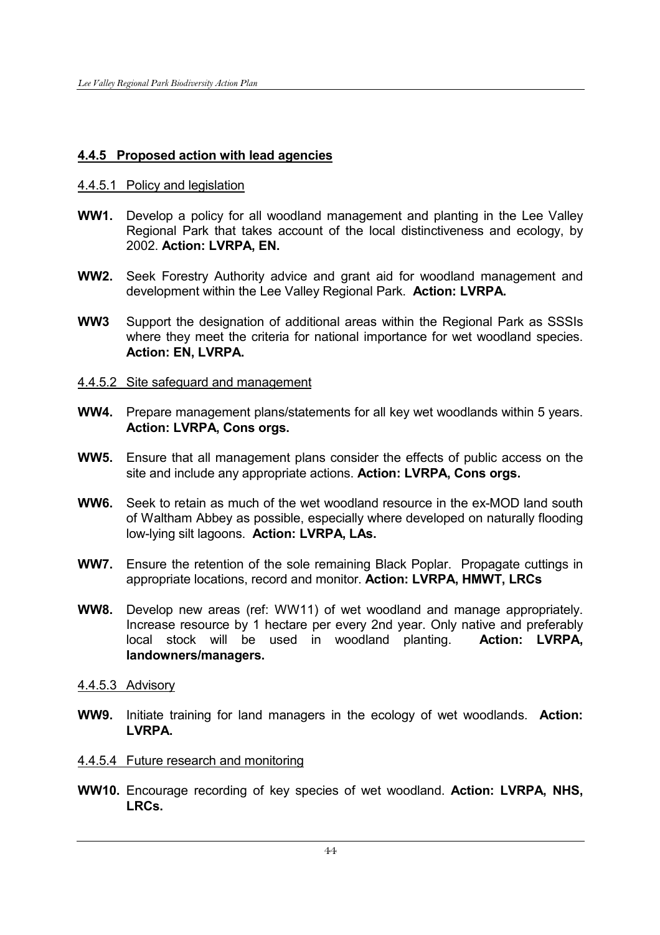#### 4.4.5 Proposed action with lead agencies

#### 4.4.5.1 Policy and legislation

- WW1. Develop a policy for all woodland management and planting in the Lee Valley Regional Park that takes account of the local distinctiveness and ecology, by 2002. Action: LVRPA, EN.
- WW2. Seek Forestry Authority advice and grant aid for woodland management and development within the Lee Valley Regional Park. Action: LVRPA.
- WW3 Support the designation of additional areas within the Regional Park as SSSIs where they meet the criteria for national importance for wet woodland species. Action: EN, LVRPA.
- 4.4.5.2 Site safeguard and management
- WW4. Prepare management plans/statements for all key wet woodlands within 5 years. Action: LVRPA, Cons orgs.
- WW5. Ensure that all management plans consider the effects of public access on the site and include any appropriate actions. Action: LVRPA, Cons orgs.
- WW6. Seek to retain as much of the wet woodland resource in the ex-MOD land south of Waltham Abbey as possible, especially where developed on naturally flooding low-lying silt lagoons. Action: LVRPA, LAs.
- WW7. Ensure the retention of the sole remaining Black Poplar. Propagate cuttings in appropriate locations, record and monitor. Action: LVRPA, HMWT, LRCs
- WW8. Develop new areas (ref: WW11) of wet woodland and manage appropriately. Increase resource by 1 hectare per every 2nd year. Only native and preferably local stock will be used in woodland planting. Action: LVRPA, landowners/managers.
- 4.4.5.3 Advisory
- WW9. Initiate training for land managers in the ecology of wet woodlands. Action: LVRPA.
- 4.4.5.4 Future research and monitoring
- WW10. Encourage recording of key species of wet woodland. Action: LVRPA, NHS, LRCs.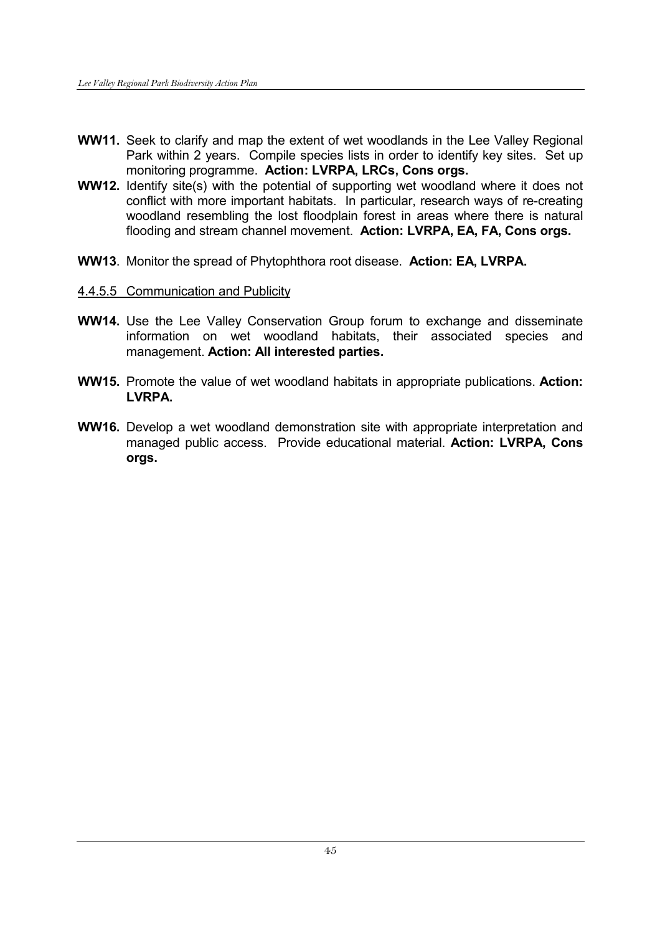- WW11. Seek to clarify and map the extent of wet woodlands in the Lee Valley Regional Park within 2 years. Compile species lists in order to identify key sites. Set up monitoring programme. Action: LVRPA, LRCs, Cons orgs.
- WW12. Identify site(s) with the potential of supporting wet woodland where it does not conflict with more important habitats. In particular, research ways of re-creating woodland resembling the lost floodplain forest in areas where there is natural flooding and stream channel movement. Action: LVRPA, EA, FA, Cons orgs.
- WW13. Monitor the spread of Phytophthora root disease. Action: EA, LVRPA.
- 4.4.5.5 Communication and Publicity
- WW14. Use the Lee Valley Conservation Group forum to exchange and disseminate information on wet woodland habitats, their associated species and management. Action: All interested parties.
- WW15. Promote the value of wet woodland habitats in appropriate publications. Action: LVRPA.
- WW16. Develop a wet woodland demonstration site with appropriate interpretation and managed public access. Provide educational material. Action: LVRPA, Cons orgs.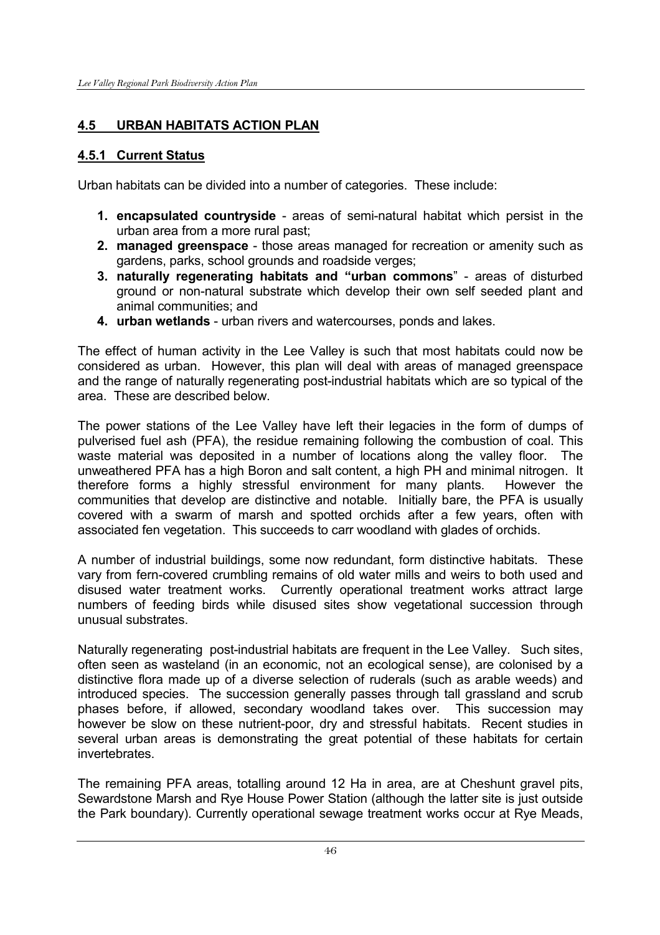# 4.5 URBAN HABITATS ACTION PLAN

## 4.5.1 Current Status

Urban habitats can be divided into a number of categories. These include:

- 1. encapsulated countryside areas of semi-natural habitat which persist in the urban area from a more rural past;
- 2. managed greenspace those areas managed for recreation or amenity such as gardens, parks, school grounds and roadside verges;
- 3. naturally regenerating habitats and "urban commons" areas of disturbed ground or non-natural substrate which develop their own self seeded plant and animal communities; and
- 4. urban wetlands urban rivers and watercourses, ponds and lakes.

The effect of human activity in the Lee Valley is such that most habitats could now be considered as urban. However, this plan will deal with areas of managed greenspace and the range of naturally regenerating post-industrial habitats which are so typical of the area. These are described below.

The power stations of the Lee Valley have left their legacies in the form of dumps of pulverised fuel ash (PFA), the residue remaining following the combustion of coal. This waste material was deposited in a number of locations along the valley floor. The unweathered PFA has a high Boron and salt content, a high PH and minimal nitrogen. It therefore forms a highly stressful environment for many plants. However the communities that develop are distinctive and notable. Initially bare, the PFA is usually covered with a swarm of marsh and spotted orchids after a few years, often with associated fen vegetation. This succeeds to carr woodland with glades of orchids.

A number of industrial buildings, some now redundant, form distinctive habitats. These vary from fern-covered crumbling remains of old water mills and weirs to both used and disused water treatment works. Currently operational treatment works attract large numbers of feeding birds while disused sites show vegetational succession through unusual substrates.

Naturally regenerating post-industrial habitats are frequent in the Lee Valley. Such sites, often seen as wasteland (in an economic, not an ecological sense), are colonised by a distinctive flora made up of a diverse selection of ruderals (such as arable weeds) and introduced species. The succession generally passes through tall grassland and scrub phases before, if allowed, secondary woodland takes over. This succession may however be slow on these nutrient-poor, dry and stressful habitats. Recent studies in several urban areas is demonstrating the great potential of these habitats for certain invertebrates.

The remaining PFA areas, totalling around 12 Ha in area, are at Cheshunt gravel pits, Sewardstone Marsh and Rye House Power Station (although the latter site is just outside the Park boundary). Currently operational sewage treatment works occur at Rye Meads,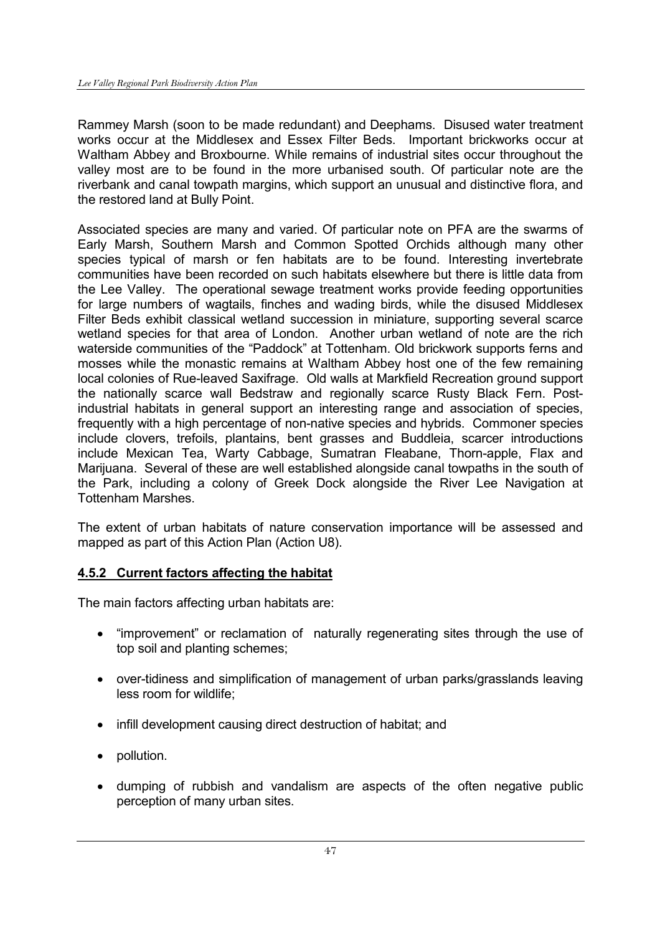Rammey Marsh (soon to be made redundant) and Deephams. Disused water treatment works occur at the Middlesex and Essex Filter Beds. Important brickworks occur at Waltham Abbey and Broxbourne. While remains of industrial sites occur throughout the valley most are to be found in the more urbanised south. Of particular note are the riverbank and canal towpath margins, which support an unusual and distinctive flora, and the restored land at Bully Point.

Associated species are many and varied. Of particular note on PFA are the swarms of Early Marsh, Southern Marsh and Common Spotted Orchids although many other species typical of marsh or fen habitats are to be found. Interesting invertebrate communities have been recorded on such habitats elsewhere but there is little data from the Lee Valley. The operational sewage treatment works provide feeding opportunities for large numbers of wagtails, finches and wading birds, while the disused Middlesex Filter Beds exhibit classical wetland succession in miniature, supporting several scarce wetland species for that area of London. Another urban wetland of note are the rich waterside communities of the "Paddock" at Tottenham. Old brickwork supports ferns and mosses while the monastic remains at Waltham Abbey host one of the few remaining local colonies of Rue-leaved Saxifrage. Old walls at Markfield Recreation ground support the nationally scarce wall Bedstraw and regionally scarce Rusty Black Fern. Postindustrial habitats in general support an interesting range and association of species, frequently with a high percentage of non-native species and hybrids. Commoner species include clovers, trefoils, plantains, bent grasses and Buddleia, scarcer introductions include Mexican Tea, Warty Cabbage, Sumatran Fleabane, Thorn-apple, Flax and Marijuana. Several of these are well established alongside canal towpaths in the south of the Park, including a colony of Greek Dock alongside the River Lee Navigation at Tottenham Marshes.

The extent of urban habitats of nature conservation importance will be assessed and mapped as part of this Action Plan (Action U8).

# 4.5.2 Current factors affecting the habitat

The main factors affecting urban habitats are:

- "improvement" or reclamation of naturally regenerating sites through the use of top soil and planting schemes;
- over-tidiness and simplification of management of urban parks/grasslands leaving less room for wildlife;
- infill development causing direct destruction of habitat; and
- pollution.
- dumping of rubbish and vandalism are aspects of the often negative public perception of many urban sites.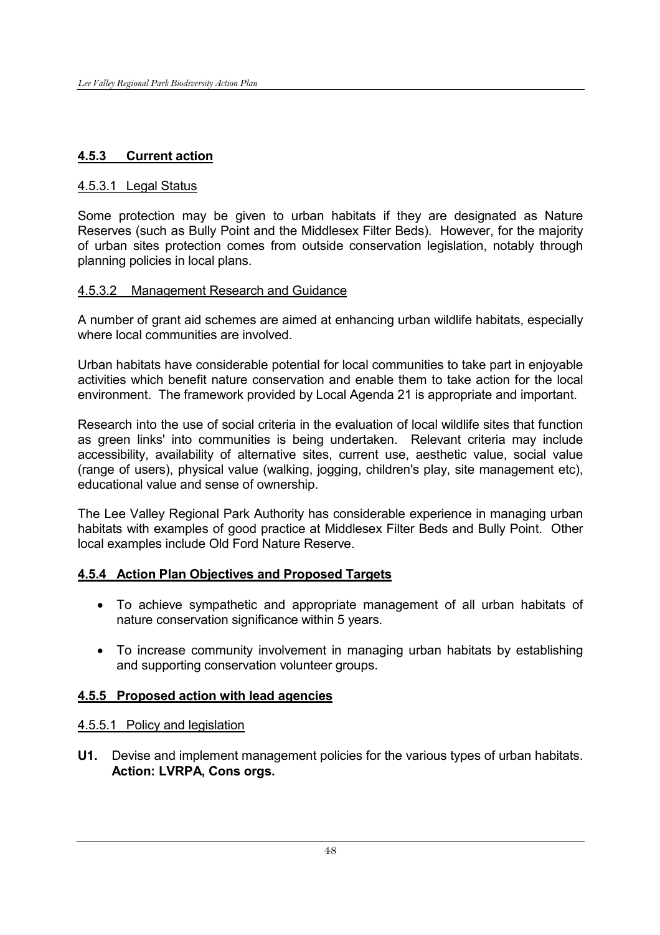# 4.5.3 Current action

## 4.5.3.1 Legal Status

Some protection may be given to urban habitats if they are designated as Nature Reserves (such as Bully Point and the Middlesex Filter Beds). However, for the majority of urban sites protection comes from outside conservation legislation, notably through planning policies in local plans.

## 4.5.3.2 Management Research and Guidance

A number of grant aid schemes are aimed at enhancing urban wildlife habitats, especially where local communities are involved.

Urban habitats have considerable potential for local communities to take part in enjoyable activities which benefit nature conservation and enable them to take action for the local environment. The framework provided by Local Agenda 21 is appropriate and important.

Research into the use of social criteria in the evaluation of local wildlife sites that function as green links' into communities is being undertaken. Relevant criteria may include accessibility, availability of alternative sites, current use, aesthetic value, social value (range of users), physical value (walking, jogging, children's play, site management etc), educational value and sense of ownership.

The Lee Valley Regional Park Authority has considerable experience in managing urban habitats with examples of good practice at Middlesex Filter Beds and Bully Point. Other local examples include Old Ford Nature Reserve.

### 4.5.4 Action Plan Objectives and Proposed Targets

- To achieve sympathetic and appropriate management of all urban habitats of nature conservation significance within 5 years.
- To increase community involvement in managing urban habitats by establishing and supporting conservation volunteer groups.

# 4.5.5 Proposed action with lead agencies

### 4.5.5.1 Policy and legislation

U1. Devise and implement management policies for the various types of urban habitats. Action: LVRPA, Cons orgs.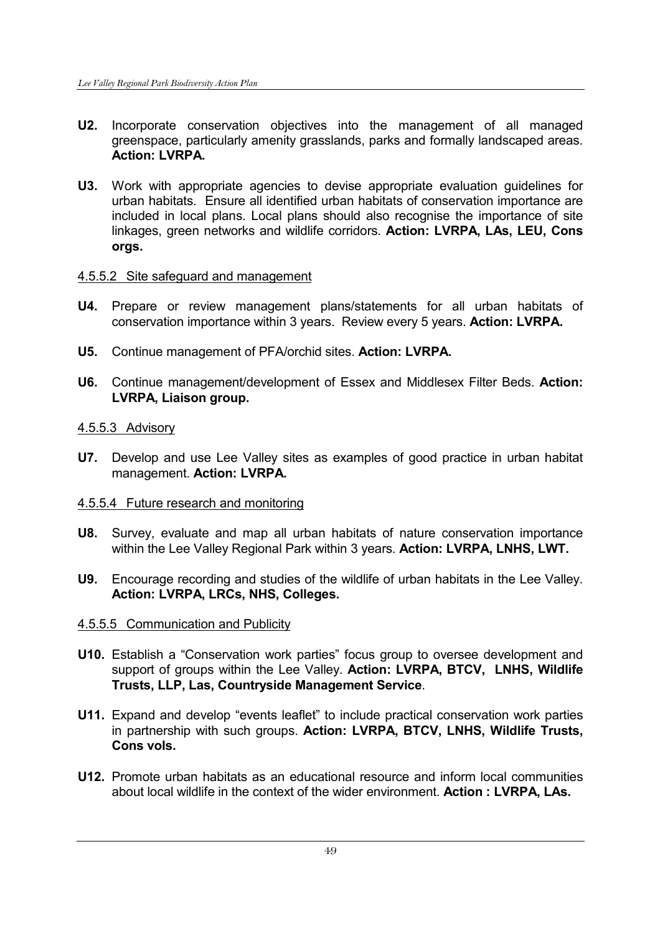- U2. Incorporate conservation objectives into the management of all managed greenspace, particularly amenity grasslands, parks and formally landscaped areas. Action: LVRPA.
- U3. Work with appropriate agencies to devise appropriate evaluation guidelines for urban habitats. Ensure all identified urban habitats of conservation importance are included in local plans. Local plans should also recognise the importance of site linkages, green networks and wildlife corridors. Action: LVRPA, LAs, LEU, Cons orgs.

#### 4.5.5.2 Site safeguard and management

- U4. Prepare or review management plans/statements for all urban habitats of conservation importance within 3 years. Review every 5 years. Action: LVRPA.
- U5. Continue management of PFA/orchid sites. Action: LVRPA.
- U6. Continue management/development of Essex and Middlesex Filter Beds. Action: LVRPA, Liaison group.

#### 4.5.5.3 Advisory

U7. Develop and use Lee Valley sites as examples of good practice in urban habitat management. Action: LVRPA.

#### 4.5.5.4 Future research and monitoring

- U8. Survey, evaluate and map all urban habitats of nature conservation importance within the Lee Valley Regional Park within 3 years. Action: LVRPA, LNHS, LWT.
- U9. Encourage recording and studies of the wildlife of urban habitats in the Lee Valley. Action: LVRPA, LRCs, NHS, Colleges.

#### 4.5.5.5 Communication and Publicity

- U10. Establish a "Conservation work parties" focus group to oversee development and support of groups within the Lee Valley. Action: LVRPA, BTCV, LNHS, Wildlife Trusts, LLP, Las, Countryside Management Service.
- U11. Expand and develop "events leaflet" to include practical conservation work parties in partnership with such groups. Action: LVRPA, BTCV, LNHS, Wildlife Trusts, Cons vols.
- U12. Promote urban habitats as an educational resource and inform local communities about local wildlife in the context of the wider environment. Action : LVRPA, LAs.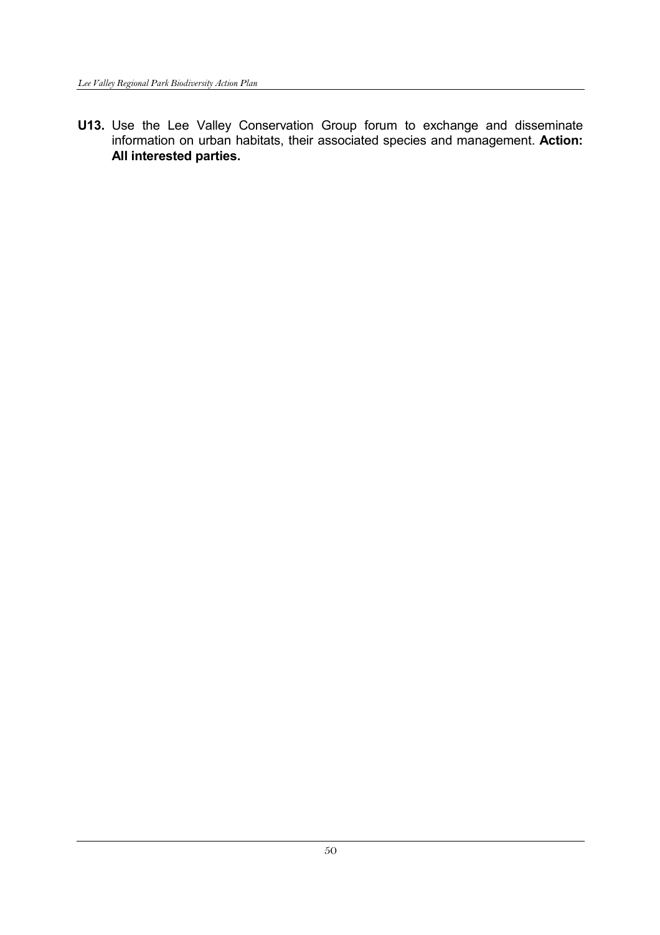U13. Use the Lee Valley Conservation Group forum to exchange and disseminate information on urban habitats, their associated species and management. Action: All interested parties.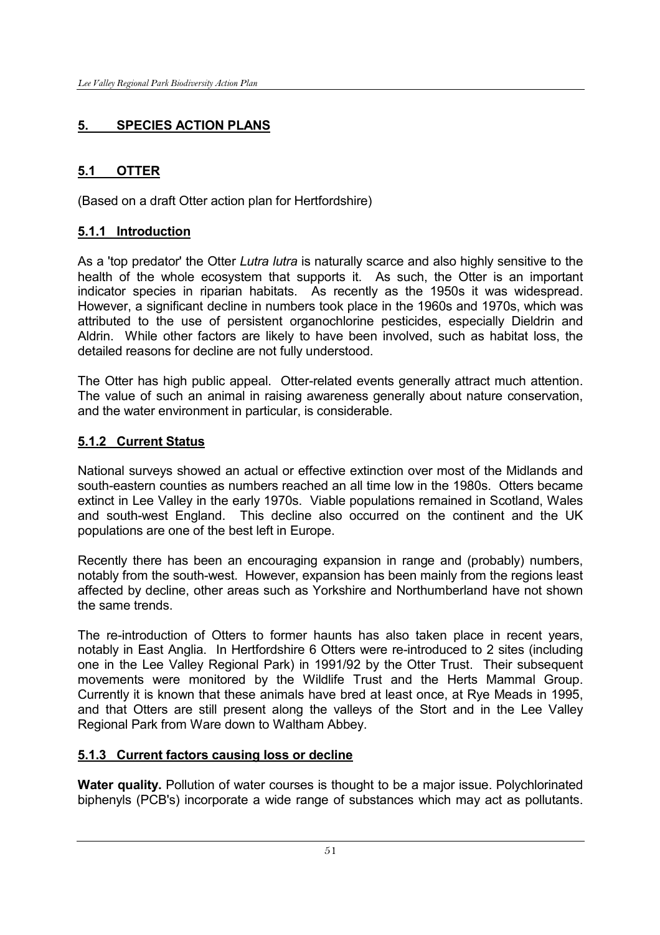# 5. SPECIES ACTION PLANS

# 5.1 OTTER

(Based on a draft Otter action plan for Hertfordshire)

# 5.1.1 Introduction

As a 'top predator' the Otter Lutra lutra is naturally scarce and also highly sensitive to the health of the whole ecosystem that supports it. As such, the Otter is an important indicator species in riparian habitats. As recently as the 1950s it was widespread. However, a significant decline in numbers took place in the 1960s and 1970s, which was attributed to the use of persistent organochlorine pesticides, especially Dieldrin and Aldrin. While other factors are likely to have been involved, such as habitat loss, the detailed reasons for decline are not fully understood.

The Otter has high public appeal. Otter-related events generally attract much attention. The value of such an animal in raising awareness generally about nature conservation, and the water environment in particular, is considerable.

# 5.1.2 Current Status

National surveys showed an actual or effective extinction over most of the Midlands and south-eastern counties as numbers reached an all time low in the 1980s. Otters became extinct in Lee Valley in the early 1970s. Viable populations remained in Scotland, Wales and south-west England. This decline also occurred on the continent and the UK populations are one of the best left in Europe.

Recently there has been an encouraging expansion in range and (probably) numbers, notably from the south-west. However, expansion has been mainly from the regions least affected by decline, other areas such as Yorkshire and Northumberland have not shown the same trends.

The re-introduction of Otters to former haunts has also taken place in recent years, notably in East Anglia. In Hertfordshire 6 Otters were re-introduced to 2 sites (including one in the Lee Valley Regional Park) in 1991/92 by the Otter Trust. Their subsequent movements were monitored by the Wildlife Trust and the Herts Mammal Group. Currently it is known that these animals have bred at least once, at Rye Meads in 1995, and that Otters are still present along the valleys of the Stort and in the Lee Valley Regional Park from Ware down to Waltham Abbey.

# 5.1.3 Current factors causing loss or decline

Water quality. Pollution of water courses is thought to be a major issue. Polychlorinated biphenyls (PCB's) incorporate a wide range of substances which may act as pollutants.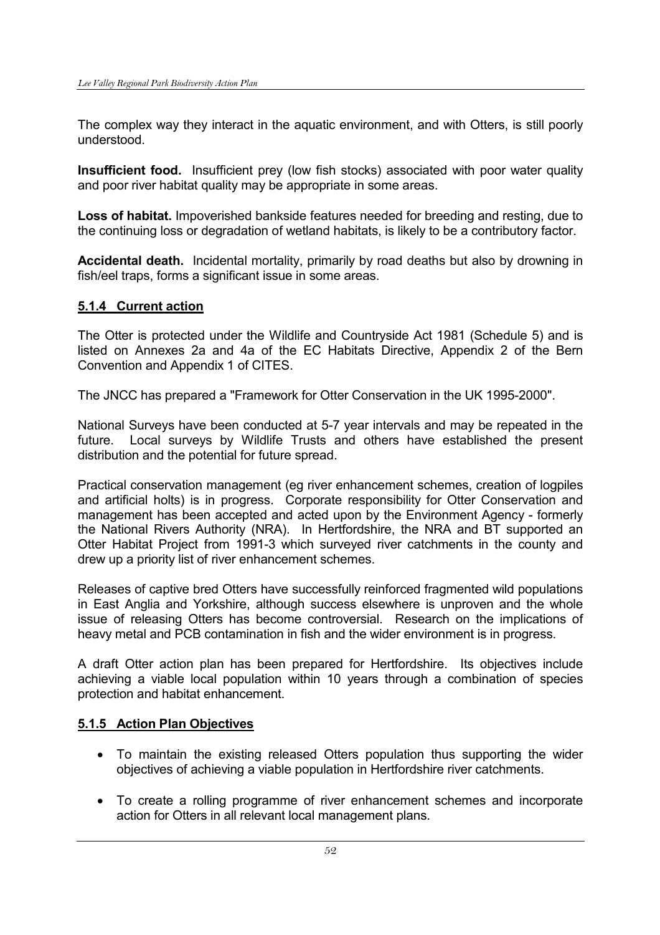The complex way they interact in the aquatic environment, and with Otters, is still poorly understood.

Insufficient food. Insufficient prey (low fish stocks) associated with poor water quality and poor river habitat quality may be appropriate in some areas.

Loss of habitat. Impoverished bankside features needed for breeding and resting, due to the continuing loss or degradation of wetland habitats, is likely to be a contributory factor.

Accidental death. Incidental mortality, primarily by road deaths but also by drowning in fish/eel traps, forms a significant issue in some areas.

## 5.1.4 Current action

The Otter is protected under the Wildlife and Countryside Act 1981 (Schedule 5) and is listed on Annexes 2a and 4a of the EC Habitats Directive, Appendix 2 of the Bern Convention and Appendix 1 of CITES.

The JNCC has prepared a "Framework for Otter Conservation in the UK 1995-2000".

National Surveys have been conducted at 5-7 year intervals and may be repeated in the future. Local surveys by Wildlife Trusts and others have established the present distribution and the potential for future spread.

Practical conservation management (eg river enhancement schemes, creation of logpiles and artificial holts) is in progress. Corporate responsibility for Otter Conservation and management has been accepted and acted upon by the Environment Agency - formerly the National Rivers Authority (NRA). In Hertfordshire, the NRA and BT supported an Otter Habitat Project from 1991-3 which surveyed river catchments in the county and drew up a priority list of river enhancement schemes.

Releases of captive bred Otters have successfully reinforced fragmented wild populations in East Anglia and Yorkshire, although success elsewhere is unproven and the whole issue of releasing Otters has become controversial. Research on the implications of heavy metal and PCB contamination in fish and the wider environment is in progress.

A draft Otter action plan has been prepared for Hertfordshire. Its objectives include achieving a viable local population within 10 years through a combination of species protection and habitat enhancement.

### 5.1.5 Action Plan Objectives

- To maintain the existing released Otters population thus supporting the wider objectives of achieving a viable population in Hertfordshire river catchments.
- To create a rolling programme of river enhancement schemes and incorporate action for Otters in all relevant local management plans.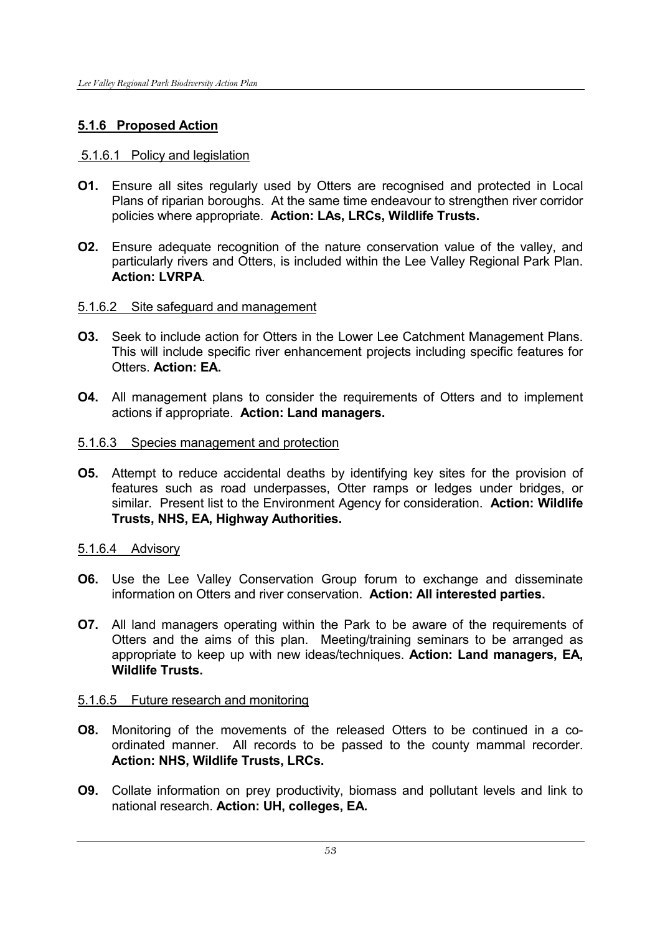# 5.1.6 Proposed Action

#### 5.1.6.1 Policy and legislation

- O1. Ensure all sites regularly used by Otters are recognised and protected in Local Plans of riparian boroughs. At the same time endeavour to strengthen river corridor policies where appropriate. Action: LAs, LRCs, Wildlife Trusts.
- O2. Ensure adequate recognition of the nature conservation value of the valley, and particularly rivers and Otters, is included within the Lee Valley Regional Park Plan. Action: LVRPA.
- 5.1.6.2 Site safeguard and management
- O3. Seek to include action for Otters in the Lower Lee Catchment Management Plans. This will include specific river enhancement projects including specific features for Otters. Action: EA.
- O4. All management plans to consider the requirements of Otters and to implement actions if appropriate. Action: Land managers.

#### 5.1.6.3 Species management and protection

O5. Attempt to reduce accidental deaths by identifying key sites for the provision of features such as road underpasses, Otter ramps or ledges under bridges, or similar. Present list to the Environment Agency for consideration. Action: Wildlife Trusts, NHS, EA, Highway Authorities.

### 5.1.6.4 Advisory

- O6. Use the Lee Valley Conservation Group forum to exchange and disseminate information on Otters and river conservation. Action: All interested parties.
- O7. All land managers operating within the Park to be aware of the requirements of Otters and the aims of this plan. Meeting/training seminars to be arranged as appropriate to keep up with new ideas/techniques. Action: Land managers, EA, Wildlife Trusts.

### 5.1.6.5 Future research and monitoring

- O8. Monitoring of the movements of the released Otters to be continued in a coordinated manner. All records to be passed to the county mammal recorder. Action: NHS, Wildlife Trusts, LRCs.
- O9. Collate information on prey productivity, biomass and pollutant levels and link to national research. Action: UH, colleges, EA.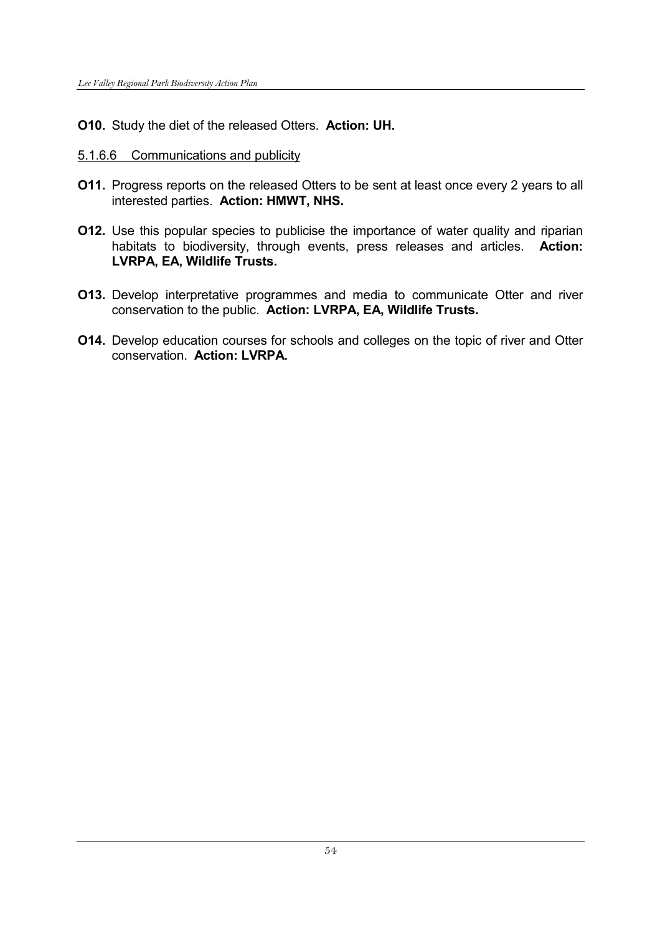- O10. Study the diet of the released Otters. Action: UH.
- 5.1.6.6 Communications and publicity
- O11. Progress reports on the released Otters to be sent at least once every 2 years to all interested parties. Action: HMWT, NHS.
- **O12.** Use this popular species to publicise the importance of water quality and riparian habitats to biodiversity, through events, press releases and articles. Action: LVRPA, EA, Wildlife Trusts.
- O13. Develop interpretative programmes and media to communicate Otter and river conservation to the public. Action: LVRPA, EA, Wildlife Trusts.
- O14. Develop education courses for schools and colleges on the topic of river and Otter conservation. Action: LVRPA.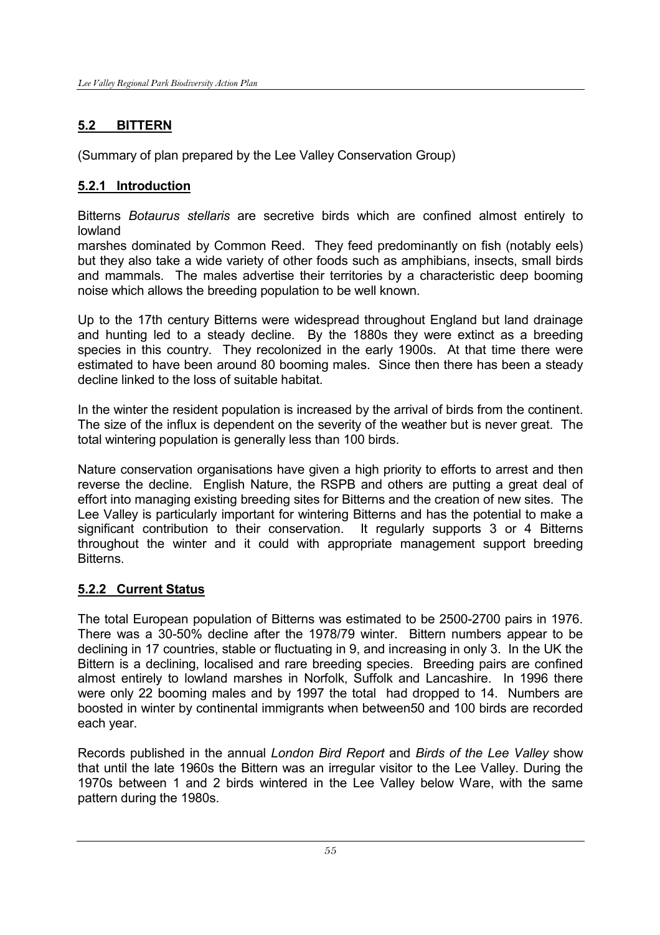# 5.2 BITTERN

(Summary of plan prepared by the Lee Valley Conservation Group)

# 5.2.1 Introduction

Bitterns Botaurus stellaris are secretive birds which are confined almost entirely to lowland

marshes dominated by Common Reed. They feed predominantly on fish (notably eels) but they also take a wide variety of other foods such as amphibians, insects, small birds and mammals. The males advertise their territories by a characteristic deep booming noise which allows the breeding population to be well known.

Up to the 17th century Bitterns were widespread throughout England but land drainage and hunting led to a steady decline. By the 1880s they were extinct as a breeding species in this country. They recolonized in the early 1900s. At that time there were estimated to have been around 80 booming males. Since then there has been a steady decline linked to the loss of suitable habitat.

In the winter the resident population is increased by the arrival of birds from the continent. The size of the influx is dependent on the severity of the weather but is never great. The total wintering population is generally less than 100 birds.

Nature conservation organisations have given a high priority to efforts to arrest and then reverse the decline. English Nature, the RSPB and others are putting a great deal of effort into managing existing breeding sites for Bitterns and the creation of new sites. The Lee Valley is particularly important for wintering Bitterns and has the potential to make a significant contribution to their conservation. It regularly supports 3 or 4 Bitterns throughout the winter and it could with appropriate management support breeding Bitterns.

# 5.2.2 Current Status

The total European population of Bitterns was estimated to be 2500-2700 pairs in 1976. There was a 30-50% decline after the 1978/79 winter. Bittern numbers appear to be declining in 17 countries, stable or fluctuating in 9, and increasing in only 3. In the UK the Bittern is a declining, localised and rare breeding species. Breeding pairs are confined almost entirely to lowland marshes in Norfolk, Suffolk and Lancashire. In 1996 there were only 22 booming males and by 1997 the total had dropped to 14. Numbers are boosted in winter by continental immigrants when between50 and 100 birds are recorded each year.

Records published in the annual London Bird Report and Birds of the Lee Valley show that until the late 1960s the Bittern was an irregular visitor to the Lee Valley. During the 1970s between 1 and 2 birds wintered in the Lee Valley below Ware, with the same pattern during the 1980s.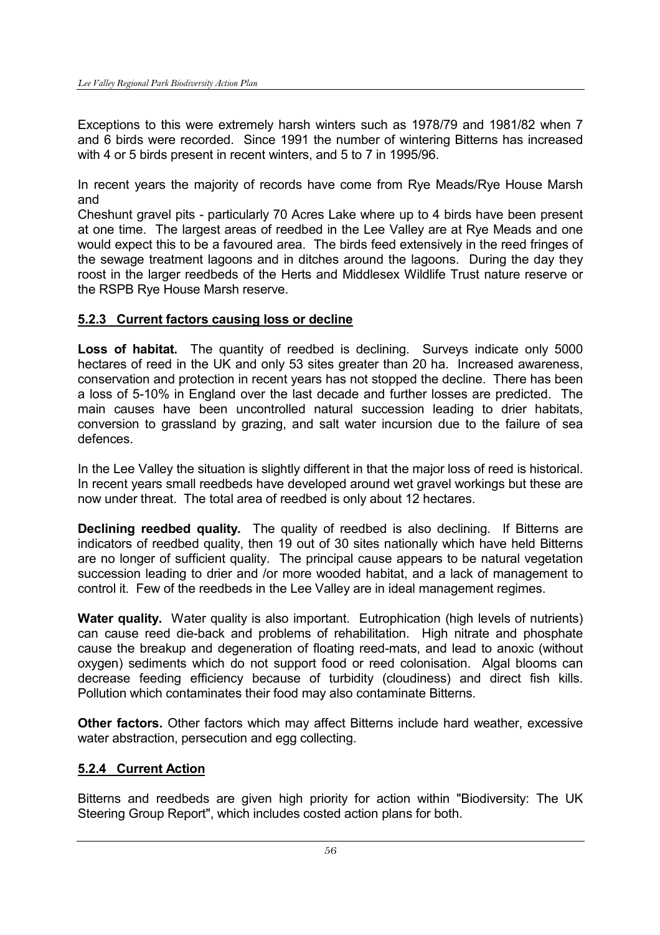Exceptions to this were extremely harsh winters such as 1978/79 and 1981/82 when 7 and 6 birds were recorded. Since 1991 the number of wintering Bitterns has increased with 4 or 5 birds present in recent winters, and 5 to 7 in 1995/96.

In recent years the majority of records have come from Rye Meads/Rye House Marsh and

Cheshunt gravel pits - particularly 70 Acres Lake where up to 4 birds have been present at one time. The largest areas of reedbed in the Lee Valley are at Rye Meads and one would expect this to be a favoured area. The birds feed extensively in the reed fringes of the sewage treatment lagoons and in ditches around the lagoons. During the day they roost in the larger reedbeds of the Herts and Middlesex Wildlife Trust nature reserve or the RSPB Rye House Marsh reserve.

## 5.2.3 Current factors causing loss or decline

Loss of habitat. The quantity of reedbed is declining. Surveys indicate only 5000 hectares of reed in the UK and only 53 sites greater than 20 ha. Increased awareness, conservation and protection in recent years has not stopped the decline. There has been a loss of 5-10% in England over the last decade and further losses are predicted. The main causes have been uncontrolled natural succession leading to drier habitats, conversion to grassland by grazing, and salt water incursion due to the failure of sea defences.

In the Lee Valley the situation is slightly different in that the major loss of reed is historical. In recent years small reedbeds have developed around wet gravel workings but these are now under threat. The total area of reedbed is only about 12 hectares.

Declining reedbed quality. The quality of reedbed is also declining. If Bitterns are indicators of reedbed quality, then 19 out of 30 sites nationally which have held Bitterns are no longer of sufficient quality. The principal cause appears to be natural vegetation succession leading to drier and /or more wooded habitat, and a lack of management to control it. Few of the reedbeds in the Lee Valley are in ideal management regimes.

Water quality. Water quality is also important. Eutrophication (high levels of nutrients) can cause reed die-back and problems of rehabilitation. High nitrate and phosphate cause the breakup and degeneration of floating reed-mats, and lead to anoxic (without oxygen) sediments which do not support food or reed colonisation. Algal blooms can decrease feeding efficiency because of turbidity (cloudiness) and direct fish kills. Pollution which contaminates their food may also contaminate Bitterns.

Other factors. Other factors which may affect Bitterns include hard weather, excessive water abstraction, persecution and egg collecting.

### 5.2.4 Current Action

Bitterns and reedbeds are given high priority for action within "Biodiversity: The UK Steering Group Report", which includes costed action plans for both.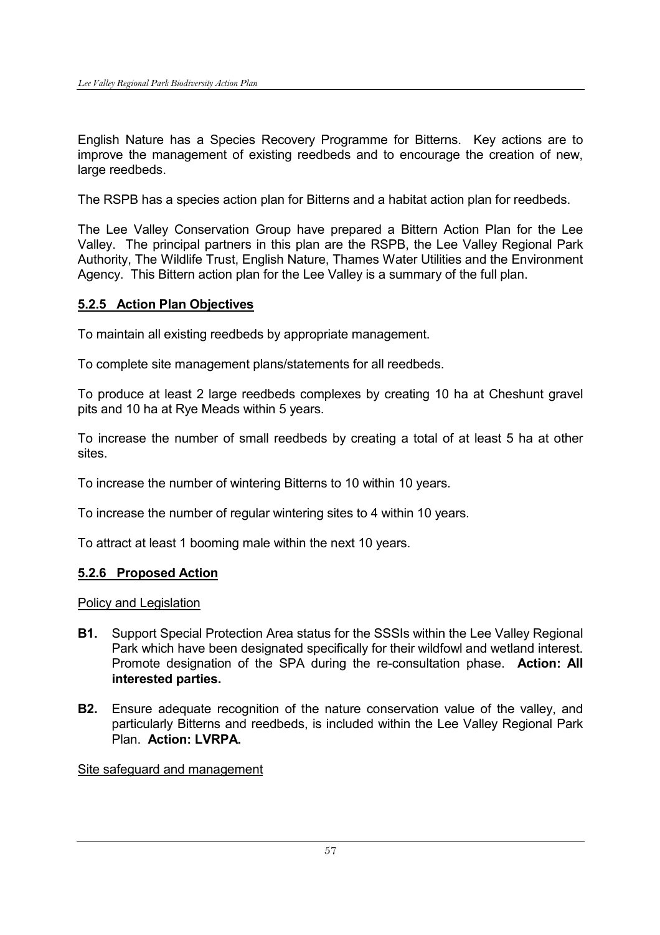English Nature has a Species Recovery Programme for Bitterns. Key actions are to improve the management of existing reedbeds and to encourage the creation of new, large reedbeds.

The RSPB has a species action plan for Bitterns and a habitat action plan for reedbeds.

The Lee Valley Conservation Group have prepared a Bittern Action Plan for the Lee Valley. The principal partners in this plan are the RSPB, the Lee Valley Regional Park Authority, The Wildlife Trust, English Nature, Thames Water Utilities and the Environment Agency. This Bittern action plan for the Lee Valley is a summary of the full plan.

## 5.2.5 Action Plan Objectives

To maintain all existing reedbeds by appropriate management.

To complete site management plans/statements for all reedbeds.

To produce at least 2 large reedbeds complexes by creating 10 ha at Cheshunt gravel pits and 10 ha at Rye Meads within 5 years.

To increase the number of small reedbeds by creating a total of at least 5 ha at other sites.

To increase the number of wintering Bitterns to 10 within 10 years.

To increase the number of regular wintering sites to 4 within 10 years.

To attract at least 1 booming male within the next 10 years.

### 5.2.6 Proposed Action

Policy and Legislation

- B1. Support Special Protection Area status for the SSSIs within the Lee Valley Regional Park which have been designated specifically for their wildfowl and wetland interest. Promote designation of the SPA during the re-consultation phase. Action: All interested parties.
- B2. Ensure adequate recognition of the nature conservation value of the valley, and particularly Bitterns and reedbeds, is included within the Lee Valley Regional Park Plan. Action: LVRPA.

Site safeguard and management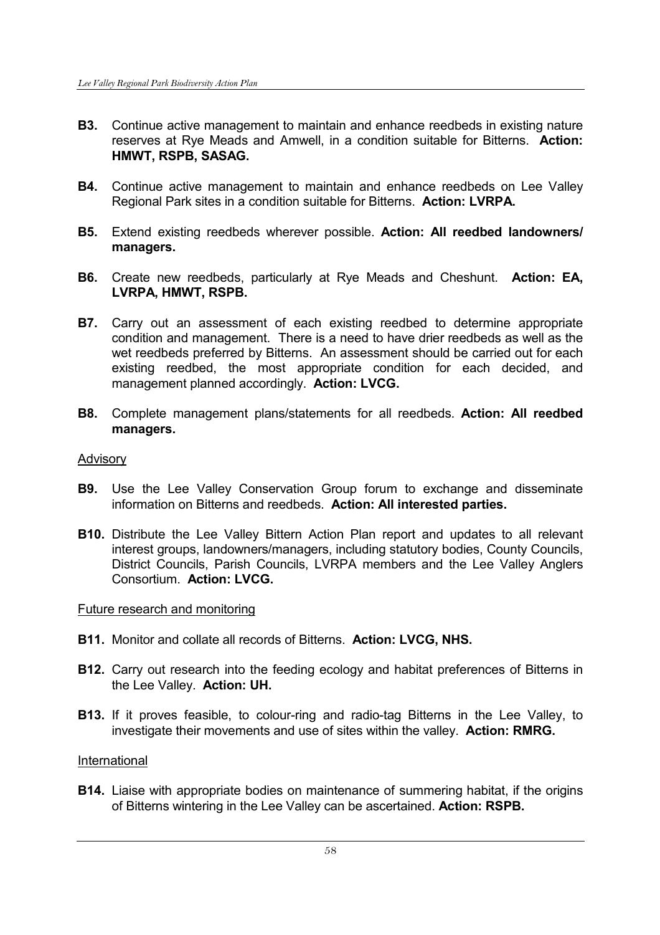- B3. Continue active management to maintain and enhance reedbeds in existing nature reserves at Rye Meads and Amwell, in a condition suitable for Bitterns. Action: HMWT, RSPB, SASAG.
- **B4.** Continue active management to maintain and enhance reedbeds on Lee Valley Regional Park sites in a condition suitable for Bitterns. Action: LVRPA.
- B5. Extend existing reedbeds wherever possible. Action: All reedbed landowners/ managers.
- B6. Create new reedbeds, particularly at Rye Meads and Cheshunt. Action: EA, LVRPA, HMWT, RSPB.
- B7. Carry out an assessment of each existing reedbed to determine appropriate condition and management. There is a need to have drier reedbeds as well as the wet reedbeds preferred by Bitterns. An assessment should be carried out for each existing reedbed, the most appropriate condition for each decided, and management planned accordingly. Action: LVCG.
- B8. Complete management plans/statements for all reedbeds. Action: All reedbed managers.

#### Advisory

- B9. Use the Lee Valley Conservation Group forum to exchange and disseminate information on Bitterns and reedbeds. Action: All interested parties.
- B10. Distribute the Lee Valley Bittern Action Plan report and updates to all relevant interest groups, landowners/managers, including statutory bodies, County Councils, District Councils, Parish Councils, LVRPA members and the Lee Valley Anglers Consortium. Action: LVCG.

#### Future research and monitoring

- B11. Monitor and collate all records of Bitterns. Action: LVCG, NHS.
- **B12.** Carry out research into the feeding ecology and habitat preferences of Bitterns in the Lee Valley. Action: UH.
- **B13.** If it proves feasible, to colour-ring and radio-tag Bitterns in the Lee Valley, to investigate their movements and use of sites within the valley. Action: RMRG.

#### International

**B14.** Liaise with appropriate bodies on maintenance of summering habitat, if the origins of Bitterns wintering in the Lee Valley can be ascertained. Action: RSPB.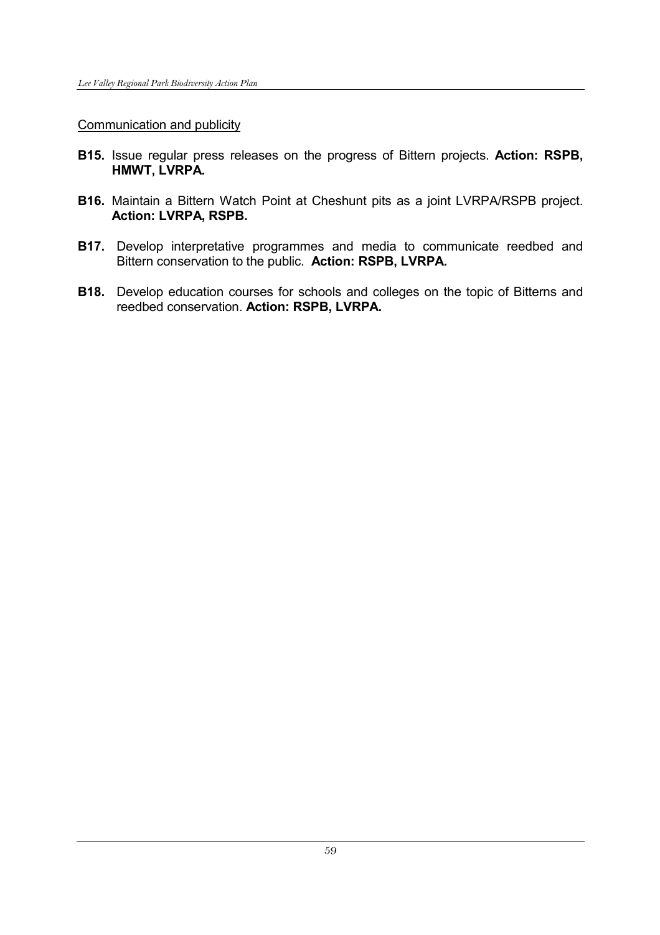#### Communication and publicity

- B15. Issue regular press releases on the progress of Bittern projects. Action: RSPB, HMWT, LVRPA.
- B16. Maintain a Bittern Watch Point at Cheshunt pits as a joint LVRPA/RSPB project. Action: LVRPA, RSPB.
- B17. Develop interpretative programmes and media to communicate reedbed and Bittern conservation to the public. Action: RSPB, LVRPA.
- B18. Develop education courses for schools and colleges on the topic of Bitterns and reedbed conservation. Action: RSPB, LVRPA.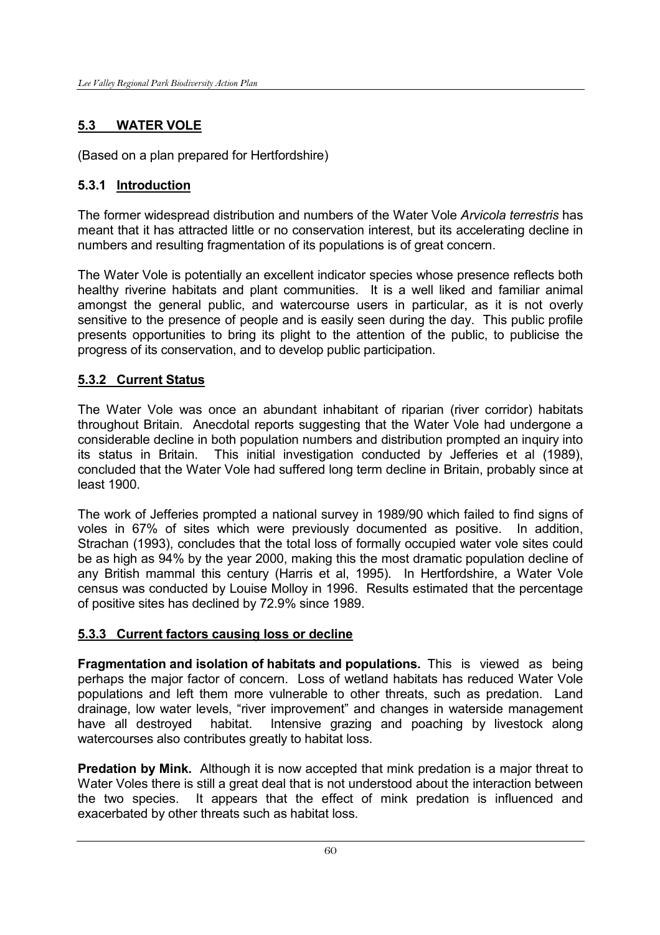# 5.3 WATER VOLE

(Based on a plan prepared for Hertfordshire)

# 5.3.1 Introduction

The former widespread distribution and numbers of the Water Vole Arvicola terrestris has meant that it has attracted little or no conservation interest, but its accelerating decline in numbers and resulting fragmentation of its populations is of great concern.

The Water Vole is potentially an excellent indicator species whose presence reflects both healthy riverine habitats and plant communities. It is a well liked and familiar animal amongst the general public, and watercourse users in particular, as it is not overly sensitive to the presence of people and is easily seen during the day. This public profile presents opportunities to bring its plight to the attention of the public, to publicise the progress of its conservation, and to develop public participation.

# 5.3.2 Current Status

The Water Vole was once an abundant inhabitant of riparian (river corridor) habitats throughout Britain. Anecdotal reports suggesting that the Water Vole had undergone a considerable decline in both population numbers and distribution prompted an inquiry into its status in Britain. This initial investigation conducted by Jefferies et al (1989), concluded that the Water Vole had suffered long term decline in Britain, probably since at least 1900.

The work of Jefferies prompted a national survey in 1989/90 which failed to find signs of voles in 67% of sites which were previously documented as positive. In addition, Strachan (1993), concludes that the total loss of formally occupied water vole sites could be as high as 94% by the year 2000, making this the most dramatic population decline of any British mammal this century (Harris et al, 1995). In Hertfordshire, a Water Vole census was conducted by Louise Molloy in 1996. Results estimated that the percentage of positive sites has declined by 72.9% since 1989.

# 5.3.3 Current factors causing loss or decline

Fragmentation and isolation of habitats and populations. This is viewed as being perhaps the major factor of concern. Loss of wetland habitats has reduced Water Vole populations and left them more vulnerable to other threats, such as predation. Land drainage, low water levels, "river improvement" and changes in waterside management have all destroyed habitat. Intensive grazing and poaching by livestock along watercourses also contributes greatly to habitat loss.

**Predation by Mink.** Although it is now accepted that mink predation is a major threat to Water Voles there is still a great deal that is not understood about the interaction between the two species. It appears that the effect of mink predation is influenced and exacerbated by other threats such as habitat loss.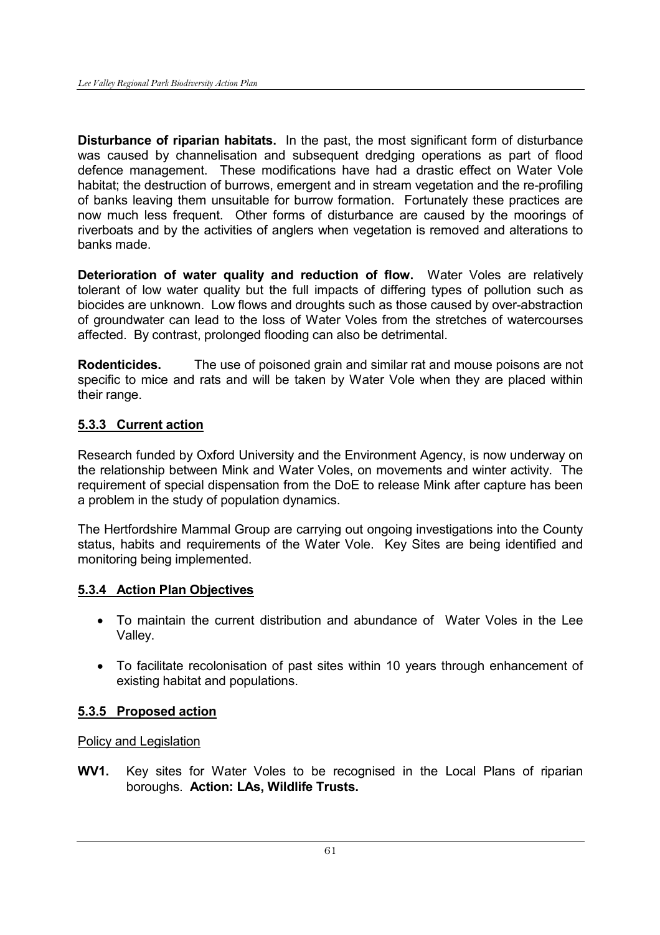Disturbance of riparian habitats. In the past, the most significant form of disturbance was caused by channelisation and subsequent dredging operations as part of flood defence management. These modifications have had a drastic effect on Water Vole habitat; the destruction of burrows, emergent and in stream vegetation and the re-profiling of banks leaving them unsuitable for burrow formation. Fortunately these practices are now much less frequent. Other forms of disturbance are caused by the moorings of riverboats and by the activities of anglers when vegetation is removed and alterations to banks made.

Deterioration of water quality and reduction of flow. Water Voles are relatively tolerant of low water quality but the full impacts of differing types of pollution such as biocides are unknown. Low flows and droughts such as those caused by over-abstraction of groundwater can lead to the loss of Water Voles from the stretches of watercourses affected. By contrast, prolonged flooding can also be detrimental.

Rodenticides. The use of poisoned grain and similar rat and mouse poisons are not specific to mice and rats and will be taken by Water Vole when they are placed within their range.

# 5.3.3 Current action

Research funded by Oxford University and the Environment Agency, is now underway on the relationship between Mink and Water Voles, on movements and winter activity. The requirement of special dispensation from the DoE to release Mink after capture has been a problem in the study of population dynamics.

The Hertfordshire Mammal Group are carrying out ongoing investigations into the County status, habits and requirements of the Water Vole. Key Sites are being identified and monitoring being implemented.

# 5.3.4 Action Plan Objectives

- To maintain the current distribution and abundance of Water Voles in the Lee Valley.
- To facilitate recolonisation of past sites within 10 years through enhancement of existing habitat and populations.

# 5.3.5 Proposed action

Policy and Legislation

WV1. Key sites for Water Voles to be recognised in the Local Plans of riparian boroughs. Action: LAs, Wildlife Trusts.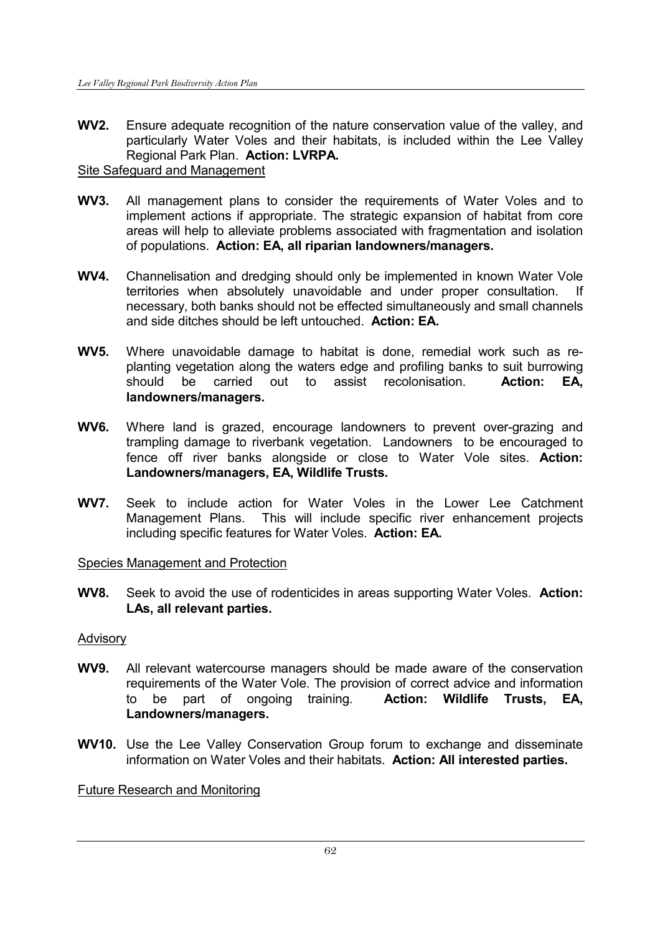WV2. Ensure adequate recognition of the nature conservation value of the valley, and particularly Water Voles and their habitats, is included within the Lee Valley Regional Park Plan. Action: LVRPA.

### Site Safeguard and Management

- WV3. All management plans to consider the requirements of Water Voles and to implement actions if appropriate. The strategic expansion of habitat from core areas will help to alleviate problems associated with fragmentation and isolation of populations. Action: EA, all riparian landowners/managers.
- WV4. Channelisation and dredging should only be implemented in known Water Vole territories when absolutely unavoidable and under proper consultation. necessary, both banks should not be effected simultaneously and small channels and side ditches should be left untouched. Action: EA.
- WV5. Where unavoidable damage to habitat is done, remedial work such as replanting vegetation along the waters edge and profiling banks to suit burrowing should be carried out to assist recolonisation. Action: EA, landowners/managers.
- WV6. Where land is grazed, encourage landowners to prevent over-grazing and trampling damage to riverbank vegetation. Landowners to be encouraged to fence off river banks alongside or close to Water Vole sites. Action: Landowners/managers, EA, Wildlife Trusts.
- WV7. Seek to include action for Water Voles in the Lower Lee Catchment Management Plans. This will include specific river enhancement projects including specific features for Water Voles. Action: EA.

### Species Management and Protection

WV8. Seek to avoid the use of rodenticides in areas supporting Water Voles. Action: LAs, all relevant parties.

### Advisory

- WV9. All relevant watercourse managers should be made aware of the conservation requirements of the Water Vole. The provision of correct advice and information to be part of ongoing training. Action: Wildlife Trusts, EA, Landowners/managers.
- WV10. Use the Lee Valley Conservation Group forum to exchange and disseminate information on Water Voles and their habitats. Action: All interested parties.

### Future Research and Monitoring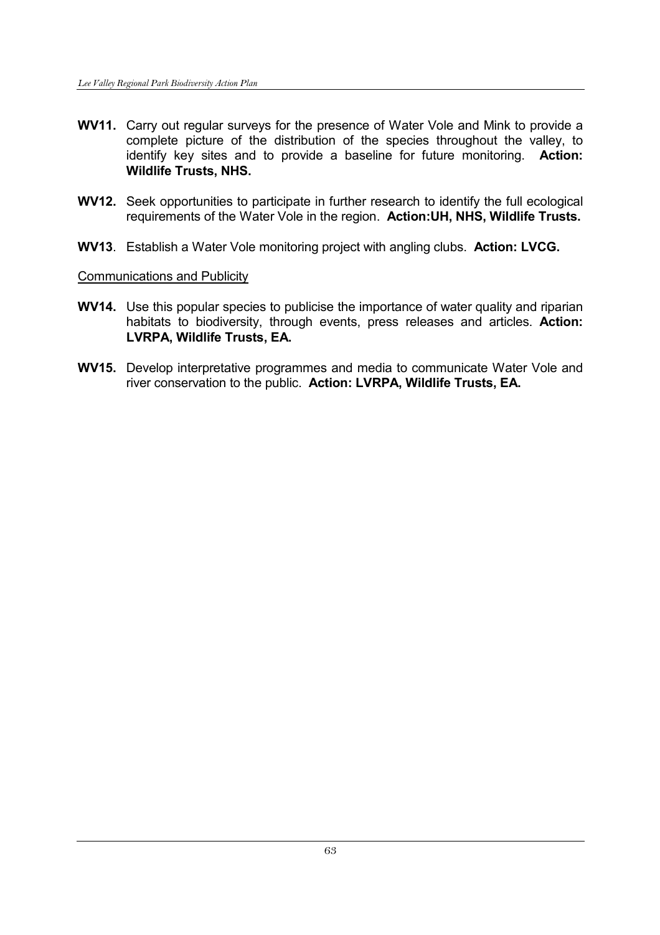- WV11. Carry out regular surveys for the presence of Water Vole and Mink to provide a complete picture of the distribution of the species throughout the valley, to identify key sites and to provide a baseline for future monitoring. Action: Wildlife Trusts, NHS.
- WV12. Seek opportunities to participate in further research to identify the full ecological requirements of the Water Vole in the region. Action:UH, NHS, Wildlife Trusts.
- WV13. Establish a Water Vole monitoring project with angling clubs. Action: LVCG.

#### Communications and Publicity

- WV14. Use this popular species to publicise the importance of water quality and riparian habitats to biodiversity, through events, press releases and articles. Action: LVRPA, Wildlife Trusts, EA.
- WV15. Develop interpretative programmes and media to communicate Water Vole and river conservation to the public. Action: LVRPA, Wildlife Trusts, EA.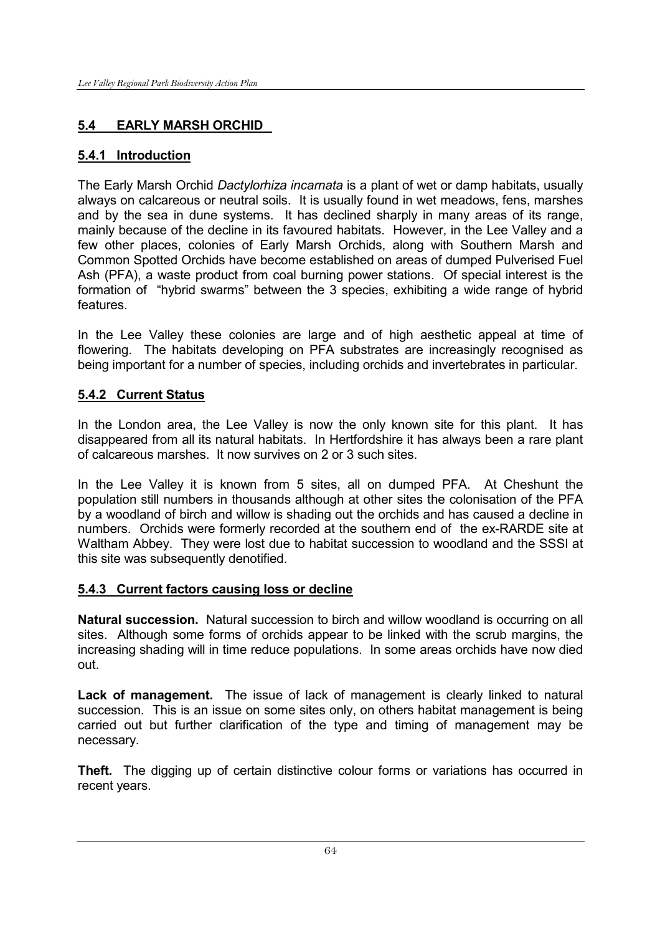# 5.4 EARLY MARSH ORCHID

# 5.4.1 Introduction

The Early Marsh Orchid Dactylorhiza incarnata is a plant of wet or damp habitats, usually always on calcareous or neutral soils. It is usually found in wet meadows, fens, marshes and by the sea in dune systems. It has declined sharply in many areas of its range, mainly because of the decline in its favoured habitats. However, in the Lee Valley and a few other places, colonies of Early Marsh Orchids, along with Southern Marsh and Common Spotted Orchids have become established on areas of dumped Pulverised Fuel Ash (PFA), a waste product from coal burning power stations. Of special interest is the formation of "hybrid swarms" between the 3 species, exhibiting a wide range of hybrid features.

In the Lee Valley these colonies are large and of high aesthetic appeal at time of flowering. The habitats developing on PFA substrates are increasingly recognised as being important for a number of species, including orchids and invertebrates in particular.

# 5.4.2 Current Status

In the London area, the Lee Valley is now the only known site for this plant. It has disappeared from all its natural habitats. In Hertfordshire it has always been a rare plant of calcareous marshes. It now survives on 2 or 3 such sites.

In the Lee Valley it is known from 5 sites, all on dumped PFA. At Cheshunt the population still numbers in thousands although at other sites the colonisation of the PFA by a woodland of birch and willow is shading out the orchids and has caused a decline in numbers. Orchids were formerly recorded at the southern end of the ex-RARDE site at Waltham Abbey. They were lost due to habitat succession to woodland and the SSSI at this site was subsequently denotified.

# 5.4.3 Current factors causing loss or decline

Natural succession. Natural succession to birch and willow woodland is occurring on all sites. Although some forms of orchids appear to be linked with the scrub margins, the increasing shading will in time reduce populations. In some areas orchids have now died out.

Lack of management. The issue of lack of management is clearly linked to natural succession. This is an issue on some sites only, on others habitat management is being carried out but further clarification of the type and timing of management may be necessary.

Theft. The digging up of certain distinctive colour forms or variations has occurred in recent years.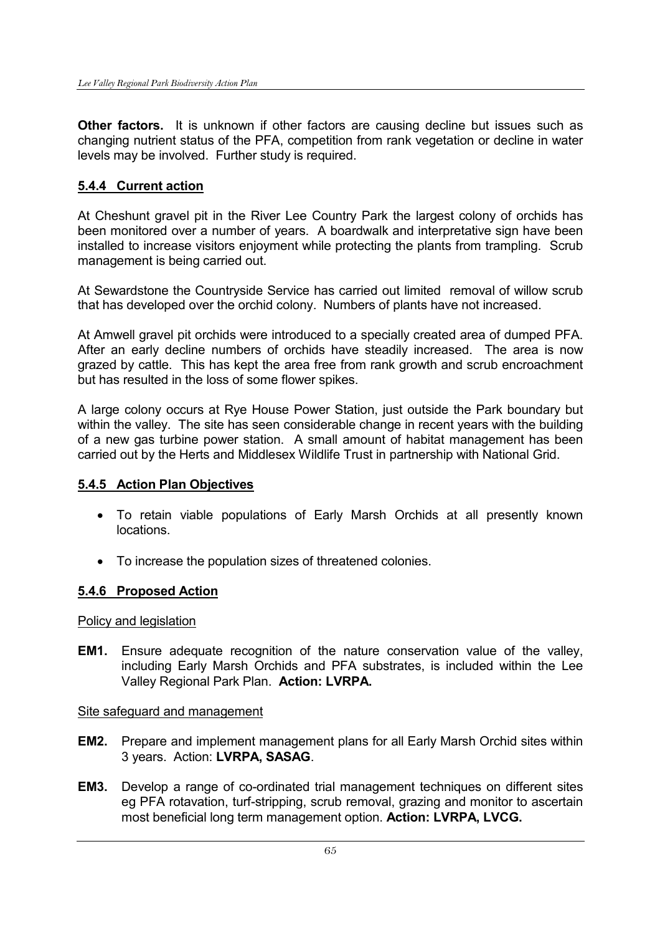**Other factors.** It is unknown if other factors are causing decline but issues such as changing nutrient status of the PFA, competition from rank vegetation or decline in water levels may be involved. Further study is required.

# 5.4.4 Current action

At Cheshunt gravel pit in the River Lee Country Park the largest colony of orchids has been monitored over a number of years. A boardwalk and interpretative sign have been installed to increase visitors enjoyment while protecting the plants from trampling. Scrub management is being carried out.

At Sewardstone the Countryside Service has carried out limited removal of willow scrub that has developed over the orchid colony. Numbers of plants have not increased.

At Amwell gravel pit orchids were introduced to a specially created area of dumped PFA. After an early decline numbers of orchids have steadily increased. The area is now grazed by cattle. This has kept the area free from rank growth and scrub encroachment but has resulted in the loss of some flower spikes.

A large colony occurs at Rye House Power Station, just outside the Park boundary but within the valley. The site has seen considerable change in recent years with the building of a new gas turbine power station. A small amount of habitat management has been carried out by the Herts and Middlesex Wildlife Trust in partnership with National Grid.

# 5.4.5 Action Plan Objectives

- To retain viable populations of Early Marsh Orchids at all presently known locations.
- To increase the population sizes of threatened colonies.

# 5.4.6 Proposed Action

### Policy and legislation

EM1. Ensure adequate recognition of the nature conservation value of the valley, including Early Marsh Orchids and PFA substrates, is included within the Lee Valley Regional Park Plan. Action: LVRPA.

### Site safeguard and management

- EM2. Prepare and implement management plans for all Early Marsh Orchid sites within 3 years. Action: LVRPA, SASAG.
- EM3. Develop a range of co-ordinated trial management techniques on different sites eg PFA rotavation, turf-stripping, scrub removal, grazing and monitor to ascertain most beneficial long term management option. Action: LVRPA, LVCG.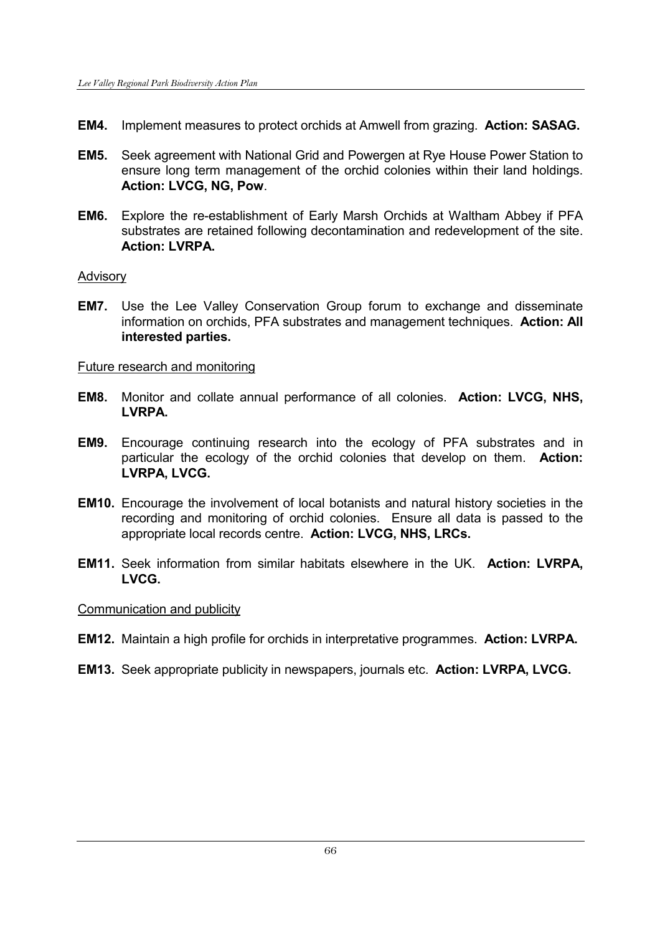- EM4. Implement measures to protect orchids at Amwell from grazing. Action: SASAG.
- EM5. Seek agreement with National Grid and Powergen at Rye House Power Station to ensure long term management of the orchid colonies within their land holdings. Action: LVCG, NG, Pow.
- EM6. Explore the re-establishment of Early Marsh Orchids at Waltham Abbey if PFA substrates are retained following decontamination and redevelopment of the site. Action: LVRPA.

#### Advisory

EM7. Use the Lee Valley Conservation Group forum to exchange and disseminate information on orchids, PFA substrates and management techniques. Action: All interested parties.

#### Future research and monitoring

- EM8. Monitor and collate annual performance of all colonies. Action: LVCG, NHS, LVRPA.
- EM9. Encourage continuing research into the ecology of PFA substrates and in particular the ecology of the orchid colonies that develop on them. Action: LVRPA, LVCG.
- EM10. Encourage the involvement of local botanists and natural history societies in the recording and monitoring of orchid colonies. Ensure all data is passed to the appropriate local records centre. Action: LVCG, NHS, LRCs.
- EM11. Seek information from similar habitats elsewhere in the UK. Action: LVRPA, LVCG.

#### Communication and publicity

- EM12. Maintain a high profile for orchids in interpretative programmes. Action: LVRPA.
- EM13. Seek appropriate publicity in newspapers, journals etc. Action: LVRPA, LVCG.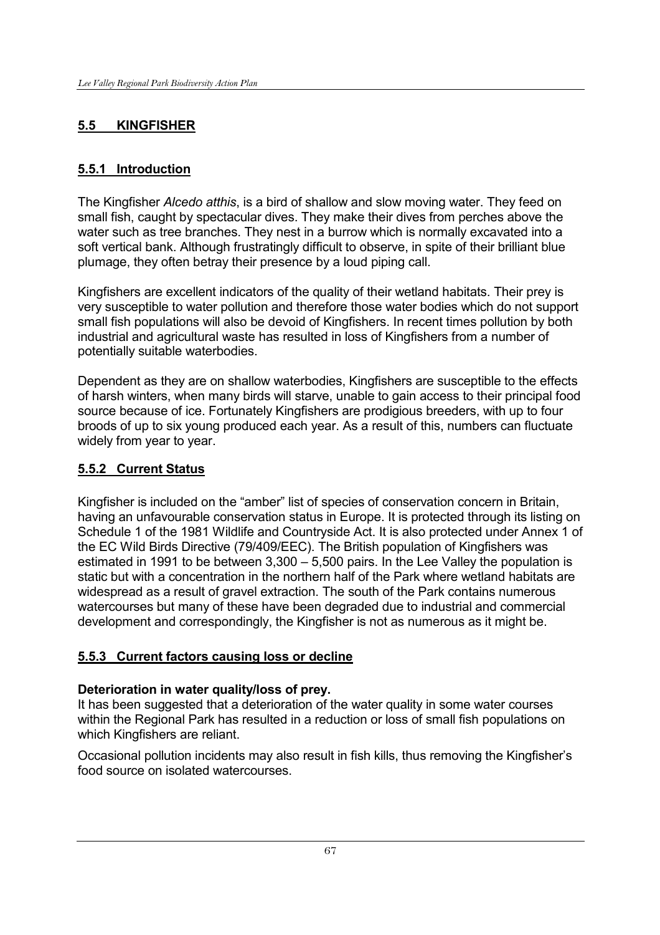# 5.5 KINGFISHER

# 5.5.1 Introduction

The Kingfisher Alcedo atthis, is a bird of shallow and slow moving water. They feed on small fish, caught by spectacular dives. They make their dives from perches above the water such as tree branches. They nest in a burrow which is normally excavated into a soft vertical bank. Although frustratingly difficult to observe, in spite of their brilliant blue plumage, they often betray their presence by a loud piping call.

Kingfishers are excellent indicators of the quality of their wetland habitats. Their prey is very susceptible to water pollution and therefore those water bodies which do not support small fish populations will also be devoid of Kingfishers. In recent times pollution by both industrial and agricultural waste has resulted in loss of Kingfishers from a number of potentially suitable waterbodies.

Dependent as they are on shallow waterbodies, Kingfishers are susceptible to the effects of harsh winters, when many birds will starve, unable to gain access to their principal food source because of ice. Fortunately Kingfishers are prodigious breeders, with up to four broods of up to six young produced each year. As a result of this, numbers can fluctuate widely from year to year.

# 5.5.2 Current Status

Kingfisher is included on the "amber" list of species of conservation concern in Britain, having an unfavourable conservation status in Europe. It is protected through its listing on Schedule 1 of the 1981 Wildlife and Countryside Act. It is also protected under Annex 1 of the EC Wild Birds Directive (79/409/EEC). The British population of Kingfishers was estimated in 1991 to be between 3,300 – 5,500 pairs. In the Lee Valley the population is static but with a concentration in the northern half of the Park where wetland habitats are widespread as a result of gravel extraction. The south of the Park contains numerous watercourses but many of these have been degraded due to industrial and commercial development and correspondingly, the Kingfisher is not as numerous as it might be.

# 5.5.3 Current factors causing loss or decline

### Deterioration in water quality/loss of prey.

It has been suggested that a deterioration of the water quality in some water courses within the Regional Park has resulted in a reduction or loss of small fish populations on which Kingfishers are reliant.

Occasional pollution incidents may also result in fish kills, thus removing the Kingfisher's food source on isolated watercourses.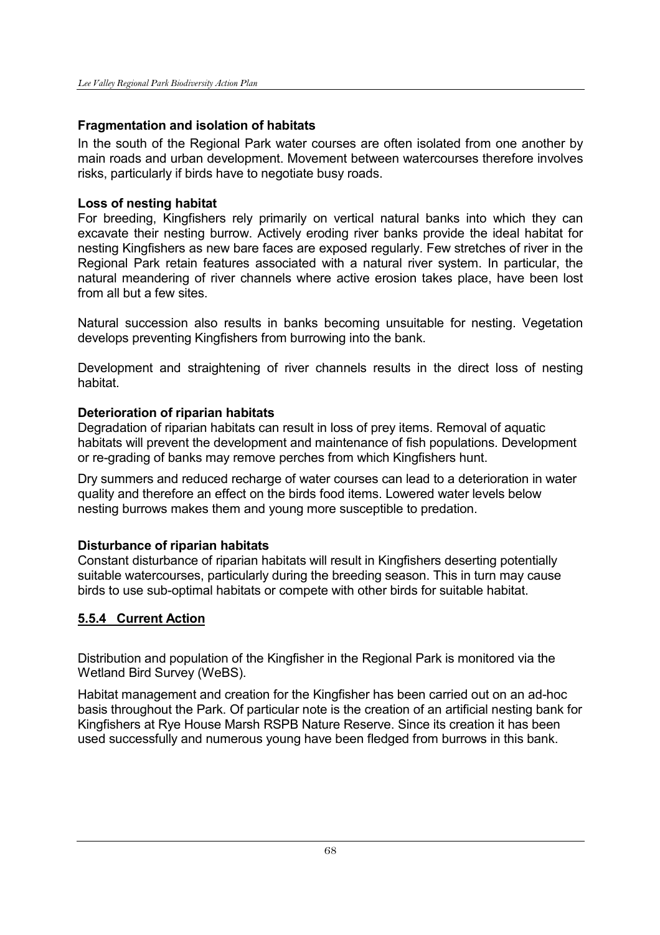# Fragmentation and isolation of habitats

In the south of the Regional Park water courses are often isolated from one another by main roads and urban development. Movement between watercourses therefore involves risks, particularly if birds have to negotiate busy roads.

## Loss of nesting habitat

For breeding, Kingfishers rely primarily on vertical natural banks into which they can excavate their nesting burrow. Actively eroding river banks provide the ideal habitat for nesting Kingfishers as new bare faces are exposed regularly. Few stretches of river in the Regional Park retain features associated with a natural river system. In particular, the natural meandering of river channels where active erosion takes place, have been lost from all but a few sites.

Natural succession also results in banks becoming unsuitable for nesting. Vegetation develops preventing Kingfishers from burrowing into the bank.

Development and straightening of river channels results in the direct loss of nesting habitat.

## Deterioration of riparian habitats

Degradation of riparian habitats can result in loss of prey items. Removal of aquatic habitats will prevent the development and maintenance of fish populations. Development or re-grading of banks may remove perches from which Kingfishers hunt.

Dry summers and reduced recharge of water courses can lead to a deterioration in water quality and therefore an effect on the birds food items. Lowered water levels below nesting burrows makes them and young more susceptible to predation.

# Disturbance of riparian habitats

Constant disturbance of riparian habitats will result in Kingfishers deserting potentially suitable watercourses, particularly during the breeding season. This in turn may cause birds to use sub-optimal habitats or compete with other birds for suitable habitat.

# 5.5.4 Current Action

Distribution and population of the Kingfisher in the Regional Park is monitored via the Wetland Bird Survey (WeBS).

Habitat management and creation for the Kingfisher has been carried out on an ad-hoc basis throughout the Park. Of particular note is the creation of an artificial nesting bank for Kingfishers at Rye House Marsh RSPB Nature Reserve. Since its creation it has been used successfully and numerous young have been fledged from burrows in this bank.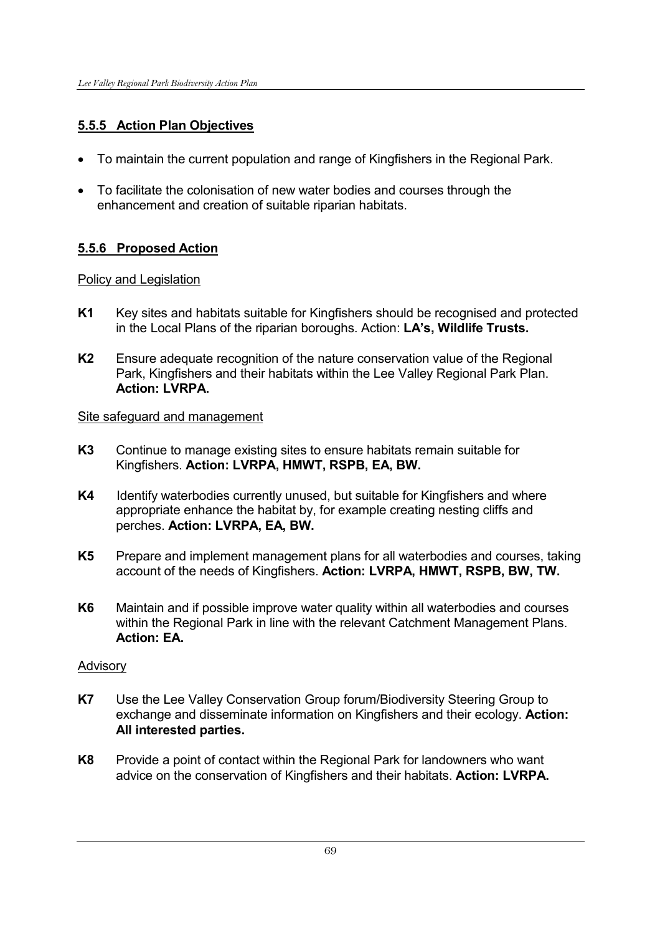# 5.5.5 Action Plan Objectives

- To maintain the current population and range of Kingfishers in the Regional Park.
- To facilitate the colonisation of new water bodies and courses through the enhancement and creation of suitable riparian habitats.

# 5.5.6 Proposed Action

### Policy and Legislation

- K<sub>1</sub> Key sites and habitats suitable for Kingfishers should be recognised and protected in the Local Plans of the riparian boroughs. Action: LA's, Wildlife Trusts.
- K2 Ensure adequate recognition of the nature conservation value of the Regional Park, Kingfishers and their habitats within the Lee Valley Regional Park Plan. Action: LVRPA.

## Site safeguard and management

- K3 Continue to manage existing sites to ensure habitats remain suitable for Kingfishers. Action: LVRPA, HMWT, RSPB, EA, BW.
- K4 Identify waterbodies currently unused, but suitable for Kingfishers and where appropriate enhance the habitat by, for example creating nesting cliffs and perches. Action: LVRPA, EA, BW.
- K5 Prepare and implement management plans for all waterbodies and courses, taking account of the needs of Kingfishers. Action: LVRPA, HMWT, RSPB, BW, TW.
- K6 Maintain and if possible improve water quality within all waterbodies and courses within the Regional Park in line with the relevant Catchment Management Plans. Action: EA.

### Advisory

- K7 Use the Lee Valley Conservation Group forum/Biodiversity Steering Group to exchange and disseminate information on Kingfishers and their ecology. Action: All interested parties.
- K8 Provide a point of contact within the Regional Park for landowners who want advice on the conservation of Kingfishers and their habitats. Action: LVRPA.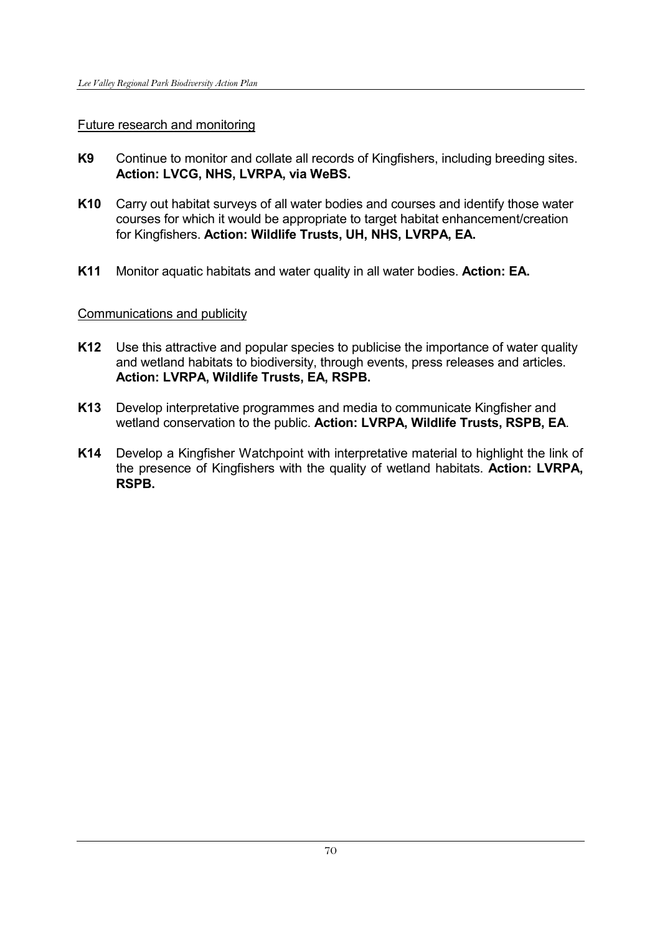#### Future research and monitoring

- K9 Continue to monitor and collate all records of Kingfishers, including breeding sites. Action: LVCG, NHS, LVRPA, via WeBS.
- K10 Carry out habitat surveys of all water bodies and courses and identify those water courses for which it would be appropriate to target habitat enhancement/creation for Kingfishers. Action: Wildlife Trusts, UH, NHS, LVRPA, EA.
- K11 Monitor aquatic habitats and water quality in all water bodies. Action: EA.

#### Communications and publicity

- K12 Use this attractive and popular species to publicise the importance of water quality and wetland habitats to biodiversity, through events, press releases and articles. Action: LVRPA, Wildlife Trusts, EA, RSPB.
- K13 Develop interpretative programmes and media to communicate Kingfisher and wetland conservation to the public. Action: LVRPA, Wildlife Trusts, RSPB, EA.
- K14 Develop a Kingfisher Watchpoint with interpretative material to highlight the link of the presence of Kingfishers with the quality of wetland habitats. Action: LVRPA, RSPB.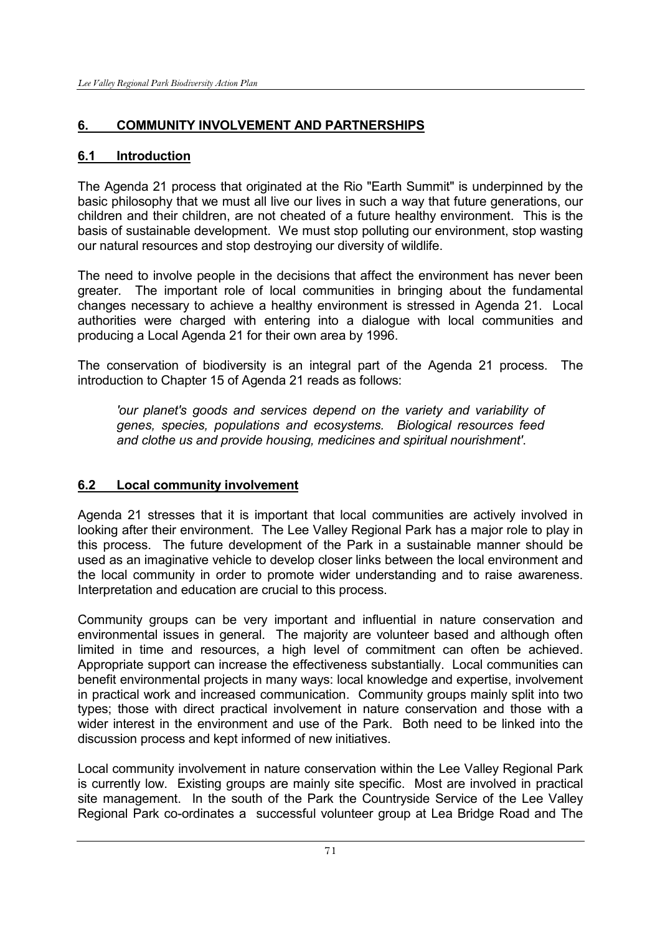# 6. COMMUNITY INVOLVEMENT AND PARTNERSHIPS

### 6.1 Introduction

The Agenda 21 process that originated at the Rio "Earth Summit" is underpinned by the basic philosophy that we must all live our lives in such a way that future generations, our children and their children, are not cheated of a future healthy environment. This is the basis of sustainable development. We must stop polluting our environment, stop wasting our natural resources and stop destroying our diversity of wildlife.

The need to involve people in the decisions that affect the environment has never been greater. The important role of local communities in bringing about the fundamental changes necessary to achieve a healthy environment is stressed in Agenda 21. Local authorities were charged with entering into a dialogue with local communities and producing a Local Agenda 21 for their own area by 1996.

The conservation of biodiversity is an integral part of the Agenda 21 process. The introduction to Chapter 15 of Agenda 21 reads as follows:

 'our planet's goods and services depend on the variety and variability of genes, species, populations and ecosystems. Biological resources feed and clothe us and provide housing, medicines and spiritual nourishment'.

# 6.2 Local community involvement

Agenda 21 stresses that it is important that local communities are actively involved in looking after their environment. The Lee Valley Regional Park has a major role to play in this process. The future development of the Park in a sustainable manner should be used as an imaginative vehicle to develop closer links between the local environment and the local community in order to promote wider understanding and to raise awareness. Interpretation and education are crucial to this process.

Community groups can be very important and influential in nature conservation and environmental issues in general. The majority are volunteer based and although often limited in time and resources, a high level of commitment can often be achieved. Appropriate support can increase the effectiveness substantially. Local communities can benefit environmental projects in many ways: local knowledge and expertise, involvement in practical work and increased communication. Community groups mainly split into two types; those with direct practical involvement in nature conservation and those with a wider interest in the environment and use of the Park. Both need to be linked into the discussion process and kept informed of new initiatives.

Local community involvement in nature conservation within the Lee Valley Regional Park is currently low. Existing groups are mainly site specific. Most are involved in practical site management. In the south of the Park the Countryside Service of the Lee Valley Regional Park co-ordinates a successful volunteer group at Lea Bridge Road and The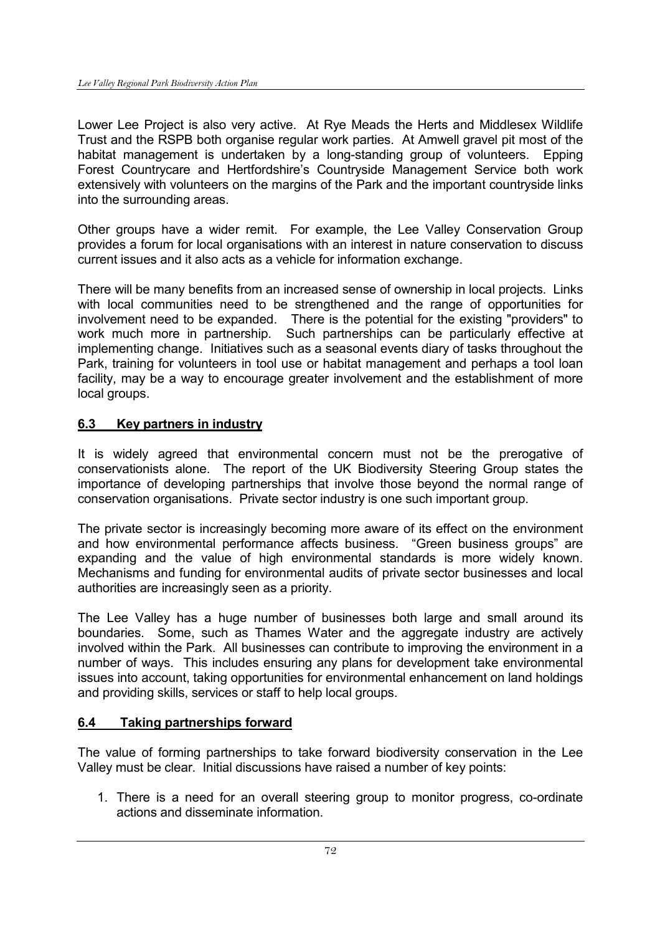Lower Lee Project is also very active. At Rye Meads the Herts and Middlesex Wildlife Trust and the RSPB both organise regular work parties. At Amwell gravel pit most of the habitat management is undertaken by a long-standing group of volunteers. Epping Forest Countrycare and Hertfordshire's Countryside Management Service both work extensively with volunteers on the margins of the Park and the important countryside links into the surrounding areas.

Other groups have a wider remit. For example, the Lee Valley Conservation Group provides a forum for local organisations with an interest in nature conservation to discuss current issues and it also acts as a vehicle for information exchange.

There will be many benefits from an increased sense of ownership in local projects. Links with local communities need to be strengthened and the range of opportunities for involvement need to be expanded. There is the potential for the existing "providers" to work much more in partnership. Such partnerships can be particularly effective at implementing change. Initiatives such as a seasonal events diary of tasks throughout the Park, training for volunteers in tool use or habitat management and perhaps a tool loan facility, may be a way to encourage greater involvement and the establishment of more local groups.

# 6.3 Key partners in industry

It is widely agreed that environmental concern must not be the prerogative of conservationists alone. The report of the UK Biodiversity Steering Group states the importance of developing partnerships that involve those beyond the normal range of conservation organisations. Private sector industry is one such important group.

The private sector is increasingly becoming more aware of its effect on the environment and how environmental performance affects business. "Green business groups" are expanding and the value of high environmental standards is more widely known. Mechanisms and funding for environmental audits of private sector businesses and local authorities are increasingly seen as a priority.

The Lee Valley has a huge number of businesses both large and small around its boundaries. Some, such as Thames Water and the aggregate industry are actively involved within the Park. All businesses can contribute to improving the environment in a number of ways. This includes ensuring any plans for development take environmental issues into account, taking opportunities for environmental enhancement on land holdings and providing skills, services or staff to help local groups.

# 6.4 Taking partnerships forward

The value of forming partnerships to take forward biodiversity conservation in the Lee Valley must be clear. Initial discussions have raised a number of key points:

1. There is a need for an overall steering group to monitor progress, co-ordinate actions and disseminate information.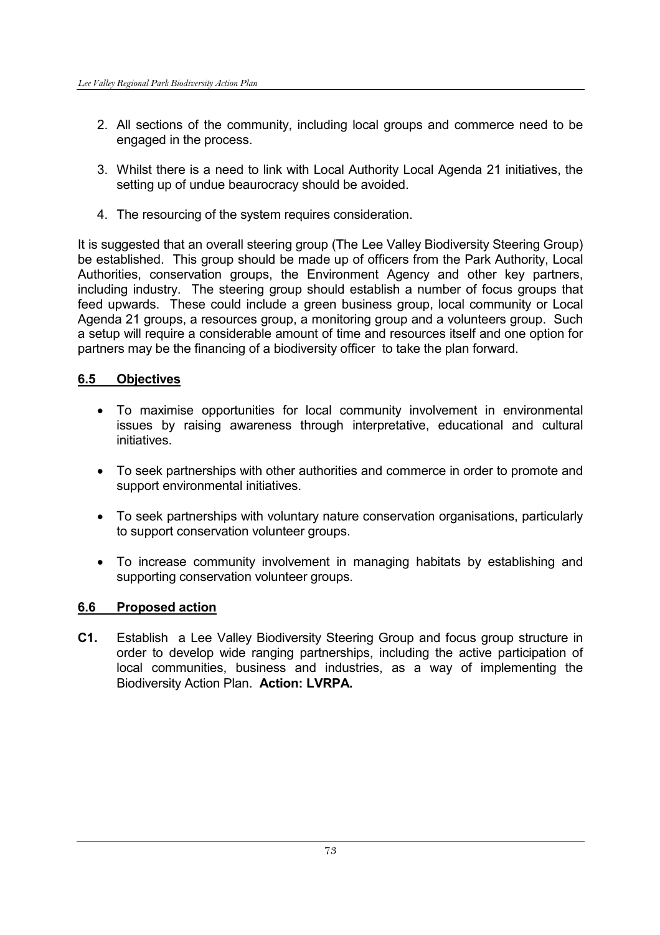- 2. All sections of the community, including local groups and commerce need to be engaged in the process.
- 3. Whilst there is a need to link with Local Authority Local Agenda 21 initiatives, the setting up of undue beaurocracy should be avoided.
- 4. The resourcing of the system requires consideration.

It is suggested that an overall steering group (The Lee Valley Biodiversity Steering Group) be established. This group should be made up of officers from the Park Authority, Local Authorities, conservation groups, the Environment Agency and other key partners, including industry. The steering group should establish a number of focus groups that feed upwards. These could include a green business group, local community or Local Agenda 21 groups, a resources group, a monitoring group and a volunteers group. Such a setup will require a considerable amount of time and resources itself and one option for partners may be the financing of a biodiversity officer to take the plan forward.

# 6.5 Objectives

- To maximise opportunities for local community involvement in environmental issues by raising awareness through interpretative, educational and cultural initiatives.
- To seek partnerships with other authorities and commerce in order to promote and support environmental initiatives.
- To seek partnerships with voluntary nature conservation organisations, particularly to support conservation volunteer groups.
- To increase community involvement in managing habitats by establishing and supporting conservation volunteer groups.

#### 6.6 Proposed action

C1. Establish a Lee Valley Biodiversity Steering Group and focus group structure in order to develop wide ranging partnerships, including the active participation of local communities, business and industries, as a way of implementing the Biodiversity Action Plan. Action: LVRPA.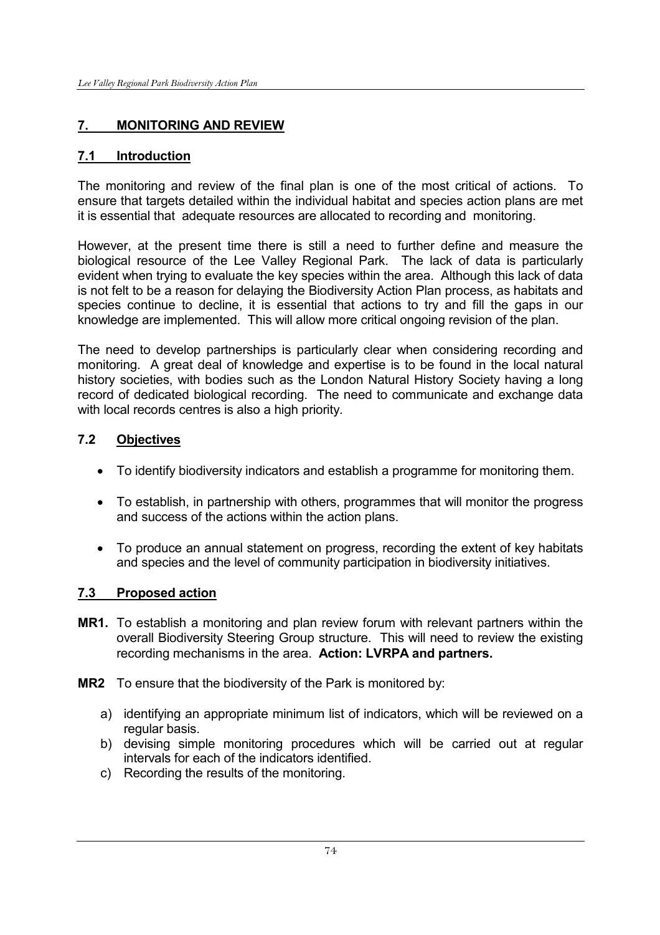# 7. MONITORING AND REVIEW

### 7.1 Introduction

The monitoring and review of the final plan is one of the most critical of actions. To ensure that targets detailed within the individual habitat and species action plans are met it is essential that adequate resources are allocated to recording and monitoring.

However, at the present time there is still a need to further define and measure the biological resource of the Lee Valley Regional Park. The lack of data is particularly evident when trying to evaluate the key species within the area. Although this lack of data is not felt to be a reason for delaying the Biodiversity Action Plan process, as habitats and species continue to decline, it is essential that actions to try and fill the gaps in our knowledge are implemented. This will allow more critical ongoing revision of the plan.

The need to develop partnerships is particularly clear when considering recording and monitoring. A great deal of knowledge and expertise is to be found in the local natural history societies, with bodies such as the London Natural History Society having a long record of dedicated biological recording. The need to communicate and exchange data with local records centres is also a high priority.

### 7.2 Objectives

- To identify biodiversity indicators and establish a programme for monitoring them.
- To establish, in partnership with others, programmes that will monitor the progress and success of the actions within the action plans.
- To produce an annual statement on progress, recording the extent of key habitats and species and the level of community participation in biodiversity initiatives.

#### 7.3 Proposed action

- MR1. To establish a monitoring and plan review forum with relevant partners within the overall Biodiversity Steering Group structure. This will need to review the existing recording mechanisms in the area. Action: LVRPA and partners.
- MR2 To ensure that the biodiversity of the Park is monitored by:
	- a) identifying an appropriate minimum list of indicators, which will be reviewed on a regular basis.
	- b) devising simple monitoring procedures which will be carried out at regular intervals for each of the indicators identified.
	- c) Recording the results of the monitoring.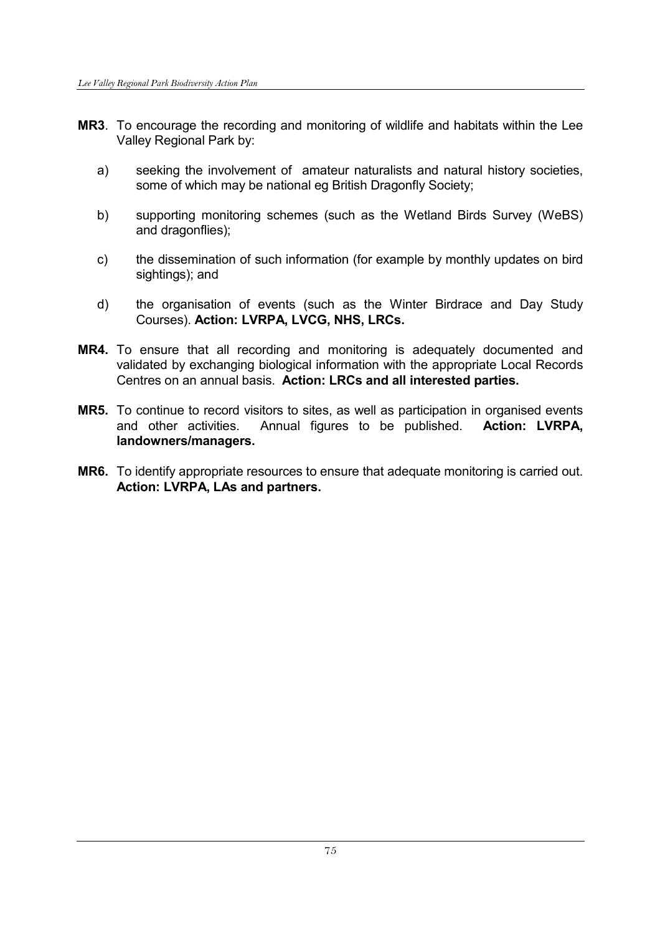- MR3. To encourage the recording and monitoring of wildlife and habitats within the Lee Valley Regional Park by:
	- a) seeking the involvement of amateur naturalists and natural history societies, some of which may be national eg British Dragonfly Society;
	- b) supporting monitoring schemes (such as the Wetland Birds Survey (WeBS) and dragonflies);
	- c) the dissemination of such information (for example by monthly updates on bird sightings); and
	- d) the organisation of events (such as the Winter Birdrace and Day Study Courses). Action: LVRPA, LVCG, NHS, LRCs.
- MR4. To ensure that all recording and monitoring is adequately documented and validated by exchanging biological information with the appropriate Local Records Centres on an annual basis. Action: LRCs and all interested parties.
- MR5. To continue to record visitors to sites, as well as participation in organised events and other activities. Annual figures to be published. Action: LVRPA, landowners/managers.
- MR6. To identify appropriate resources to ensure that adequate monitoring is carried out. Action: LVRPA, LAs and partners.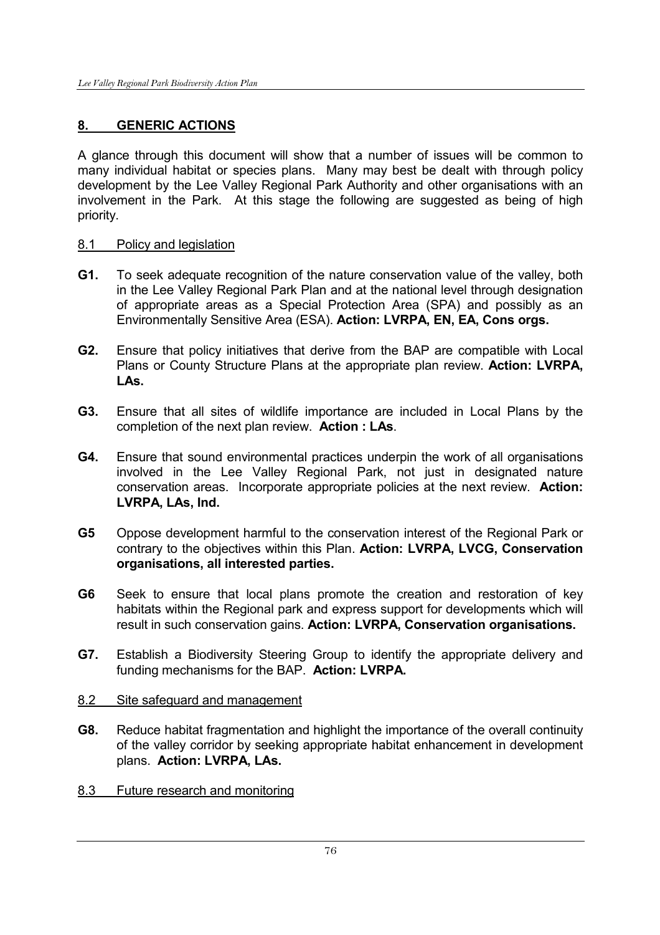# 8. GENERIC ACTIONS

A glance through this document will show that a number of issues will be common to many individual habitat or species plans. Many may best be dealt with through policy development by the Lee Valley Regional Park Authority and other organisations with an involvement in the Park. At this stage the following are suggested as being of high priority.

### 8.1 Policy and legislation

- G1. To seek adequate recognition of the nature conservation value of the valley, both in the Lee Valley Regional Park Plan and at the national level through designation of appropriate areas as a Special Protection Area (SPA) and possibly as an Environmentally Sensitive Area (ESA). Action: LVRPA, EN, EA, Cons orgs.
- G2. Ensure that policy initiatives that derive from the BAP are compatible with Local Plans or County Structure Plans at the appropriate plan review. Action: LVRPA, LAs.
- G3. Ensure that all sites of wildlife importance are included in Local Plans by the completion of the next plan review. Action : LAs.
- G4. Ensure that sound environmental practices underpin the work of all organisations involved in the Lee Valley Regional Park, not just in designated nature conservation areas. Incorporate appropriate policies at the next review. Action: LVRPA, LAs, Ind.
- G5 Oppose development harmful to the conservation interest of the Regional Park or contrary to the objectives within this Plan. Action: LVRPA, LVCG, Conservation organisations, all interested parties.
- G6 Seek to ensure that local plans promote the creation and restoration of key habitats within the Regional park and express support for developments which will result in such conservation gains. Action: LVRPA, Conservation organisations.
- G7. Establish a Biodiversity Steering Group to identify the appropriate delivery and funding mechanisms for the BAP. Action: LVRPA.
- 8.2 Site safeguard and management
- G8. Reduce habitat fragmentation and highlight the importance of the overall continuity of the valley corridor by seeking appropriate habitat enhancement in development plans. Action: LVRPA, LAs.
- 8.3 Future research and monitoring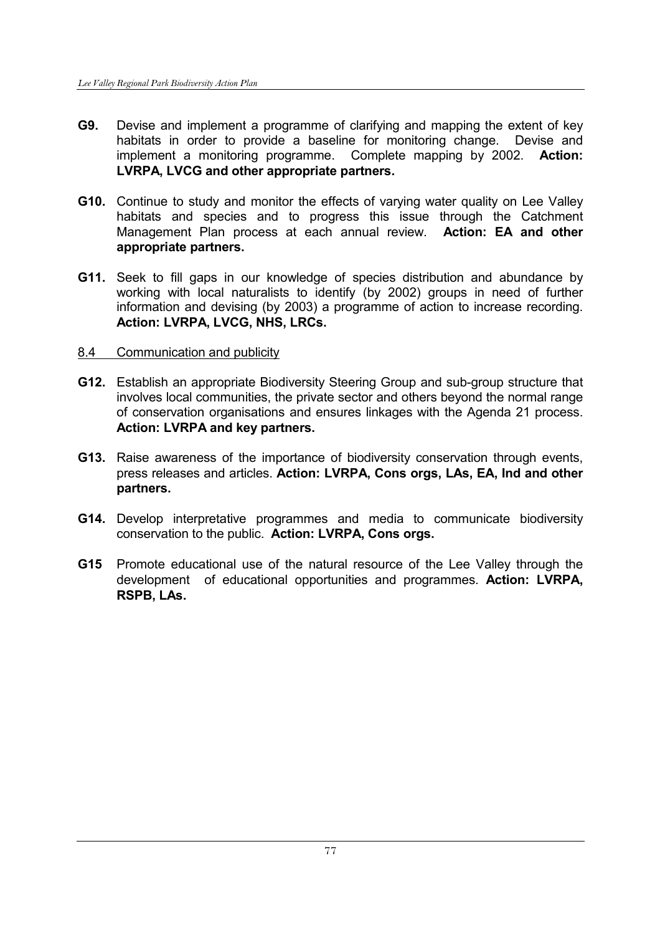- G9. Devise and implement a programme of clarifying and mapping the extent of key habitats in order to provide a baseline for monitoring change. Devise and implement a monitoring programme. Complete mapping by 2002. Action: LVRPA, LVCG and other appropriate partners.
- G10. Continue to study and monitor the effects of varying water quality on Lee Valley habitats and species and to progress this issue through the Catchment Management Plan process at each annual review. Action: EA and other appropriate partners.
- G11. Seek to fill gaps in our knowledge of species distribution and abundance by working with local naturalists to identify (by 2002) groups in need of further information and devising (by 2003) a programme of action to increase recording. Action: LVRPA, LVCG, NHS, LRCs.

#### 8.4 Communication and publicity

- G12. Establish an appropriate Biodiversity Steering Group and sub-group structure that involves local communities, the private sector and others beyond the normal range of conservation organisations and ensures linkages with the Agenda 21 process. Action: LVRPA and key partners.
- G13. Raise awareness of the importance of biodiversity conservation through events, press releases and articles. Action: LVRPA, Cons orgs, LAs, EA, Ind and other partners.
- G14. Develop interpretative programmes and media to communicate biodiversity conservation to the public. Action: LVRPA, Cons orgs.
- G15 Promote educational use of the natural resource of the Lee Valley through the development of educational opportunities and programmes. Action: LVRPA, RSPB, LAs.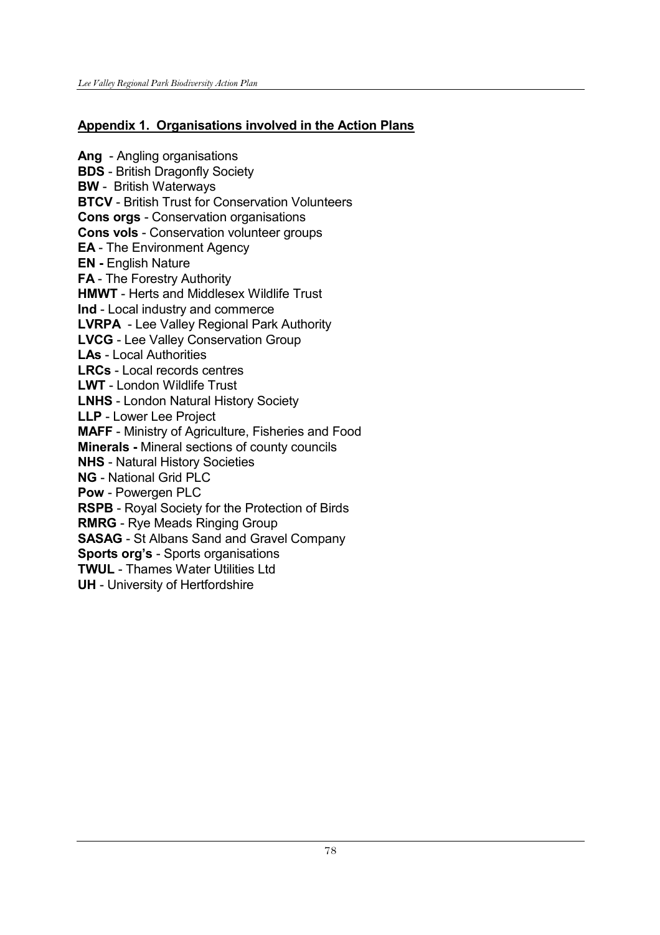# Appendix 1. Organisations involved in the Action Plans

Ang - Angling organisations BDS - British Dragonfly Society BW - British Waterways **BTCV** - British Trust for Conservation Volunteers Cons orgs - Conservation organisations Cons vols - Conservation volunteer groups EA - The Environment Agency EN - English Nature FA - The Forestry Authority HMWT - Herts and Middlesex Wildlife Trust Ind - Local industry and commerce LVRPA - Lee Valley Regional Park Authority LVCG - Lee Valley Conservation Group LAs - Local Authorities LRCs - Local records centres LWT - London Wildlife Trust LNHS - London Natural History Society LLP - Lower Lee Project MAFF - Ministry of Agriculture, Fisheries and Food Minerals - Mineral sections of county councils NHS - Natural History Societies NG - National Grid PLC Pow - Powergen PLC RSPB - Royal Society for the Protection of Birds RMRG - Rye Meads Ringing Group SASAG - St Albans Sand and Gravel Company Sports org's - Sports organisations TWUL - Thames Water Utilities Ltd UH - University of Hertfordshire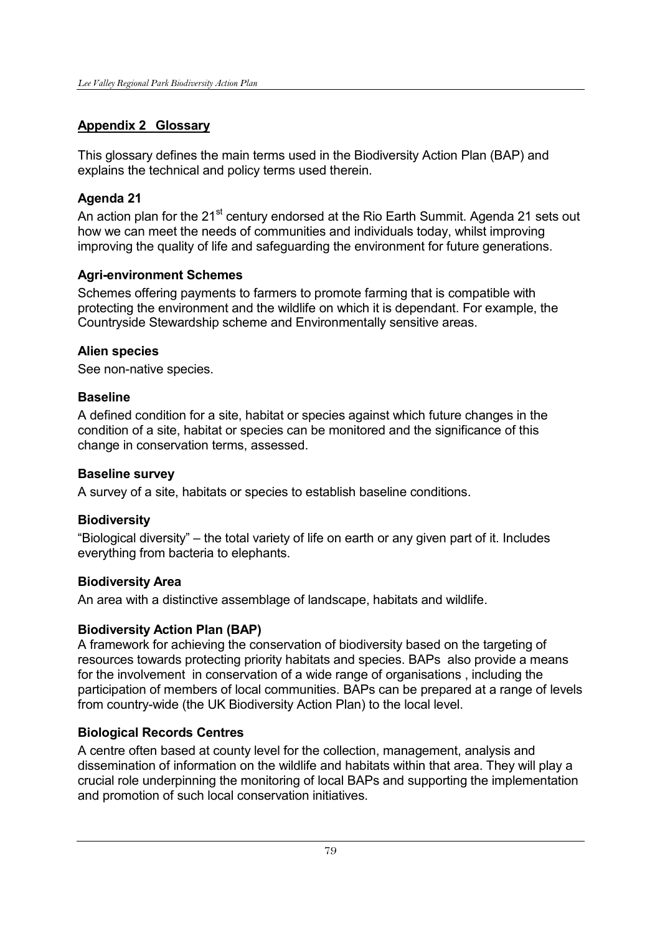# Appendix 2 Glossary

This glossary defines the main terms used in the Biodiversity Action Plan (BAP) and explains the technical and policy terms used therein.

# Agenda 21

An action plan for the 21<sup>st</sup> century endorsed at the Rio Earth Summit. Agenda 21 sets out how we can meet the needs of communities and individuals today, whilst improving improving the quality of life and safeguarding the environment for future generations.

# Agri-environment Schemes

Schemes offering payments to farmers to promote farming that is compatible with protecting the environment and the wildlife on which it is dependant. For example, the Countryside Stewardship scheme and Environmentally sensitive areas.

# Alien species

See non-native species.

### **Baseline**

A defined condition for a site, habitat or species against which future changes in the condition of a site, habitat or species can be monitored and the significance of this change in conservation terms, assessed.

### Baseline survey

A survey of a site, habitats or species to establish baseline conditions.

# **Biodiversity**

"Biological diversity" – the total variety of life on earth or any given part of it. Includes everything from bacteria to elephants.

# Biodiversity Area

An area with a distinctive assemblage of landscape, habitats and wildlife.

# Biodiversity Action Plan (BAP)

A framework for achieving the conservation of biodiversity based on the targeting of resources towards protecting priority habitats and species. BAPs also provide a means for the involvement in conservation of a wide range of organisations , including the participation of members of local communities. BAPs can be prepared at a range of levels from country-wide (the UK Biodiversity Action Plan) to the local level.

# Biological Records Centres

A centre often based at county level for the collection, management, analysis and dissemination of information on the wildlife and habitats within that area. They will play a crucial role underpinning the monitoring of local BAPs and supporting the implementation and promotion of such local conservation initiatives.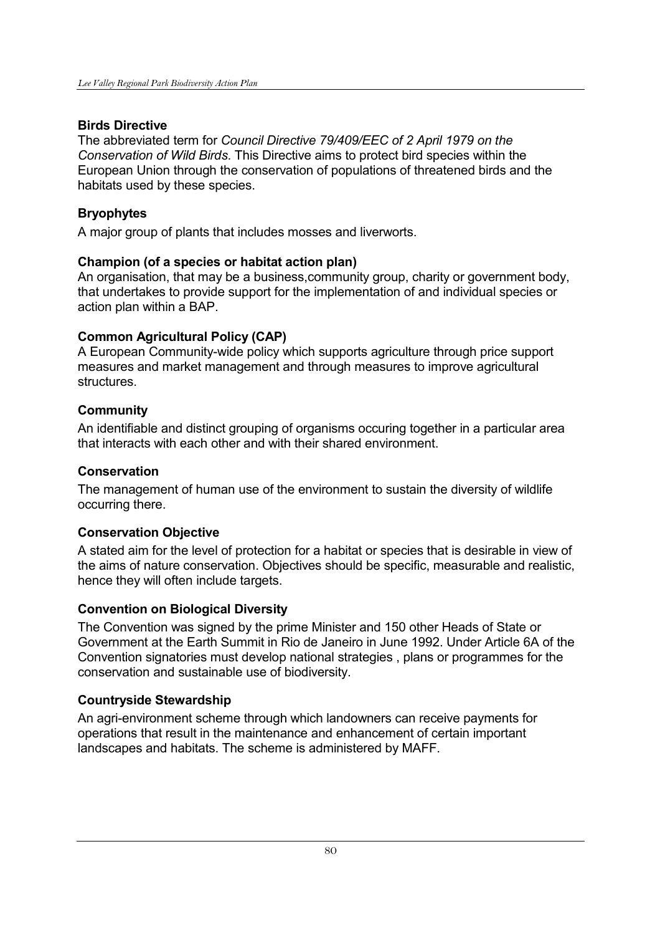### Birds Directive

The abbreviated term for Council Directive 79/409/EEC of 2 April 1979 on the Conservation of Wild Birds. This Directive aims to protect bird species within the European Union through the conservation of populations of threatened birds and the habitats used by these species.

# Bryophytes

A major group of plants that includes mosses and liverworts.

### Champion (of a species or habitat action plan)

An organisation, that may be a business,community group, charity or government body, that undertakes to provide support for the implementation of and individual species or action plan within a BAP.

### Common Agricultural Policy (CAP)

A European Community-wide policy which supports agriculture through price support measures and market management and through measures to improve agricultural structures.

### **Community**

An identifiable and distinct grouping of organisms occuring together in a particular area that interacts with each other and with their shared environment.

#### Conservation

The management of human use of the environment to sustain the diversity of wildlife occurring there.

# Conservation Objective

A stated aim for the level of protection for a habitat or species that is desirable in view of the aims of nature conservation. Objectives should be specific, measurable and realistic, hence they will often include targets.

#### Convention on Biological Diversity

The Convention was signed by the prime Minister and 150 other Heads of State or Government at the Earth Summit in Rio de Janeiro in June 1992. Under Article 6A of the Convention signatories must develop national strategies , plans or programmes for the conservation and sustainable use of biodiversity.

# Countryside Stewardship

An agri-environment scheme through which landowners can receive payments for operations that result in the maintenance and enhancement of certain important landscapes and habitats. The scheme is administered by MAFF.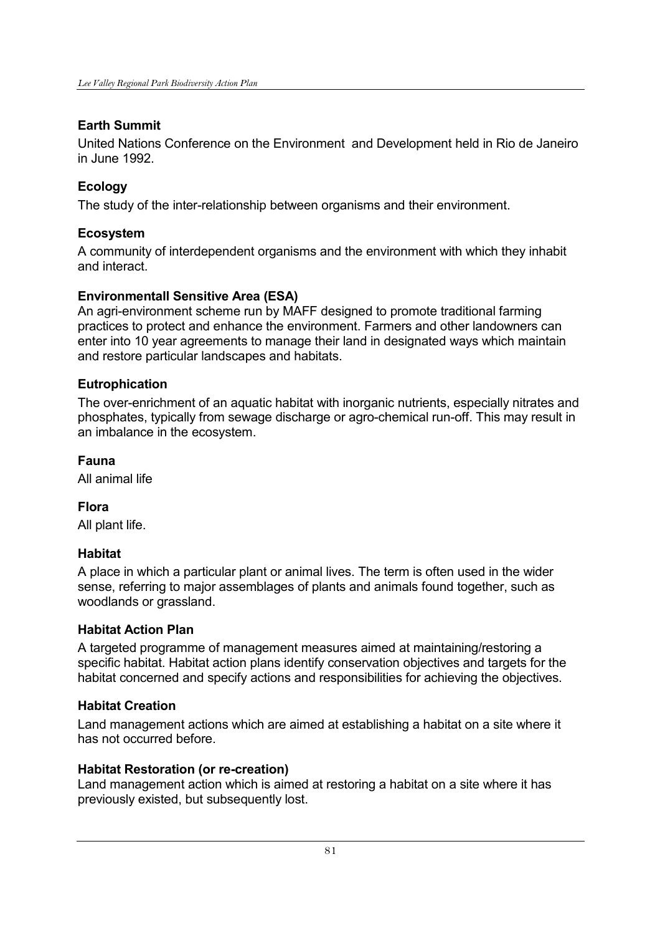# Earth Summit

United Nations Conference on the Environment and Development held in Rio de Janeiro in June 1992.

# **Ecology**

The study of the inter-relationship between organisms and their environment.

### Ecosystem

A community of interdependent organisms and the environment with which they inhabit and interact.

# Environmentall Sensitive Area (ESA)

An agri-environment scheme run by MAFF designed to promote traditional farming practices to protect and enhance the environment. Farmers and other landowners can enter into 10 year agreements to manage their land in designated ways which maintain and restore particular landscapes and habitats.

### Eutrophication

The over-enrichment of an aquatic habitat with inorganic nutrients, especially nitrates and phosphates, typically from sewage discharge or agro-chemical run-off. This may result in an imbalance in the ecosystem.

### Fauna

All animal life

# Flora

All plant life.

# Habitat

A place in which a particular plant or animal lives. The term is often used in the wider sense, referring to major assemblages of plants and animals found together, such as woodlands or grassland.

#### Habitat Action Plan

A targeted programme of management measures aimed at maintaining/restoring a specific habitat. Habitat action plans identify conservation objectives and targets for the habitat concerned and specify actions and responsibilities for achieving the objectives.

# Habitat Creation

Land management actions which are aimed at establishing a habitat on a site where it has not occurred before.

#### Habitat Restoration (or re-creation)

Land management action which is aimed at restoring a habitat on a site where it has previously existed, but subsequently lost.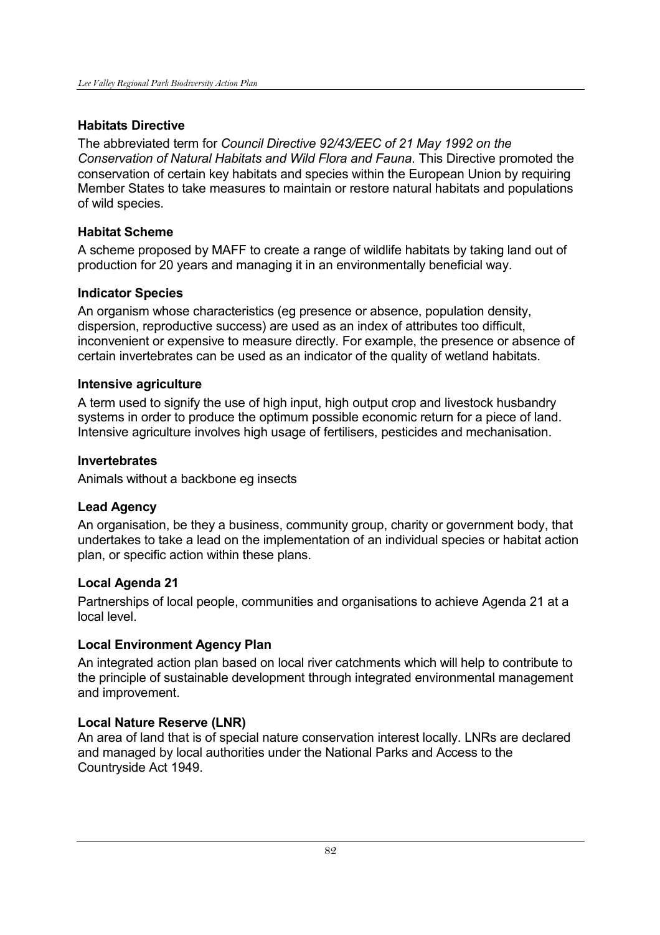# Habitats Directive

The abbreviated term for Council Directive 92/43/EEC of 21 May 1992 on the Conservation of Natural Habitats and Wild Flora and Fauna. This Directive promoted the conservation of certain key habitats and species within the European Union by requiring Member States to take measures to maintain or restore natural habitats and populations of wild species.

### Habitat Scheme

A scheme proposed by MAFF to create a range of wildlife habitats by taking land out of production for 20 years and managing it in an environmentally beneficial way.

### Indicator Species

An organism whose characteristics (eg presence or absence, population density, dispersion, reproductive success) are used as an index of attributes too difficult, inconvenient or expensive to measure directly. For example, the presence or absence of certain invertebrates can be used as an indicator of the quality of wetland habitats.

#### Intensive agriculture

A term used to signify the use of high input, high output crop and livestock husbandry systems in order to produce the optimum possible economic return for a piece of land. Intensive agriculture involves high usage of fertilisers, pesticides and mechanisation.

### Invertebrates

Animals without a backbone eg insects

# Lead Agency

An organisation, be they a business, community group, charity or government body, that undertakes to take a lead on the implementation of an individual species or habitat action plan, or specific action within these plans.

#### Local Agenda 21

Partnerships of local people, communities and organisations to achieve Agenda 21 at a local level.

# Local Environment Agency Plan

An integrated action plan based on local river catchments which will help to contribute to the principle of sustainable development through integrated environmental management and improvement.

# Local Nature Reserve (LNR)

An area of land that is of special nature conservation interest locally. LNRs are declared and managed by local authorities under the National Parks and Access to the Countryside Act 1949.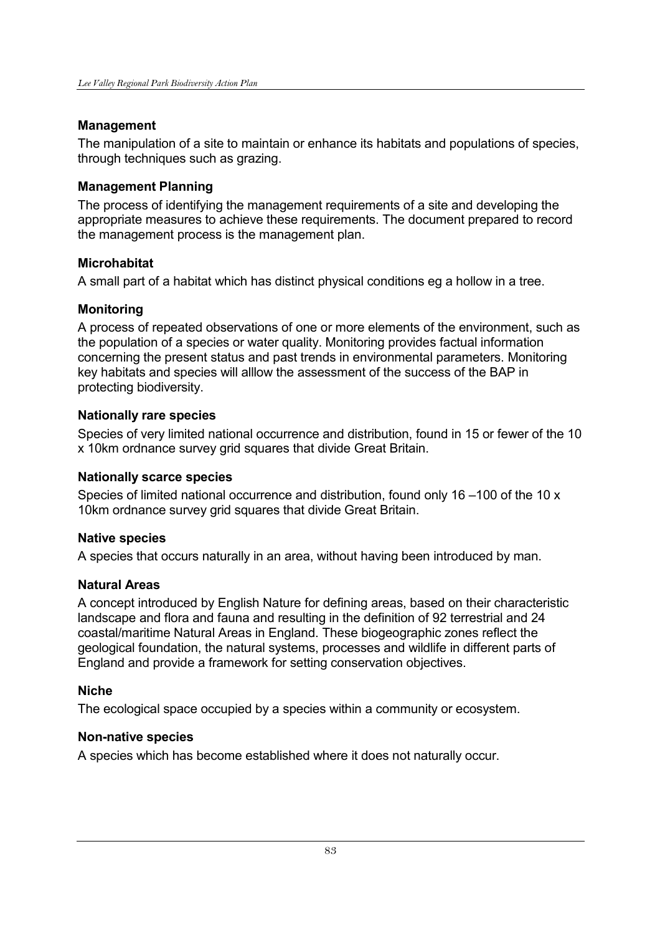### Management

The manipulation of a site to maintain or enhance its habitats and populations of species, through techniques such as grazing.

### Management Planning

The process of identifying the management requirements of a site and developing the appropriate measures to achieve these requirements. The document prepared to record the management process is the management plan.

### Microhabitat

A small part of a habitat which has distinct physical conditions eg a hollow in a tree.

### Monitoring

A process of repeated observations of one or more elements of the environment, such as the population of a species or water quality. Monitoring provides factual information concerning the present status and past trends in environmental parameters. Monitoring key habitats and species will alllow the assessment of the success of the BAP in protecting biodiversity.

### Nationally rare species

Species of very limited national occurrence and distribution, found in 15 or fewer of the 10 x 10km ordnance survey grid squares that divide Great Britain.

#### Nationally scarce species

Species of limited national occurrence and distribution, found only 16 –100 of the 10 x 10km ordnance survey grid squares that divide Great Britain.

#### Native species

A species that occurs naturally in an area, without having been introduced by man.

#### Natural Areas

A concept introduced by English Nature for defining areas, based on their characteristic landscape and flora and fauna and resulting in the definition of 92 terrestrial and 24 coastal/maritime Natural Areas in England. These biogeographic zones reflect the geological foundation, the natural systems, processes and wildlife in different parts of England and provide a framework for setting conservation objectives.

#### Niche

The ecological space occupied by a species within a community or ecosystem.

#### Non-native species

A species which has become established where it does not naturally occur.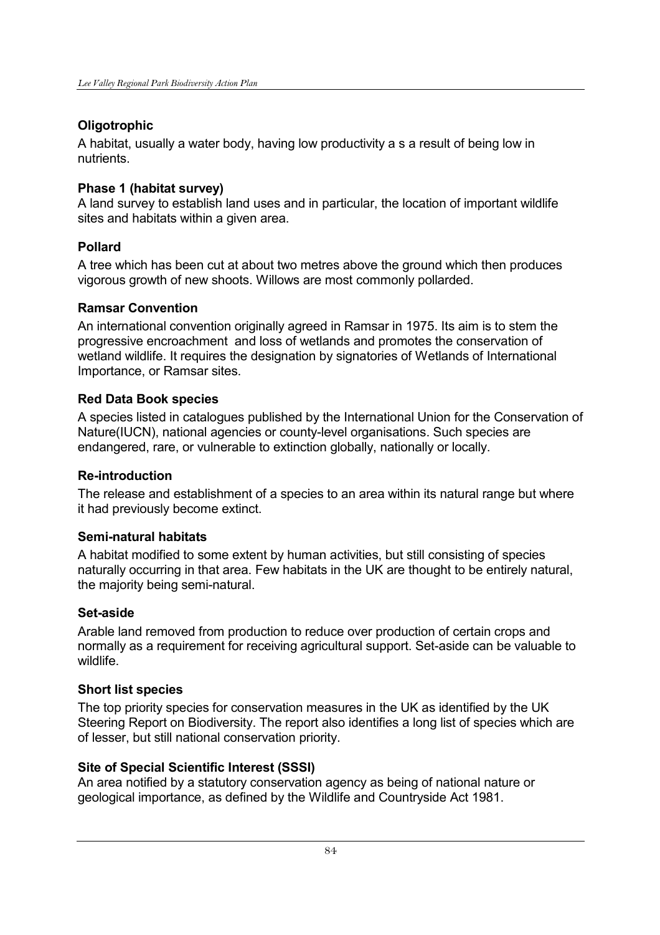### **Oligotrophic**

A habitat, usually a water body, having low productivity a s a result of being low in nutrients.

#### Phase 1 (habitat survey)

A land survey to establish land uses and in particular, the location of important wildlife sites and habitats within a given area.

### Pollard

A tree which has been cut at about two metres above the ground which then produces vigorous growth of new shoots. Willows are most commonly pollarded.

#### Ramsar Convention

An international convention originally agreed in Ramsar in 1975. Its aim is to stem the progressive encroachment and loss of wetlands and promotes the conservation of wetland wildlife. It requires the designation by signatories of Wetlands of International Importance, or Ramsar sites.

#### Red Data Book species

A species listed in catalogues published by the International Union for the Conservation of Nature(IUCN), national agencies or county-level organisations. Such species are endangered, rare, or vulnerable to extinction globally, nationally or locally.

#### Re-introduction

The release and establishment of a species to an area within its natural range but where it had previously become extinct.

#### Semi-natural habitats

A habitat modified to some extent by human activities, but still consisting of species naturally occurring in that area. Few habitats in the UK are thought to be entirely natural, the majority being semi-natural.

#### Set-aside

Arable land removed from production to reduce over production of certain crops and normally as a requirement for receiving agricultural support. Set-aside can be valuable to wildlife.

#### Short list species

The top priority species for conservation measures in the UK as identified by the UK Steering Report on Biodiversity. The report also identifies a long list of species which are of lesser, but still national conservation priority.

#### Site of Special Scientific Interest (SSSI)

An area notified by a statutory conservation agency as being of national nature or geological importance, as defined by the Wildlife and Countryside Act 1981.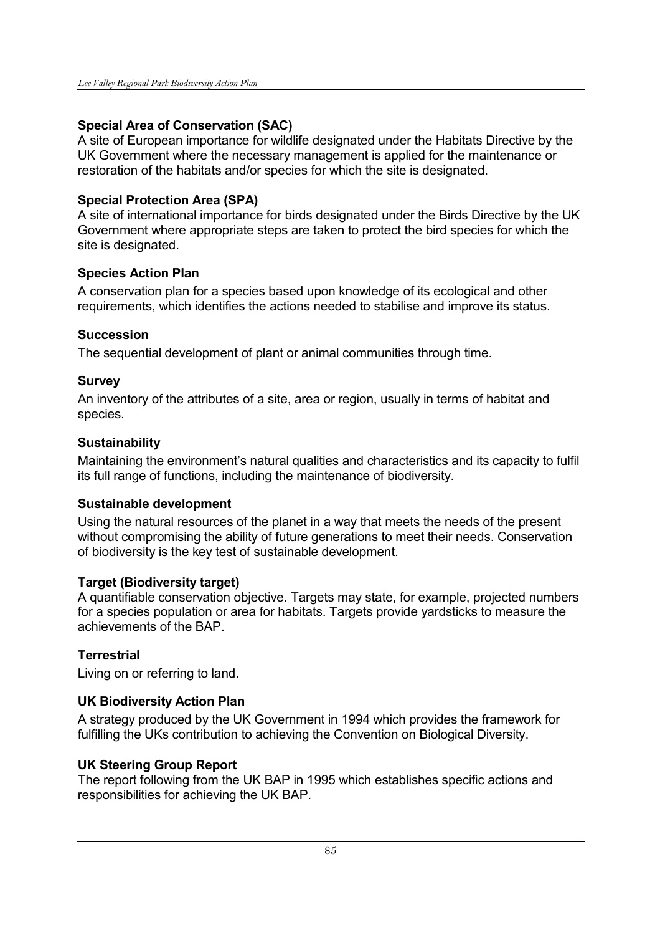### Special Area of Conservation (SAC)

A site of European importance for wildlife designated under the Habitats Directive by the UK Government where the necessary management is applied for the maintenance or restoration of the habitats and/or species for which the site is designated.

### Special Protection Area (SPA)

A site of international importance for birds designated under the Birds Directive by the UK Government where appropriate steps are taken to protect the bird species for which the site is designated.

#### Species Action Plan

A conservation plan for a species based upon knowledge of its ecological and other requirements, which identifies the actions needed to stabilise and improve its status.

### Succession

The sequential development of plant or animal communities through time.

### Survey

An inventory of the attributes of a site, area or region, usually in terms of habitat and species.

### **Sustainability**

Maintaining the environment's natural qualities and characteristics and its capacity to fulfil its full range of functions, including the maintenance of biodiversity.

# Sustainable development

Using the natural resources of the planet in a way that meets the needs of the present without compromising the ability of future generations to meet their needs. Conservation of biodiversity is the key test of sustainable development.

#### Target (Biodiversity target)

A quantifiable conservation objective. Targets may state, for example, projected numbers for a species population or area for habitats. Targets provide yardsticks to measure the achievements of the BAP.

# **Terrestrial**

Living on or referring to land.

# UK Biodiversity Action Plan

A strategy produced by the UK Government in 1994 which provides the framework for fulfilling the UKs contribution to achieving the Convention on Biological Diversity.

#### UK Steering Group Report

The report following from the UK BAP in 1995 which establishes specific actions and responsibilities for achieving the UK BAP.